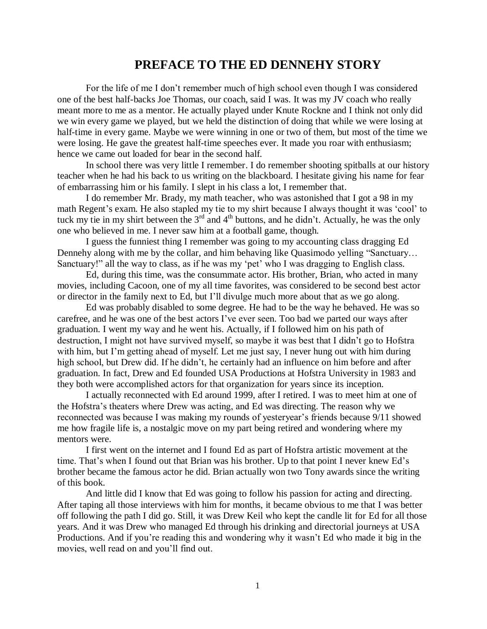### **PREFACE TO THE ED DENNEHY STORY**

For the life of me I don't remember much of high school even though I was considered one of the best half-backs Joe Thomas, our coach, said I was. It was my JV coach who really meant more to me as a mentor. He actually played under Knute Rockne and I think not only did we win every game we played, but we held the distinction of doing that while we were losing at half-time in every game. Maybe we were winning in one or two of them, but most of the time we were losing. He gave the greatest half-time speeches ever. It made you roar with enthusiasm; hence we came out loaded for bear in the second half.

In school there was very little I remember. I do remember shooting spitballs at our history teacher when he had his back to us writing on the blackboard. I hesitate giving his name for fear of embarrassing him or his family. I slept in his class a lot, I remember that.

I do remember Mr. Brady, my math teacher, who was astonished that I got a 98 in my math Regent's exam. He also stapled my tie to my shirt because I always thought it was 'cool' to tuck my tie in my shirt between the  $3<sup>rd</sup>$  and  $4<sup>th</sup>$  buttons, and he didn't. Actually, he was the only one who believed in me. I never saw him at a football game, though.

I guess the funniest thing I remember was going to my accounting class dragging Ed Dennehy along with me by the collar, and him behaving like Quasimodo yelling "Sanctuary... Sanctuary!" all the way to class, as if he was my 'pet' who I was dragging to English class.

Ed, during this time, was the consummate actor. His brother, Brian, who acted in many movies, including Cacoon, one of my all time favorites, was considered to be second best actor or director in the family next to Ed, but I'll divulge much more about that as we go along.

Ed was probably disabled to some degree. He had to be the way he behaved. He was so carefree, and he was one of the best actors I've ever seen. Too bad we parted our ways after graduation. I went my way and he went his. Actually, if I followed him on his path of destruction, I might not have survived myself, so maybe it was best that I didn't go to Hofstra with him, but I'm getting ahead of myself. Let me just say, I never hung out with him during high school, but Drew did. If he didn't, he certainly had an influence on him before and after graduation. In fact, Drew and Ed founded USA Productions at Hofstra University in 1983 and they both were accomplished actors for that organization for years since its inception.

I actually reconnected with Ed around 1999, after I retired. I was to meet him at one of the Hofstra's theaters where Drew was acting, and Ed was directing. The reason why we reconnected was because I was making my rounds of yesteryear's friends because 9/11 showed me how fragile life is, a nostalgic move on my part being retired and wondering where my mentors were.

I first went on the internet and I found Ed as part of Hofstra artistic movement at the time. That's when I found out that Brian was his brother. Up to that point I never knew Ed's brother became the famous actor he did. Brian actually won two Tony awards since the writing of this book.

And little did I know that Ed was going to follow his passion for acting and directing. After taping all those interviews with him for months, it became obvious to me that I was better off following the path I did go. Still, it was Drew Keil who kept the candle lit for Ed for all those years. And it was Drew who managed Ed through his drinking and directorial journeys at USA Productions. And if you're reading this and wondering why it wasn't Ed who made it big in the movies, well read on and you'll find out.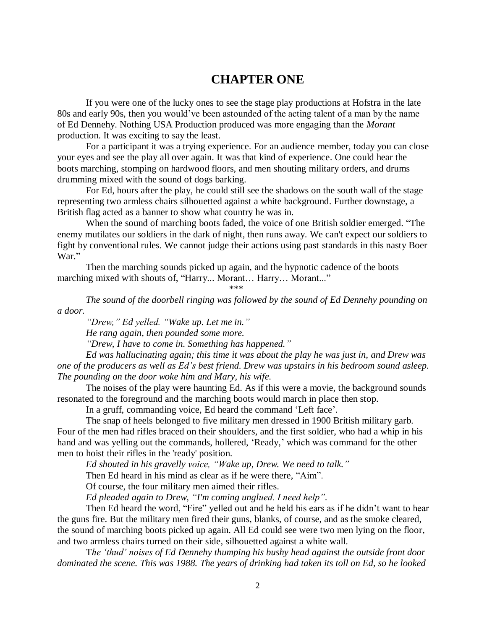### **CHAPTER ONE**

If you were one of the lucky ones to see the stage play productions at Hofstra in the late 80s and early 90s, then you would've been astounded of the acting talent of a man by the name of Ed Dennehy. Nothing USA Production produced was more engaging than the *Morant* production. It was exciting to say the least.

For a participant it was a trying experience. For an audience member, today you can close your eyes and see the play all over again. It was that kind of experience. One could hear the boots marching, stomping on hardwood floors, and men shouting military orders, and drums drumming mixed with the sound of dogs barking.

For Ed, hours after the play, he could still see the shadows on the south wall of the stage representing two armless chairs silhouetted against a white background. Further downstage, a British flag acted as a banner to show what country he was in.

When the sound of marching boots faded, the voice of one British soldier emerged. "The enemy mutilates our soldiers in the dark of night, then runs away. We can't expect our soldiers to fight by conventional rules. We cannot judge their actions using past standards in this nasty Boer War."

Then the marching sounds picked up again, and the hypnotic cadence of the boots marching mixed with shouts of, "Harry... Morant... Harry... Morant..."

\*\*\*

*The sound of the doorbell ringing was followed by the sound of Ed Dennehy pounding on a door.*

*"Drew," Ed yelled. "Wake up. Let me in."*

*He rang again, then pounded some more.*

*"Drew, I have to come in. Something has happened."*

*Ed was hallucinating again; this time it was about the play he was just in, and Drew was one of the producers as well as Ed's best friend. Drew was upstairs in his bedroom sound asleep. The pounding on the door woke him and Mary, his wife.* 

The noises of the play were haunting Ed. As if this were a movie, the background sounds resonated to the foreground and the marching boots would march in place then stop.

In a gruff, commanding voice, Ed heard the command 'Left face'.

The snap of heels belonged to five military men dressed in 1900 British military garb. Four of the men had rifles braced on their shoulders, and the first soldier, who had a whip in his hand and was yelling out the commands, hollered, 'Ready,' which was command for the other men to hoist their rifles in the 'ready' position.

*Ed shouted in his gravelly voice, "Wake up, Drew. We need to talk."*

Then Ed heard in his mind as clear as if he were there, "Aim".

Of course, the four military men aimed their rifles.

*Ed pleaded again to Drew, "I'm coming unglued. I need help".* 

Then Ed heard the word, "Fire" yelled out and he held his ears as if he didn't want to hear the guns fire. But the military men fired their guns, blanks, of course, and as the smoke cleared, the sound of marching boots picked up again. All Ed could see were two men lying on the floor, and two armless chairs turned on their side, silhouetted against a white wall.

T*he 'thud' noises of Ed Dennehy thumping his bushy head against the outside front door dominated the scene. This was 1988. The years of drinking had taken its toll on Ed, so he looked*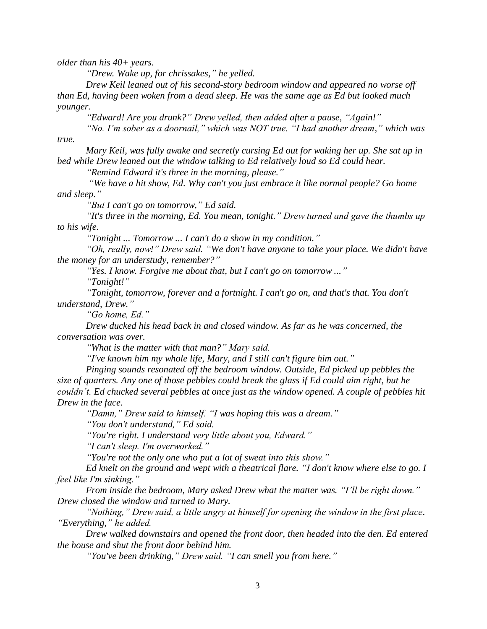*older than his 40+ years.*

*"Drew. Wake up, for chrissakes," he yelled.*

*Drew Keil leaned out of his second-story bedroom window and appeared no worse off than Ed, having been woken from a dead sleep. He was the same age as Ed but looked much younger.*

*"Edward! Are you drunk?" Drew yelled, then added after a pause, "Again!"*

*"No. I'm sober as a doornail," which was NOT true. "I had another dream," which was true.*

*Mary Keil, was fully awake and secretly cursing Ed out for waking her up. She sat up in bed while Drew leaned out the window talking to Ed relatively loud so Ed could hear.*

*"Remind Edward it's three in the morning, please."*

*"We have a hit show, Ed. Why can't you just embrace it like normal people? Go home and sleep."*

*"But I can't go on tomorrow," Ed said.*

*"It's three in the morning, Ed. You mean, tonight." Drew turned and gave the thumbs up to his wife.*

*"Tonight ... Tomorrow ... I can't do a show in my condition."*

*"Oh, really, now!" Drew said. "We don't have anyone to take your place. We didn't have the money for an understudy, remember?"*

*"Yes. I know. Forgive me about that, but I can't go on tomorrow ..."*

*"Tonight!"*

*"Tonight, tomorrow, forever and a fortnight. I can't go on, and that's that. You don't understand, Drew."*

*"Go home, Ed."*

*Drew ducked his head back in and closed window. As far as he was concerned, the conversation was over.* 

*"What is the matter with that man?" Mary said.*

*"I've known him my whole life, Mary, and I still can't figure him out."*

*Pinging sounds resonated off the bedroom window. Outside, Ed picked up pebbles the size of quarters. Any one of those pebbles could break the glass if Ed could aim right, but he couldn't. Ed chucked several pebbles at once just as the window opened. A couple of pebbles hit Drew in the face.*

*"Damn," Drew said to himself. "I was hoping this was a dream."*

*"You don't understand," Ed said.*

*"You're right. I understand very little about you, Edward."*

*"I can't sleep. I'm overworked."*

*"You're not the only one who put a lot of sweat into this show."*

*Ed knelt on the ground and wept with a theatrical flare. "I don't know where else to go. I feel like I'm sinking."*

*From inside the bedroom, Mary asked Drew what the matter was. "I'll be right down." Drew closed the window and turned to Mary.*

*"Nothing," Drew said, a little angry at himself for opening the window in the first place. "Everything," he added.*

*Drew walked downstairs and opened the front door, then headed into the den. Ed entered the house and shut the front door behind him.*

*"You've been drinking," Drew said. "I can smell you from here."*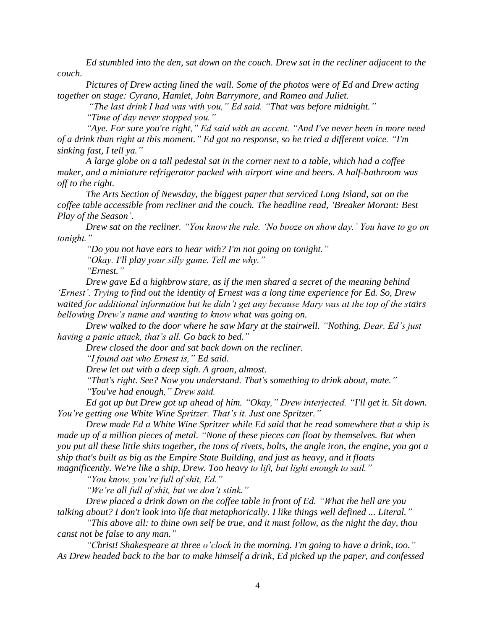*Ed stumbled into the den, sat down on the couch. Drew sat in the recliner adjacent to the couch.* 

*Pictures of Drew acting lined the wall. Some of the photos were of Ed and Drew acting together on stage: Cyrano, Hamlet, John Barrymore, and Romeo and Juliet.*

*"The last drink I had was with you," Ed said. "That was before midnight."*

*"Time of day never stopped you."*

*"Aye. For sure you're right," Ed said with an accent. "And I've never been in more need of a drink than right at this moment." Ed got no response, so he tried a different voice. "I'm sinking fast, I tell ya."*

*A large globe on a tall pedestal sat in the corner next to a table, which had a coffee maker, and a miniature refrigerator packed with airport wine and beers. A half-bathroom was off to the right.*

*The Arts Section of Newsday, the biggest paper that serviced Long Island, sat on the coffee table accessible from recliner and the couch. The headline read, 'Breaker Morant: Best Play of the Season'.* 

*Drew sat on the recliner. "You know the rule. 'No booze on show day.' You have to go on tonight."*

*"Do you not have ears to hear with? I'm not going on tonight."*

*"Okay. I'll play your silly game. Tell me why."*

*"Ernest."*

*Drew gave Ed a highbrow stare, as if the men shared a secret of the meaning behind 'Ernest'. Trying to find out the identity of Ernest was a long time experience for Ed. So, Drew waited for additional information but he didn't get any because Mary was at the top of the stairs bellowing Drew's name and wanting to know what was going on.*

*Drew walked to the door where he saw Mary at the stairwell. "Nothing, Dear. Ed's just having a panic attack, that's all. Go back to bed."*

*Drew closed the door and sat back down on the recliner.*

*"I found out who Ernest is," Ed said.*

*Drew let out with a deep sigh. A groan, almost.*

*"That's right. See? Now you understand. That's something to drink about, mate."*

*"You've had enough," Drew said.*

*Ed got up but Drew got up ahead of him. "Okay," Drew interjected. "I'll get it. Sit down. You're getting one White Wine Spritzer. That's it. Just one Spritzer."*

*Drew made Ed a White Wine Spritzer while Ed said that he read somewhere that a ship is made up of a million pieces of metal. "None of these pieces can float by themselves. But when you put all these little shits together, the tons of rivets, bolts, the angle iron, the engine, you got a ship that's built as big as the Empire State Building, and just as heavy, and it floats magnificently. We're like a ship, Drew. Too heavy to lift, but light enough to sail."*

*"You know, you're full of shit, Ed."*

*"We're all full of shit, but we don't stink."*

*Drew placed a drink down on the coffee table in front of Ed. "What the hell are you talking about? I don't look into life that metaphorically. I like things well defined ... Literal."*

*"This above all: to thine own self be true, and it must follow, as the night the day, thou canst not be false to any man."*

*"Christ! Shakespeare at three o'clock in the morning. I'm going to have a drink, too." As Drew headed back to the bar to make himself a drink, Ed picked up the paper, and confessed*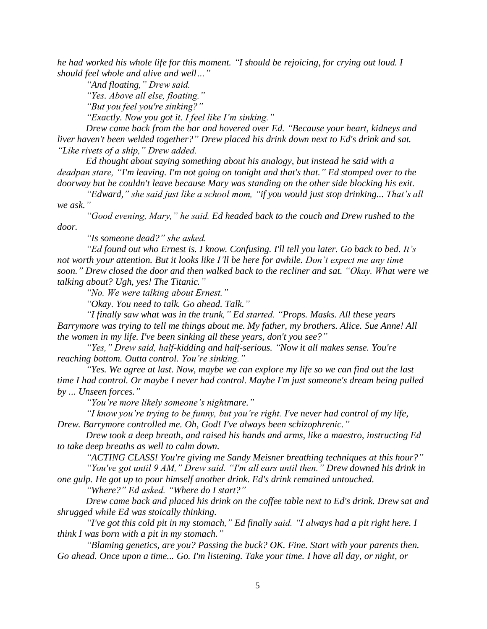*he had worked his whole life for this moment. "I should be rejoicing, for crying out loud. I should feel whole and alive and well…"*

*"And floating," Drew said.*

*"Yes. Above all else, floating."*

*"But you feel you're sinking?"*

*"Exactly. Now you got it. I feel like I'm sinking."*

*Drew came back from the bar and hovered over Ed. "Because your heart, kidneys and liver haven't been welded together?" Drew placed his drink down next to Ed's drink and sat. "Like rivets of a ship," Drew added.*

*Ed thought about saying something about his analogy, but instead he said with a deadpan stare, "I'm leaving. I'm not going on tonight and that's that." Ed stomped over to the doorway but he couldn't leave because Mary was standing on the other side blocking his exit.*

*"Edward," she said just like a school mom, "if you would just stop drinking... That's all we ask."*

*"Good evening, Mary," he said. Ed headed back to the couch and Drew rushed to the door.*

*"Is someone dead?" she asked.*

*"Ed found out who Ernest is. I know. Confusing. I'll tell you later. Go back to bed. It's not worth your attention. But it looks like I'll be here for awhile. Don't expect me any time soon." Drew closed the door and then walked back to the recliner and sat. "Okay. What were we talking about? Ugh, yes! The Titanic."*

*"No. We were talking about Ernest."*

*"Okay. You need to talk. Go ahead. Talk."*

*"I finally saw what was in the trunk," Ed started. "Props. Masks. All these years Barrymore was trying to tell me things about me. My father, my brothers. Alice. Sue Anne! All the women in my life. I've been sinking all these years, don't you see?"*

*"Yes," Drew said, half-kidding and half-serious. "Now it all makes sense. You're reaching bottom. Outta control. You're sinking."*

*"Yes. We agree at last. Now, maybe we can explore my life so we can find out the last time I had control. Or maybe I never had control. Maybe I'm just someone's dream being pulled by ... Unseen forces."*

*"You're more likely someone's nightmare."*

*"I know you're trying to be funny, but you're right. I've never had control of my life, Drew. Barrymore controlled me. Oh, God! I've always been schizophrenic."*

*Drew took a deep breath, and raised his hands and arms, like a maestro, instructing Ed to take deep breaths as well to calm down.*

*"ACTING CLASS! You're giving me Sandy Meisner breathing techniques at this hour?" "You've got until 9 AM," Drew said. "I'm all ears until then." Drew downed his drink in* 

*one gulp. He got up to pour himself another drink. Ed's drink remained untouched.*

*"Where?" Ed asked. "Where do I start?"*

*Drew came back and placed his drink on the coffee table next to Ed's drink. Drew sat and shrugged while Ed was stoically thinking.*

*"I've got this cold pit in my stomach," Ed finally said. "I always had a pit right here. I think I was born with a pit in my stomach."*

*"Blaming genetics, are you? Passing the buck? OK. Fine. Start with your parents then. Go ahead. Once upon a time... Go. I'm listening. Take your time. I have all day, or night, or*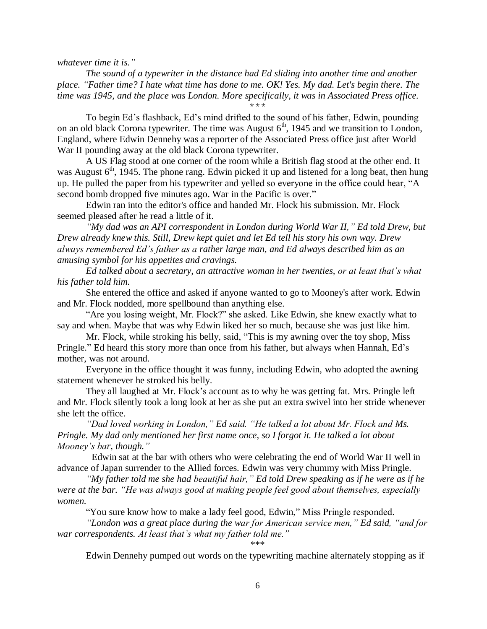*whatever time it is."*

*The sound of a typewriter in the distance had Ed sliding into another time and another place. "Father time? I hate what time has done to me. OK! Yes. My dad. Let's begin there. The time was 1945, and the place was London. More specifically, it was in Associated Press office.*  \*\*\*

To begin Ed's flashback, Ed's mind drifted to the sound of his father, Edwin, pounding on an old black Corona typewriter. The time was August  $6<sup>th</sup>$ , 1945 and we transition to London, England, where Edwin Dennehy was a reporter of the Associated Press office just after World War II pounding away at the old black Corona typewriter.

A US Flag stood at one corner of the room while a British flag stood at the other end. It was August  $6<sup>th</sup>$ , 1945. The phone rang. Edwin picked it up and listened for a long beat, then hung up. He pulled the paper from his typewriter and yelled so everyone in the office could hear, "A second bomb dropped five minutes ago. War in the Pacific is over."

Edwin ran into the editor's office and handed Mr. Flock his submission. Mr. Flock seemed pleased after he read a little of it.

*"My dad was an API correspondent in London during World War II," Ed told Drew, but Drew already knew this. Still, Drew kept quiet and let Ed tell his story his own way. Drew always remembered Ed's father as a rather large man, and Ed always described him as an amusing symbol for his appetites and cravings.*

*Ed talked about a secretary, an attractive woman in her twenties, or at least that's what his father told him.*

She entered the office and asked if anyone wanted to go to Mooney's after work. Edwin and Mr. Flock nodded, more spellbound than anything else.

"Are you losing weight, Mr. Flock?" she asked. Like Edwin, she knew exactly what to say and when. Maybe that was why Edwin liked her so much, because she was just like him.

Mr. Flock, while stroking his belly, said, "This is my awning over the toy shop, Miss Pringle." Ed heard this story more than once from his father, but always when Hannah, Ed's mother, was not around.

Everyone in the office thought it was funny, including Edwin, who adopted the awning statement whenever he stroked his belly.

They all laughed at Mr. Flock's account as to why he was getting fat. Mrs. Pringle left and Mr. Flock silently took a long look at her as she put an extra swivel into her stride whenever she left the office.

*"Dad loved working in London," Ed said. "He talked a lot about Mr. Flock and Ms. Pringle. My dad only mentioned her first name once, so I forgot it. He talked a lot about Mooney's bar, though."*

Edwin sat at the bar with others who were celebrating the end of World War II well in advance of Japan surrender to the Allied forces. Edwin was very chummy with Miss Pringle.

*"My father told me she had beautiful hair," Ed told Drew speaking as if he were as if he were at the bar. "He was always good at making people feel good about themselves, especially women.*

"You sure know how to make a lady feel good, Edwin," Miss Pringle responded.

*"London was a great place during the war for American service men," Ed said, "and for war correspondents. At least that's what my father told me."*

\*\*\*

Edwin Dennehy pumped out words on the typewriting machine alternately stopping as if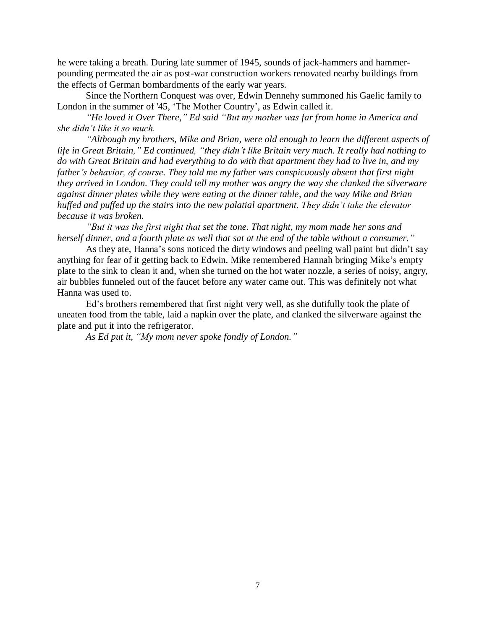he were taking a breath. During late summer of 1945, sounds of jack-hammers and hammerpounding permeated the air as post-war construction workers renovated nearby buildings from the effects of German bombardments of the early war years.

Since the Northern Conquest was over, Edwin Dennehy summoned his Gaelic family to London in the summer of '45, 'The Mother Country', as Edwin called it.

*"He loved it Over There," Ed said "But my mother was far from home in America and she didn't like it so much.* 

*"Although my brothers, Mike and Brian, were old enough to learn the different aspects of life in Great Britain," Ed continued, "they didn't like Britain very much. It really had nothing to do with Great Britain and had everything to do with that apartment they had to live in, and my father's behavior, of course. They told me my father was conspicuously absent that first night they arrived in London. They could tell my mother was angry the way she clanked the silverware against dinner plates while they were eating at the dinner table, and the way Mike and Brian huffed and puffed up the stairs into the new palatial apartment. They didn't take the elevator because it was broken.*

*"But it was the first night that set the tone. That night, my mom made her sons and herself dinner, and a fourth plate as well that sat at the end of the table without a consumer."*

As they ate, Hanna's sons noticed the dirty windows and peeling wall paint but didn't say anything for fear of it getting back to Edwin. Mike remembered Hannah bringing Mike's empty plate to the sink to clean it and, when she turned on the hot water nozzle, a series of noisy, angry, air bubbles funneled out of the faucet before any water came out. This was definitely not what Hanna was used to.

Ed's brothers remembered that first night very well, as she dutifully took the plate of uneaten food from the table, laid a napkin over the plate, and clanked the silverware against the plate and put it into the refrigerator.

*As Ed put it, "My mom never spoke fondly of London."*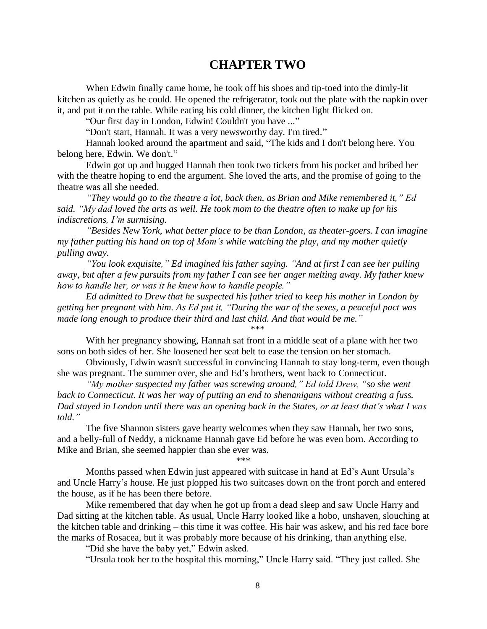### **CHAPTER TWO**

When Edwin finally came home, he took off his shoes and tip-toed into the dimly-lit kitchen as quietly as he could. He opened the refrigerator, took out the plate with the napkin over it, and put it on the table. While eating his cold dinner, the kitchen light flicked on.

"Our first day in London, Edwin! Couldn't you have ..."

"Don't start, Hannah. It was a very newsworthy day. I'm tired."

Hannah looked around the apartment and said, "The kids and I don't belong here. You belong here, Edwin. We don't."

Edwin got up and hugged Hannah then took two tickets from his pocket and bribed her with the theatre hoping to end the argument. She loved the arts, and the promise of going to the theatre was all she needed.

*"They would go to the theatre a lot, back then, as Brian and Mike remembered it," Ed said. "My dad loved the arts as well. He took mom to the theatre often to make up for his indiscretions, I'm surmising.*

*"Besides New York, what better place to be than London, as theater-goers. I can imagine my father putting his hand on top of Mom's while watching the play, and my mother quietly pulling away.*

*"You look exquisite," Ed imagined his father saying. "And at first I can see her pulling away, but after a few pursuits from my father I can see her anger melting away. My father knew how to handle her, or was it he knew how to handle people."*

*Ed admitted to Drew that he suspected his father tried to keep his mother in London by getting her pregnant with him. As Ed put it, "During the war of the sexes, a peaceful pact was made long enough to produce their third and last child. And that would be me."* \*\*\*

With her pregnancy showing, Hannah sat front in a middle seat of a plane with her two sons on both sides of her. She loosened her seat belt to ease the tension on her stomach.

Obviously, Edwin wasn't successful in convincing Hannah to stay long-term, even though she was pregnant. The summer over, she and Ed's brothers, went back to Connecticut.

*"My mother suspected my father was screwing around," Ed told Drew, "so she went back to Connecticut. It was her way of putting an end to shenanigans without creating a fuss. Dad stayed in London until there was an opening back in the States, or at least that's what I was told."*

The five Shannon sisters gave hearty welcomes when they saw Hannah, her two sons, and a belly-full of Neddy, a nickname Hannah gave Ed before he was even born. According to Mike and Brian, she seemed happier than she ever was.

\*\*\*

Months passed when Edwin just appeared with suitcase in hand at Ed's Aunt Ursula's and Uncle Harry's house. He just plopped his two suitcases down on the front porch and entered the house, as if he has been there before.

Mike remembered that day when he got up from a dead sleep and saw Uncle Harry and Dad sitting at the kitchen table. As usual, Uncle Harry looked like a hobo, unshaven, slouching at the kitchen table and drinking – this time it was coffee. His hair was askew, and his red face bore the marks of Rosacea, but it was probably more because of his drinking, than anything else.

"Did she have the baby yet," Edwin asked.

"Ursula took her to the hospital this morning," Uncle Harry said. "They just called. She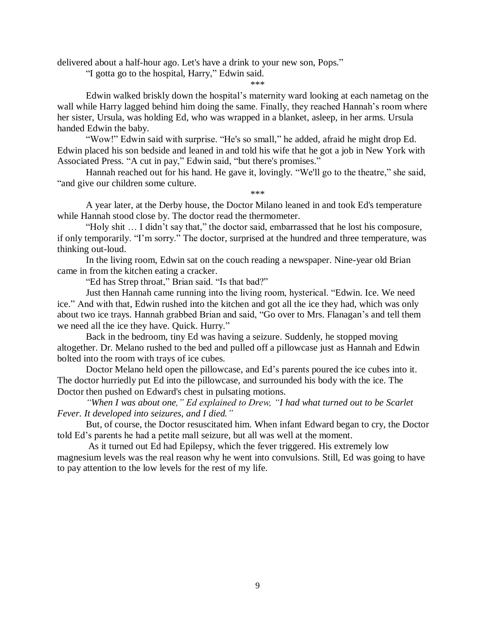delivered about a half-hour ago. Let's have a drink to your new son, Pops."

"I gotta go to the hospital, Harry," Edwin said.

\*\*\*

Edwin walked briskly down the hospital's maternity ward looking at each nametag on the wall while Harry lagged behind him doing the same. Finally, they reached Hannah's room where her sister, Ursula, was holding Ed, who was wrapped in a blanket, asleep, in her arms. Ursula handed Edwin the baby.

"Wow!" Edwin said with surprise. "He's so small," he added, afraid he might drop Ed. Edwin placed his son bedside and leaned in and told his wife that he got a job in New York with Associated Press. "A cut in pay," Edwin said, "but there's promises."

Hannah reached out for his hand. He gave it, lovingly. "We'll go to the theatre," she said, "and give our children some culture.

\*\*\*

A year later, at the Derby house, the Doctor Milano leaned in and took Ed's temperature while Hannah stood close by. The doctor read the thermometer.

"Holy shit … I didn't say that," the doctor said, embarrassed that he lost his composure, if only temporarily. "I'm sorry." The doctor, surprised at the hundred and three temperature, was thinking out-loud.

In the living room, Edwin sat on the couch reading a newspaper. Nine-year old Brian came in from the kitchen eating a cracker.

"Ed has Strep throat," Brian said. "Is that bad?"

Just then Hannah came running into the living room, hysterical. "Edwin. Ice. We need ice." And with that, Edwin rushed into the kitchen and got all the ice they had, which was only about two ice trays. Hannah grabbed Brian and said, "Go over to Mrs. Flanagan's and tell them we need all the ice they have. Quick. Hurry."

Back in the bedroom, tiny Ed was having a seizure. Suddenly, he stopped moving altogether. Dr. Melano rushed to the bed and pulled off a pillowcase just as Hannah and Edwin bolted into the room with trays of ice cubes.

Doctor Melano held open the pillowcase, and Ed's parents poured the ice cubes into it. The doctor hurriedly put Ed into the pillowcase, and surrounded his body with the ice. The Doctor then pushed on Edward's chest in pulsating motions.

*"When I was about one," Ed explained to Drew, "I had what turned out to be Scarlet Fever. It developed into seizures, and I died."*

But, of course, the Doctor resuscitated him. When infant Edward began to cry, the Doctor told Ed's parents he had a petite mall seizure, but all was well at the moment.

As it turned out Ed had Epilepsy, which the fever triggered. His extremely low magnesium levels was the real reason why he went into convulsions. Still, Ed was going to have to pay attention to the low levels for the rest of my life.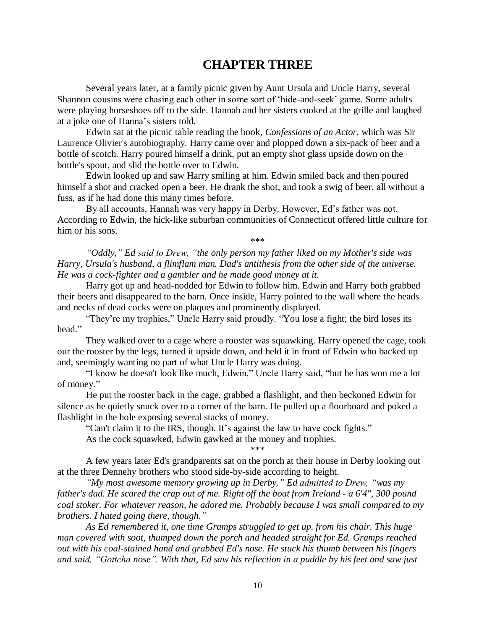### **CHAPTER THREE**

Several years later, at a family picnic given by Aunt Ursula and Uncle Harry, several Shannon cousins were chasing each other in some sort of 'hide-and-seek' game. Some adults were playing horseshoes off to the side. Hannah and her sisters cooked at the grille and laughed at a joke one of Hanna's sisters told.

Edwin sat at the picnic table reading the book, *Confessions of an Actor*, which was Sir Laurence Olivier's autobiography. Harry came over and plopped down a six-pack of beer and a bottle of scotch. Harry poured himself a drink, put an empty shot glass upside down on the bottle's spout, and slid the bottle over to Edwin.

Edwin looked up and saw Harry smiling at him. Edwin smiled back and then poured himself a shot and cracked open a beer. He drank the shot, and took a swig of beer, all without a fuss, as if he had done this many times before.

By all accounts, Hannah was very happy in Derby. However, Ed's father was not. According to Edwin, the hick-like suburban communities of Connecticut offered little culture for him or his sons. \*\*\*

*"Oddly," Ed said to Drew, "the only person my father liked on my Mother's side was Harry, Ursula's husband, a flimflam man. Dad's antithesis from the other side of the universe. He was a cock-fighter and a gambler and he made good money at it.*

Harry got up and head-nodded for Edwin to follow him. Edwin and Harry both grabbed their beers and disappeared to the barn. Once inside, Harry pointed to the wall where the heads and necks of dead cocks were on plaques and prominently displayed.

"They're my trophies," Uncle Harry said proudly. "You lose a fight; the bird loses its head."

They walked over to a cage where a rooster was squawking. Harry opened the cage, took our the rooster by the legs, turned it upside down, and held it in front of Edwin who backed up and, seemingly wanting no part of what Uncle Harry was doing.

"I know he doesn't look like much, Edwin," Uncle Harry said, "but he has won me a lot of money."

He put the rooster back in the cage, grabbed a flashlight, and then beckoned Edwin for silence as he quietly snuck over to a corner of the barn. He pulled up a floorboard and poked a flashlight in the hole exposing several stacks of money.

"Can't claim it to the IRS, though. It's against the law to have cock fights."

As the cock squawked, Edwin gawked at the money and trophies.

\*\*\*

A few years later Ed's grandparents sat on the porch at their house in Derby looking out at the three Dennehy brothers who stood side-by-side according to height.

*"My most awesome memory growing up in Derby," Ed admitted to Drew, "was my father's dad. He scared the crap out of me. Right off the boat from Ireland - a 6'4", 300 pound coal stoker. For whatever reason, he adored me. Probably because I was small compared to my brothers. I hated going there, though."*

*As Ed remembered it, one time Gramps struggled to get up. from his chair. This huge man covered with soot, thumped down the porch and headed straight for Ed. Gramps reached out with his coal-stained hand and grabbed Ed's nose. He stuck his thumb between his fingers and said, "Gottcha nose". With that, Ed saw his reflection in a puddle by his feet and saw just*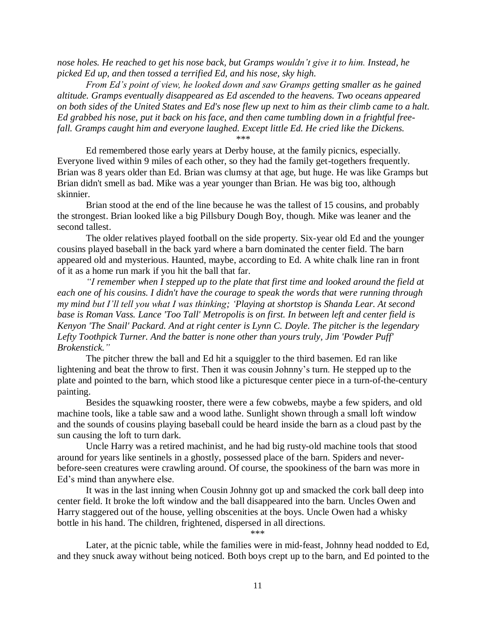*nose holes. He reached to get his nose back, but Gramps wouldn't give it to him. Instead, he picked Ed up, and then tossed a terrified Ed, and his nose, sky high.* 

*From Ed's point of view, he looked down and saw Gramps getting smaller as he gained altitude. Gramps eventually disappeared as Ed ascended to the heavens. Two oceans appeared on both sides of the United States and Ed's nose flew up next to him as their climb came to a halt. Ed grabbed his nose, put it back on his face, and then came tumbling down in a frightful freefall. Gramps caught him and everyone laughed. Except little Ed. He cried like the Dickens.*

\*\*\*

Ed remembered those early years at Derby house, at the family picnics, especially. Everyone lived within 9 miles of each other, so they had the family get-togethers frequently. Brian was 8 years older than Ed. Brian was clumsy at that age, but huge. He was like Gramps but Brian didn't smell as bad. Mike was a year younger than Brian. He was big too, although skinnier.

Brian stood at the end of the line because he was the tallest of 15 cousins, and probably the strongest. Brian looked like a big Pillsbury Dough Boy, though. Mike was leaner and the second tallest.

The older relatives played football on the side property. Six-year old Ed and the younger cousins played baseball in the back yard where a barn dominated the center field. The barn appeared old and mysterious. Haunted, maybe, according to Ed. A white chalk line ran in front of it as a home run mark if you hit the ball that far.

*"I remember when I stepped up to the plate that first time and looked around the field at each one of his cousins. I didn't have the courage to speak the words that were running through my mind but I'll tell you what I was thinking; 'Playing at shortstop is Shanda Lear. At second base is Roman Vass. Lance 'Too Tall' Metropolis is on first. In between left and center field is Kenyon 'The Snail' Packard. And at right center is Lynn C. Doyle. The pitcher is the legendary Lefty Toothpick Turner. And the batter is none other than yours truly, Jim 'Powder Puff' Brokenstick."*

The pitcher threw the ball and Ed hit a squiggler to the third basemen. Ed ran like lightening and beat the throw to first. Then it was cousin Johnny's turn. He stepped up to the plate and pointed to the barn, which stood like a picturesque center piece in a turn-of-the-century painting.

Besides the squawking rooster, there were a few cobwebs, maybe a few spiders, and old machine tools, like a table saw and a wood lathe. Sunlight shown through a small loft window and the sounds of cousins playing baseball could be heard inside the barn as a cloud past by the sun causing the loft to turn dark.

Uncle Harry was a retired machinist, and he had big rusty-old machine tools that stood around for years like sentinels in a ghostly, possessed place of the barn. Spiders and neverbefore-seen creatures were crawling around. Of course, the spookiness of the barn was more in Ed's mind than anywhere else.

It was in the last inning when Cousin Johnny got up and smacked the cork ball deep into center field. It broke the loft window and the ball disappeared into the barn. Uncles Owen and Harry staggered out of the house, yelling obscenities at the boys. Uncle Owen had a whisky bottle in his hand. The children, frightened, dispersed in all directions.

Later, at the picnic table, while the families were in mid-feast, Johnny head nodded to Ed, and they snuck away without being noticed. Both boys crept up to the barn, and Ed pointed to the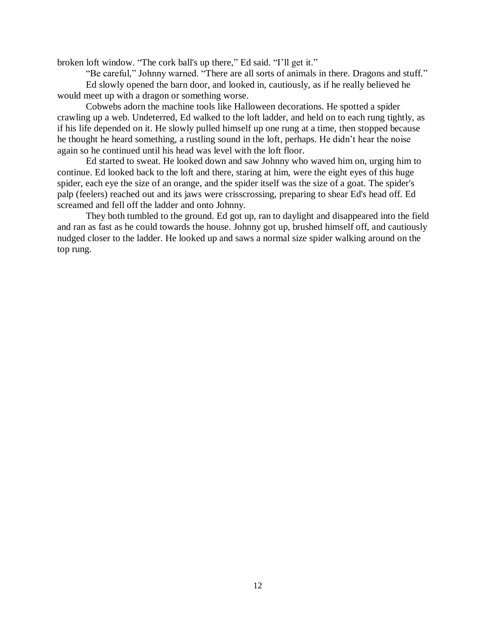broken loft window. "The cork ball's up there," Ed said. "I'll get it."

"Be careful," Johnny warned. "There are all sorts of animals in there. Dragons and stuff." Ed slowly opened the barn door, and looked in, cautiously, as if he really believed he would meet up with a dragon or something worse.

Cobwebs adorn the machine tools like Halloween decorations. He spotted a spider crawling up a web. Undeterred, Ed walked to the loft ladder, and held on to each rung tightly, as if his life depended on it. He slowly pulled himself up one rung at a time, then stopped because he thought he heard something, a rustling sound in the loft, perhaps. He didn't hear the noise again so he continued until his head was level with the loft floor.

Ed started to sweat. He looked down and saw Johnny who waved him on, urging him to continue. Ed looked back to the loft and there, staring at him, were the eight eyes of this huge spider, each eye the size of an orange, and the spider itself was the size of a goat. The spider's palp (feelers) reached out and its jaws were crisscrossing, preparing to shear Ed's head off. Ed screamed and fell off the ladder and onto Johnny.

They both tumbled to the ground. Ed got up, ran to daylight and disappeared into the field and ran as fast as he could towards the house. Johnny got up, brushed himself off, and cautiously nudged closer to the ladder. He looked up and saws a normal size spider walking around on the top rung.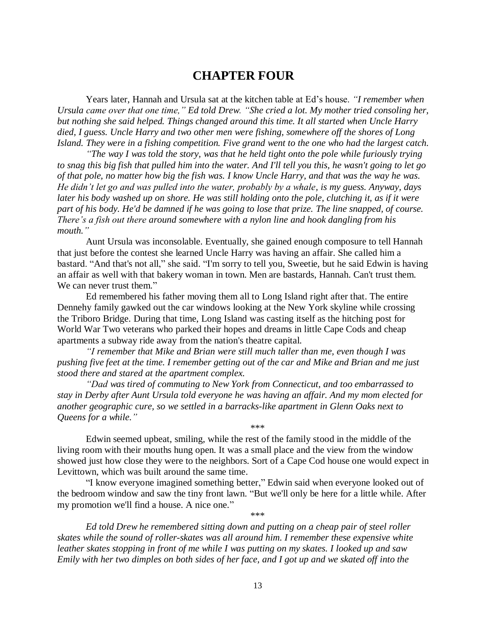## **CHAPTER FOUR**

Years later, Hannah and Ursula sat at the kitchen table at Ed's house. *"I remember when Ursula came over that one time," Ed told Drew. "She cried a lot. My mother tried consoling her, but nothing she said helped. Things changed around this time. It all started when Uncle Harry died, I guess. Uncle Harry and two other men were fishing, somewhere off the shores of Long Island. They were in a fishing competition. Five grand went to the one who had the largest catch.*

*"The way I was told the story, was that he held tight onto the pole while furiously trying to snag this big fish that pulled him into the water. And I'll tell you this, he wasn't going to let go of that pole, no matter how big the fish was. I know Uncle Harry, and that was the way he was. He didn't let go and was pulled into the water, probably by a whale, is my guess. Anyway, days later his body washed up on shore. He was still holding onto the pole, clutching it, as if it were part of his body. He'd be damned if he was going to lose that prize. The line snapped, of course. There's a fish out there around somewhere with a nylon line and hook dangling from his mouth."*

Aunt Ursula was inconsolable. Eventually, she gained enough composure to tell Hannah that just before the contest she learned Uncle Harry was having an affair. She called him a bastard. "And that's not all," she said. "I'm sorry to tell you, Sweetie, but he said Edwin is having an affair as well with that bakery woman in town. Men are bastards, Hannah. Can't trust them. We can never trust them."

Ed remembered his father moving them all to Long Island right after that. The entire Dennehy family gawked out the car windows looking at the New York skyline while crossing the Triboro Bridge. During that time, Long Island was casting itself as the hitching post for World War Two veterans who parked their hopes and dreams in little Cape Cods and cheap apartments a subway ride away from the nation's theatre capital.

*"I remember that Mike and Brian were still much taller than me, even though I was pushing five feet at the time. I remember getting out of the car and Mike and Brian and me just stood there and stared at the apartment complex.*

*"Dad was tired of commuting to New York from Connecticut, and too embarrassed to stay in Derby after Aunt Ursula told everyone he was having an affair. And my mom elected for another geographic cure, so we settled in a barracks-like apartment in Glenn Oaks next to Queens for a while."*

Edwin seemed upbeat, smiling, while the rest of the family stood in the middle of the living room with their mouths hung open. It was a small place and the view from the window showed just how close they were to the neighbors. Sort of a Cape Cod house one would expect in Levittown, which was built around the same time.

\*\*\*

"I know everyone imagined something better," Edwin said when everyone looked out of the bedroom window and saw the tiny front lawn. "But we'll only be here for a little while. After my promotion we'll find a house. A nice one."

*Ed told Drew he remembered sitting down and putting on a cheap pair of steel roller skates while the sound of roller-skates was all around him. I remember these expensive white leather skates stopping in front of me while I was putting on my skates. I looked up and saw Emily with her two dimples on both sides of her face, and I got up and we skated off into the*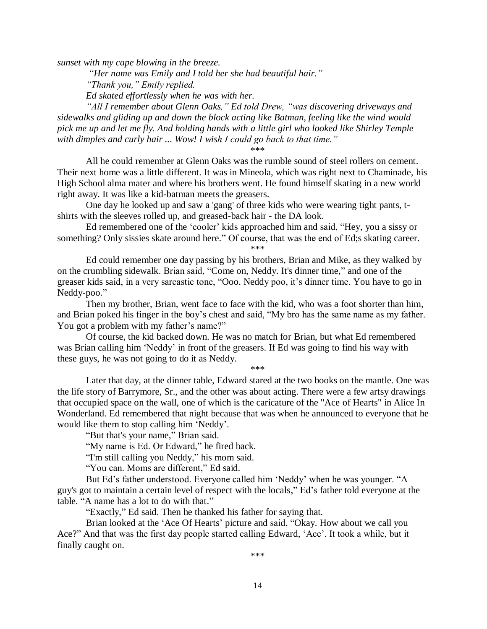*sunset with my cape blowing in the breeze.*

*"Her name was Emily and I told her she had beautiful hair."*

*"Thank you," Emily replied.*

*Ed skated effortlessly when he was with her.* 

*"All I remember about Glenn Oaks," Ed told Drew, "was discovering driveways and sidewalks and gliding up and down the block acting like Batman, feeling like the wind would pick me up and let me fly. And holding hands with a little girl who looked like Shirley Temple with dimples and curly hair ... Wow! I wish I could go back to that time."*

\*\*\*

All he could remember at Glenn Oaks was the rumble sound of steel rollers on cement. Their next home was a little different. It was in Mineola, which was right next to Chaminade, his High School alma mater and where his brothers went. He found himself skating in a new world right away. It was like a kid-batman meets the greasers.

One day he looked up and saw a 'gang' of three kids who were wearing tight pants, tshirts with the sleeves rolled up, and greased-back hair - the DA look.

Ed remembered one of the 'cooler' kids approached him and said, "Hey, you a sissy or something? Only sissies skate around here." Of course, that was the end of Ed;s skating career. \*\*\*

Ed could remember one day passing by his brothers, Brian and Mike, as they walked by on the crumbling sidewalk. Brian said, "Come on, Neddy. It's dinner time," and one of the greaser kids said, in a very sarcastic tone, "Ooo. Neddy poo, it's dinner time. You have to go in Neddy-poo."

Then my brother, Brian, went face to face with the kid, who was a foot shorter than him, and Brian poked his finger in the boy's chest and said, "My bro has the same name as my father. You got a problem with my father's name?"

Of course, the kid backed down. He was no match for Brian, but what Ed remembered was Brian calling him 'Neddy' in front of the greasers. If Ed was going to find his way with these guys, he was not going to do it as Neddy.

\*\*\*

Later that day, at the dinner table, Edward stared at the two books on the mantle. One was the life story of Barrymore, Sr., and the other was about acting. There were a few artsy drawings that occupied space on the wall, one of which is the caricature of the "Ace of Hearts" in Alice In Wonderland. Ed remembered that night because that was when he announced to everyone that he would like them to stop calling him 'Neddy'.

"But that's your name," Brian said.

"My name is Ed. Or Edward," he fired back.

"I'm still calling you Neddy," his mom said.

"You can. Moms are different," Ed said.

But Ed's father understood. Everyone called him 'Neddy' when he was younger. "A guy's got to maintain a certain level of respect with the locals," Ed's father told everyone at the table. "A name has a lot to do with that."

"Exactly," Ed said. Then he thanked his father for saying that.

Brian looked at the 'Ace Of Hearts' picture and said, "Okay. How about we call you Ace?" And that was the first day people started calling Edward, 'Ace'. It took a while, but it finally caught on.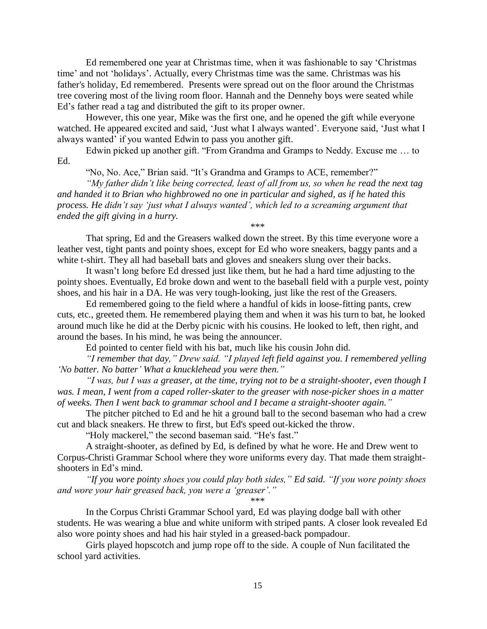Ed remembered one year at Christmas time, when it was fashionable to say 'Christmas time' and not 'holidays'. Actually, every Christmas time was the same. Christmas was his father's holiday, Ed remembered. Presents were spread out on the floor around the Christmas tree covering most of the living room floor. Hannah and the Dennehy boys were seated while Ed's father read a tag and distributed the gift to its proper owner.

However, this one year, Mike was the first one, and he opened the gift while everyone watched. He appeared excited and said, 'Just what I always wanted'. Everyone said, 'Just what I always wanted' if you wanted Edwin to pass you another gift.

Edwin picked up another gift. "From Grandma and Gramps to Neddy. Excuse me … to Ed.

"No, No. Ace," Brian said. "It's Grandma and Gramps to ACE, remember?"

*"My father didn't like being corrected, least of all from us, so when he read the next tag and handed it to Brian who highbrowed no one in particular and sighed, as if he hated this process. He didn't say 'just what I always wanted', which led to a screaming argument that ended the gift giving in a hurry.* \*\*\*

That spring, Ed and the Greasers walked down the street. By this time everyone wore a leather vest, tight pants and pointy shoes, except for Ed who wore sneakers, baggy pants and a white t-shirt. They all had baseball bats and gloves and sneakers slung over their backs.

It wasn't long before Ed dressed just like them, but he had a hard time adjusting to the pointy shoes. Eventually, Ed broke down and went to the baseball field with a purple vest, pointy shoes, and his hair in a DA. He was very tough-looking, just like the rest of the Greasers.

Ed remembered going to the field where a handful of kids in loose-fitting pants, crew cuts, etc., greeted them. He remembered playing them and when it was his turn to bat, he looked around much like he did at the Derby picnic with his cousins. He looked to left, then right, and around the bases. In his mind, he was being the announcer.

Ed pointed to center field with his bat, much like his cousin John did.

*"I remember that day," Drew said. "I played left field against you. I remembered yelling 'No batter. No batter' What a knucklehead you were then."*

*"I was, but I was a greaser, at the time, trying not to be a straight-shooter, even though I was. I mean, I went from a caped roller-skater to the greaser with nose-picker shoes in a matter of weeks. Then I went back to grammar school and I became a straight-shooter again."*

The pitcher pitched to Ed and he hit a ground ball to the second baseman who had a crew cut and black sneakers. He threw to first, but Ed's speed out-kicked the throw.

"Holy mackerel," the second baseman said. "He's fast."

A straight-shooter, as defined by Ed, is defined by what he wore. He and Drew went to Corpus-Christi Grammar School where they wore uniforms every day. That made them straightshooters in Ed's mind.

*"If you wore pointy shoes you could play both sides," Ed said. "If you wore pointy shoes and wore your hair greased back, you were a 'greaser'."*

In the Corpus Christi Grammar School yard, Ed was playing dodge ball with other students. He was wearing a blue and white uniform with striped pants. A closer look revealed Ed also wore pointy shoes and had his hair styled in a greased-back pompadour.

Girls played hopscotch and jump rope off to the side. A couple of Nun facilitated the school yard activities.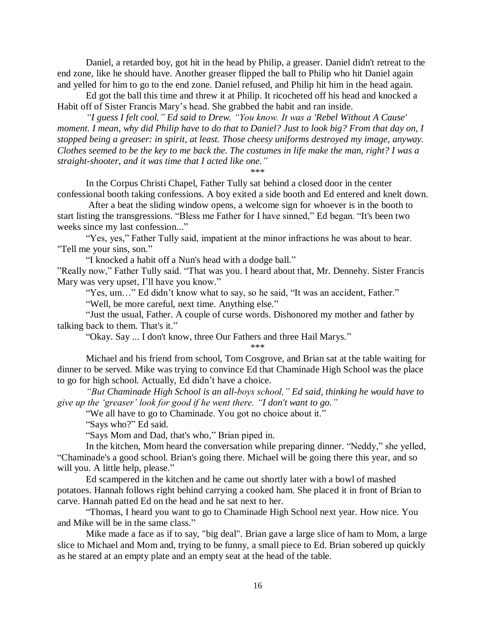Daniel, a retarded boy, got hit in the head by Philip, a greaser. Daniel didn't retreat to the end zone, like he should have. Another greaser flipped the ball to Philip who hit Daniel again and yelled for him to go to the end zone. Daniel refused, and Philip hit him in the head again.

Ed got the ball this time and threw it at Philip. It ricocheted off his head and knocked a Habit off of Sister Francis Mary's head. She grabbed the habit and ran inside.

*"I guess I felt cool," Ed said to Drew. "You know. It was a 'Rebel Without A Cause' moment. I mean, why did Philip have to do that to Daniel? Just to look big? From that day on, I stopped being a greaser: in spirit, at least. Those cheesy uniforms destroyed my image, anyway. Clothes seemed to be the key to me back the. The costumes in life make the man, right? I was a straight-shooter, and it was time that I acted like one."*

In the Corpus Christi Chapel, Father Tully sat behind a closed door in the center confessional booth taking confessions. A boy exited a side booth and Ed entered and knelt down.

\*\*\*

After a beat the sliding window opens, a welcome sign for whoever is in the booth to start listing the transgressions. "Bless me Father for I have sinned," Ed began. "It's been two weeks since my last confession..."

"Yes, yes," Father Tully said, impatient at the minor infractions he was about to hear. "Tell me your sins, son."

"I knocked a habit off a Nun's head with a dodge ball."

"Really now," Father Tully said. "That was you. I heard about that, Mr. Dennehy. Sister Francis Mary was very upset, I'll have you know."

"Yes, um…" Ed didn't know what to say, so he said, "It was an accident, Father."

"Well, be more careful, next time. Anything else."

"Just the usual, Father. A couple of curse words. Dishonored my mother and father by talking back to them. That's it."

"Okay. Say ... I don't know, three Our Fathers and three Hail Marys."

\*\*\*

Michael and his friend from school, Tom Cosgrove, and Brian sat at the table waiting for dinner to be served. Mike was trying to convince Ed that Chaminade High School was the place to go for high school. Actually, Ed didn't have a choice.

*"But Chaminade High School is an all-boys school," Ed said, thinking he would have to give up the 'greaser' look for good if he went there. "I don't want to go."*

"We all have to go to Chaminade. You got no choice about it."

"Says who?" Ed said.

"Says Mom and Dad, that's who," Brian piped in.

In the kitchen, Mom heard the conversation while preparing dinner. "Neddy," she yelled, "Chaminade's a good school. Brian's going there. Michael will be going there this year, and so will you. A little help, please."

Ed scampered in the kitchen and he came out shortly later with a bowl of mashed potatoes. Hannah follows right behind carrying a cooked ham. She placed it in front of Brian to carve. Hannah patted Ed on the head and he sat next to her.

"Thomas, I heard you want to go to Chaminade High School next year. How nice. You and Mike will be in the same class."

Mike made a face as if to say, "big deal". Brian gave a large slice of ham to Mom, a large slice to Michael and Mom and, trying to be funny, a small piece to Ed. Brian sobered up quickly as he stared at an empty plate and an empty seat at the head of the table.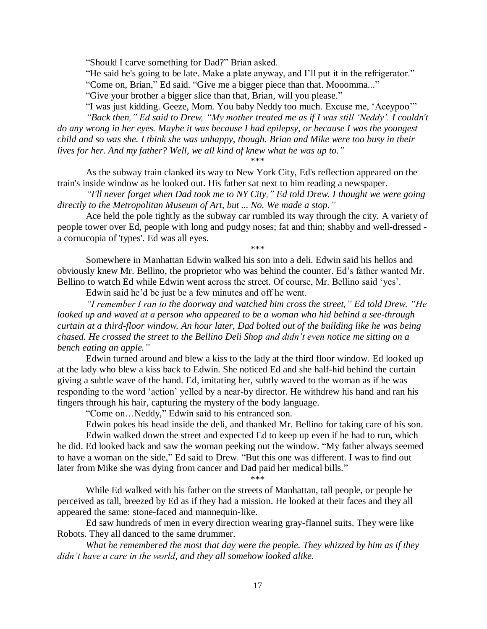"Should I carve something for Dad?" Brian asked.

"He said he's going to be late. Make a plate anyway, and I'll put it in the refrigerator."

"Come on, Brian," Ed said. "Give me a bigger piece than that. Mooomma..."

"Give your brother a bigger slice than that, Brian, will you please."

"I was just kidding. Geeze, Mom. You baby Neddy too much. Excuse me, 'Aceypoo'" *"Back then," Ed said to Drew, "My mother treated me as if I was still 'Neddy'. I couldn't do any wrong in her eyes. Maybe it was because I had epilepsy, or because I was the youngest child and so was she. I think she was unhappy, though. Brian and Mike were too busy in their lives for her. And my father? Well, we all kind of knew what he was up to."*

\*\*\*

As the subway train clanked its way to New York City, Ed's reflection appeared on the train's inside window as he looked out. His father sat next to him reading a newspaper.

*"I'll never forget when Dad took me to NY City," Ed told Drew. I thought we were going directly to the Metropolitan Museum of Art, but ... No. We made a stop."*

Ace held the pole tightly as the subway car rumbled its way through the city. A variety of people tower over Ed, people with long and pudgy noses; fat and thin; shabby and well-dressed a cornucopia of 'types'. Ed was all eyes. \*\*\*

Somewhere in Manhattan Edwin walked his son into a deli. Edwin said his hellos and obviously knew Mr. Bellino, the proprietor who was behind the counter. Ed's father wanted Mr. Bellino to watch Ed while Edwin went across the street. Of course, Mr. Bellino said 'yes'.

Edwin said he'd be just be a few minutes and off he went.

*"I remember I ran to the doorway and watched him cross the street," Ed told Drew. "He looked up and waved at a person who appeared to be a woman who hid behind a see-through curtain at a third-floor window. An hour later, Dad bolted out of the building like he was being chased. He crossed the street to the Bellino Deli Shop and didn't even notice me sitting on a bench eating an apple."*

Edwin turned around and blew a kiss to the lady at the third floor window. Ed looked up at the lady who blew a kiss back to Edwin. She noticed Ed and she half-hid behind the curtain giving a subtle wave of the hand. Ed, imitating her, subtly waved to the woman as if he was responding to the word 'action' yelled by a near-by director. He withdrew his hand and ran his fingers through his hair, capturing the mystery of the body language.

"Come on…Neddy," Edwin said to his entranced son.

Edwin pokes his head inside the deli, and thanked Mr. Bellino for taking care of his son.

Edwin walked down the street and expected Ed to keep up even if he had to run, which he did. Ed looked back and saw the woman peeking out the window. "My father always seemed to have a woman on the side," Ed said to Drew. "But this one was different. I was to find out later from Mike she was dying from cancer and Dad paid her medical bills."

\*\*\*

While Ed walked with his father on the streets of Manhattan, tall people, or people he perceived as tall, breezed by Ed as if they had a mission. He looked at their faces and they all appeared the same: stone-faced and mannequin-like.

Ed saw hundreds of men in every direction wearing gray-flannel suits. They were like Robots. They all danced to the same drummer.

*What he remembered the most that day were the people. They whizzed by him as if they didn't have a care in the world, and they all somehow looked alike.*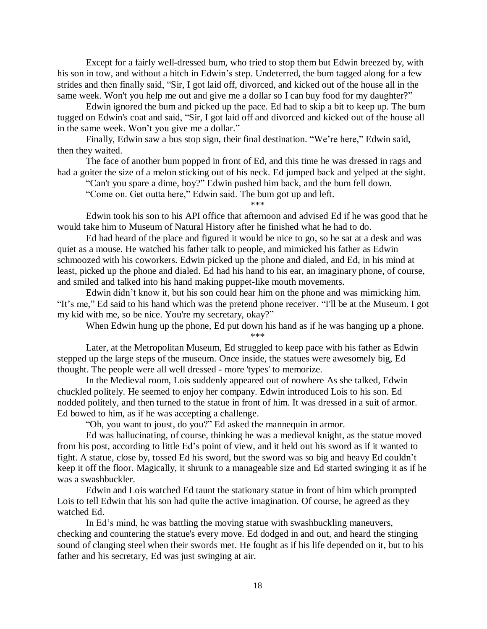Except for a fairly well-dressed bum, who tried to stop them but Edwin breezed by, with his son in tow, and without a hitch in Edwin's step. Undeterred, the bum tagged along for a few strides and then finally said, "Sir, I got laid off, divorced, and kicked out of the house all in the same week. Won't you help me out and give me a dollar so I can buy food for my daughter?"

Edwin ignored the bum and picked up the pace. Ed had to skip a bit to keep up. The bum tugged on Edwin's coat and said, "Sir, I got laid off and divorced and kicked out of the house all in the same week. Won't you give me a dollar."

Finally, Edwin saw a bus stop sign, their final destination. "We're here," Edwin said, then they waited.

The face of another bum popped in front of Ed, and this time he was dressed in rags and had a goiter the size of a melon sticking out of his neck. Ed jumped back and yelped at the sight.

"Can't you spare a dime, boy?" Edwin pushed him back, and the bum fell down.

"Come on. Get outta here," Edwin said. The bum got up and left.

\*\*\*

Edwin took his son to his API office that afternoon and advised Ed if he was good that he would take him to Museum of Natural History after he finished what he had to do.

Ed had heard of the place and figured it would be nice to go, so he sat at a desk and was quiet as a mouse. He watched his father talk to people, and mimicked his father as Edwin schmoozed with his coworkers. Edwin picked up the phone and dialed, and Ed, in his mind at least, picked up the phone and dialed. Ed had his hand to his ear, an imaginary phone, of course, and smiled and talked into his hand making puppet-like mouth movements.

Edwin didn't know it, but his son could hear him on the phone and was mimicking him. "It's me," Ed said to his hand which was the pretend phone receiver. "I'll be at the Museum. I got my kid with me, so be nice. You're my secretary, okay?"

When Edwin hung up the phone, Ed put down his hand as if he was hanging up a phone.

\*\*\*

Later, at the Metropolitan Museum, Ed struggled to keep pace with his father as Edwin stepped up the large steps of the museum. Once inside, the statues were awesomely big, Ed thought. The people were all well dressed - more 'types' to memorize.

In the Medieval room, Lois suddenly appeared out of nowhere As she talked, Edwin chuckled politely. He seemed to enjoy her company. Edwin introduced Lois to his son. Ed nodded politely, and then turned to the statue in front of him. It was dressed in a suit of armor. Ed bowed to him, as if he was accepting a challenge.

"Oh, you want to joust, do you?" Ed asked the mannequin in armor.

Ed was hallucinating, of course, thinking he was a medieval knight, as the statue moved from his post, according to little Ed's point of view, and it held out his sword as if it wanted to fight. A statue, close by, tossed Ed his sword, but the sword was so big and heavy Ed couldn't keep it off the floor. Magically, it shrunk to a manageable size and Ed started swinging it as if he was a swashbuckler.

Edwin and Lois watched Ed taunt the stationary statue in front of him which prompted Lois to tell Edwin that his son had quite the active imagination. Of course, he agreed as they watched Ed.

In Ed's mind, he was battling the moving statue with swashbuckling maneuvers, checking and countering the statue's every move. Ed dodged in and out, and heard the stinging sound of clanging steel when their swords met. He fought as if his life depended on it, but to his father and his secretary, Ed was just swinging at air.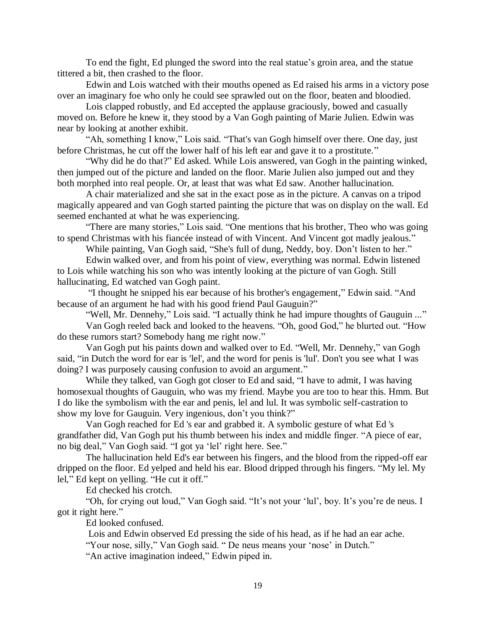To end the fight, Ed plunged the sword into the real statue's groin area, and the statue tittered a bit, then crashed to the floor.

Edwin and Lois watched with their mouths opened as Ed raised his arms in a victory pose over an imaginary foe who only he could see sprawled out on the floor, beaten and bloodied.

Lois clapped robustly, and Ed accepted the applause graciously, bowed and casually moved on. Before he knew it, they stood by a Van Gogh painting of Marie Julien. Edwin was near by looking at another exhibit.

"Ah, something I know," Lois said. "That's van Gogh himself over there. One day, just before Christmas, he cut off the lower half of his left ear and gave it to a prostitute."

"Why did he do that?" Ed asked. While Lois answered, van Gogh in the painting winked, then jumped out of the picture and landed on the floor. Marie Julien also jumped out and they both morphed into real people. Or, at least that was what Ed saw. Another hallucination.

A chair materialized and she sat in the exact pose as in the picture. A canvas on a tripod magically appeared and van Gogh started painting the picture that was on display on the wall. Ed seemed enchanted at what he was experiencing.

"There are many stories," Lois said. "One mentions that his brother, Theo who was going to spend Christmas with his fiancée instead of with Vincent. And Vincent got madly jealous."

While painting, Van Gogh said, "She's full of dung, Neddy, boy. Don't listen to her."

Edwin walked over, and from his point of view, everything was normal. Edwin listened to Lois while watching his son who was intently looking at the picture of van Gogh. Still hallucinating, Ed watched van Gogh paint.

"I thought he snipped his ear because of his brother's engagement," Edwin said. "And because of an argument he had with his good friend Paul Gauguin?"

"Well, Mr. Dennehy," Lois said. "I actually think he had impure thoughts of Gauguin ..."

Van Gogh reeled back and looked to the heavens. "Oh, good God," he blurted out. "How do these rumors start? Somebody hang me right now."

Van Gogh put his paints down and walked over to Ed. "Well, Mr. Dennehy," van Gogh said, "in Dutch the word for ear is 'lel', and the word for penis is 'lul'. Don't you see what I was doing? I was purposely causing confusion to avoid an argument."

While they talked, van Gogh got closer to Ed and said, "I have to admit, I was having homosexual thoughts of Gauguin, who was my friend. Maybe you are too to hear this. Hmm. But I do like the symbolism with the ear and penis, lel and lul. It was symbolic self-castration to show my love for Gauguin. Very ingenious, don't you think?"

Van Gogh reached for Ed 's ear and grabbed it. A symbolic gesture of what Ed 's grandfather did, Van Gogh put his thumb between his index and middle finger. "A piece of ear, no big deal," Van Gogh said. "I got ya 'lel' right here. See."

The hallucination held Ed's ear between his fingers, and the blood from the ripped-off ear dripped on the floor. Ed yelped and held his ear. Blood dripped through his fingers. "My lel. My lel," Ed kept on yelling. "He cut it off."

Ed checked his crotch.

"Oh, for crying out loud," Van Gogh said. "It's not your 'lul', boy. It's you're de neus. I got it right here."

Ed looked confused.

Lois and Edwin observed Ed pressing the side of his head, as if he had an ear ache.

"Your nose, silly," Van Gogh said. " De neus means your 'nose' in Dutch."

"An active imagination indeed," Edwin piped in.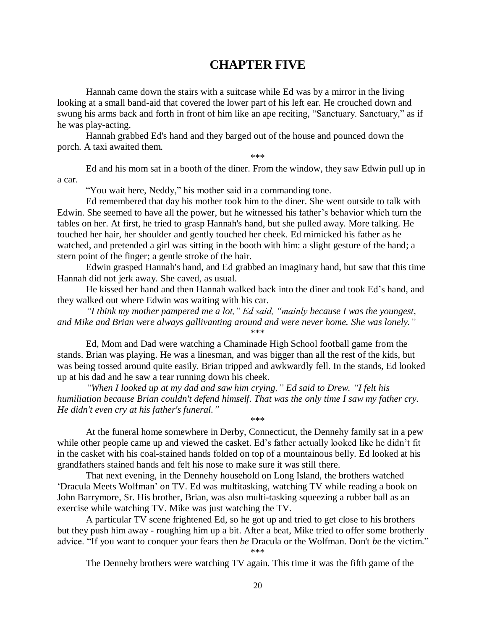## **CHAPTER FIVE**

Hannah came down the stairs with a suitcase while Ed was by a mirror in the living looking at a small band-aid that covered the lower part of his left ear. He crouched down and swung his arms back and forth in front of him like an ape reciting, "Sanctuary. Sanctuary," as if he was play-acting.

Hannah grabbed Ed's hand and they barged out of the house and pounced down the porch. A taxi awaited them.

\*\*\*

Ed and his mom sat in a booth of the diner. From the window, they saw Edwin pull up in a car.

"You wait here, Neddy," his mother said in a commanding tone.

Ed remembered that day his mother took him to the diner. She went outside to talk with Edwin. She seemed to have all the power, but he witnessed his father's behavior which turn the tables on her. At first, he tried to grasp Hannah's hand, but she pulled away. More talking. He touched her hair, her shoulder and gently touched her cheek. Ed mimicked his father as he watched, and pretended a girl was sitting in the booth with him: a slight gesture of the hand; a stern point of the finger; a gentle stroke of the hair.

Edwin grasped Hannah's hand, and Ed grabbed an imaginary hand, but saw that this time Hannah did not jerk away. She caved, as usual.

He kissed her hand and then Hannah walked back into the diner and took Ed's hand, and they walked out where Edwin was waiting with his car.

*"I think my mother pampered me a lot," Ed said, "mainly because I was the youngest, and Mike and Brian were always gallivanting around and were never home. She was lonely."* \*\*\*

Ed, Mom and Dad were watching a Chaminade High School football game from the stands. Brian was playing. He was a linesman, and was bigger than all the rest of the kids, but was being tossed around quite easily. Brian tripped and awkwardly fell. In the stands, Ed looked up at his dad and he saw a tear running down his cheek.

*"When I looked up at my dad and saw him crying," Ed said to Drew. "I felt his humiliation because Brian couldn't defend himself. That was the only time I saw my father cry. He didn't even cry at his father's funeral."* \*\*\*

At the funeral home somewhere in Derby, Connecticut, the Dennehy family sat in a pew while other people came up and viewed the casket. Ed's father actually looked like he didn't fit in the casket with his coal-stained hands folded on top of a mountainous belly. Ed looked at his grandfathers stained hands and felt his nose to make sure it was still there.

That next evening, in the Dennehy household on Long Island, the brothers watched 'Dracula Meets Wolfman' on TV. Ed was multitasking, watching TV while reading a book on John Barrymore, Sr. His brother, Brian, was also multi-tasking squeezing a rubber ball as an exercise while watching TV. Mike was just watching the TV.

A particular TV scene frightened Ed, so he got up and tried to get close to his brothers but they push him away - roughing him up a bit. After a beat, Mike tried to offer some brotherly advice. "If you want to conquer your fears then *be* Dracula or the Wolfman. Don't *be* the victim." \*\*\*

The Dennehy brothers were watching TV again. This time it was the fifth game of the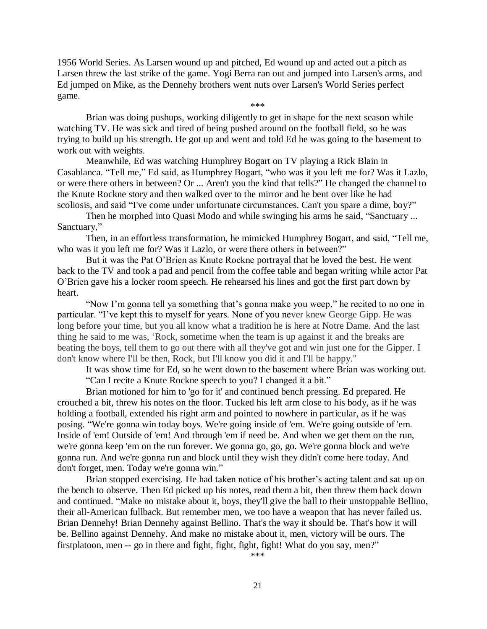1956 World Series. As Larsen wound up and pitched, Ed wound up and acted out a pitch as Larsen threw the last strike of the game. Yogi Berra ran out and jumped into Larsen's arms, and Ed jumped on Mike, as the Dennehy brothers went nuts over Larsen's World Series perfect game.

\*\*\*

Brian was doing pushups, working diligently to get in shape for the next season while watching TV. He was sick and tired of being pushed around on the football field, so he was trying to build up his strength. He got up and went and told Ed he was going to the basement to work out with weights.

Meanwhile, Ed was watching Humphrey Bogart on TV playing a Rick Blain in Casablanca. "Tell me," Ed said, as Humphrey Bogart, "who was it you left me for? Was it Lazlo, or were there others in between? Or ... Aren't you the kind that tells?" He changed the channel to the Knute Rockne story and then walked over to the mirror and he bent over like he had scoliosis, and said "I've come under unfortunate circumstances. Can't you spare a dime, boy?"

Then he morphed into Quasi Modo and while swinging his arms he said, "Sanctuary ... Sanctuary,"

Then, in an effortless transformation, he mimicked Humphrey Bogart, and said, "Tell me, who was it you left me for? Was it Lazlo, or were there others in between?"

But it was the Pat O'Brien as Knute Rockne portrayal that he loved the best. He went back to the TV and took a pad and pencil from the coffee table and began writing while actor Pat O'Brien gave his a locker room speech. He rehearsed his lines and got the first part down by heart.

"Now I'm gonna tell ya something that's gonna make you weep," he recited to no one in particular. "I've kept this to myself for years. None of you never knew George Gipp. He was long before your time, but you all know what a tradition he is here at Notre Dame. And the last thing he said to me was, 'Rock, sometime when the team is up against it and the breaks are beating the boys, tell them to go out there with all they've got and win just one for the Gipper. I don't know where I'll be then, Rock, but I'll know you did it and I'll be happy."

It was show time for Ed, so he went down to the basement where Brian was working out. "Can I recite a Knute Rockne speech to you? I changed it a bit."

Brian motioned for him to 'go for it' and continued bench pressing. Ed prepared. He crouched a bit, threw his notes on the floor. Tucked his left arm close to his body, as if he was holding a football, extended his right arm and pointed to nowhere in particular, as if he was posing. "We're gonna win today boys. We're going inside of 'em. We're going outside of 'em. Inside of 'em! Outside of 'em! And through 'em if need be. And when we get them on the run, we're gonna keep 'em on the run forever. We gonna go, go, go. We're gonna block and we're gonna run. And we're gonna run and block until they wish they didn't come here today. And don't forget, men. Today we're gonna win."

Brian stopped exercising. He had taken notice of his brother's acting talent and sat up on the bench to observe. Then Ed picked up his notes, read them a bit, then threw them back down and continued. "Make no mistake about it, boys, they'll give the ball to their unstoppable Bellino, their all-American fullback. But remember men, we too have a weapon that has never failed us. Brian Dennehy! Brian Dennehy against Bellino. That's the way it should be. That's how it will be. Bellino against Dennehy. And make no mistake about it, men, victory will be ours. The firstplatoon, men -- go in there and fight, fight, fight, fight! What do you say, men?"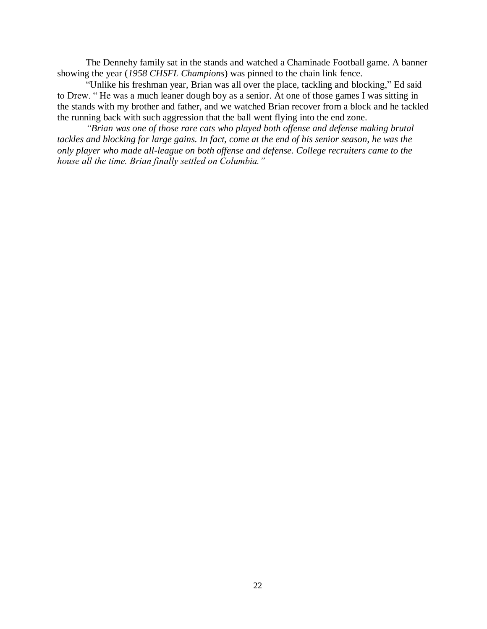The Dennehy family sat in the stands and watched a Chaminade Football game. A banner showing the year (*1958 CHSFL Champions*) was pinned to the chain link fence.

"Unlike his freshman year, Brian was all over the place, tackling and blocking," Ed said to Drew. " He was a much leaner dough boy as a senior. At one of those games I was sitting in the stands with my brother and father, and we watched Brian recover from a block and he tackled the running back with such aggression that the ball went flying into the end zone.

*"Brian was one of those rare cats who played both offense and defense making brutal tackles and blocking for large gains. In fact, come at the end of his senior season, he was the only player who made all-league on both offense and defense. College recruiters came to the house all the time. Brian finally settled on Columbia."*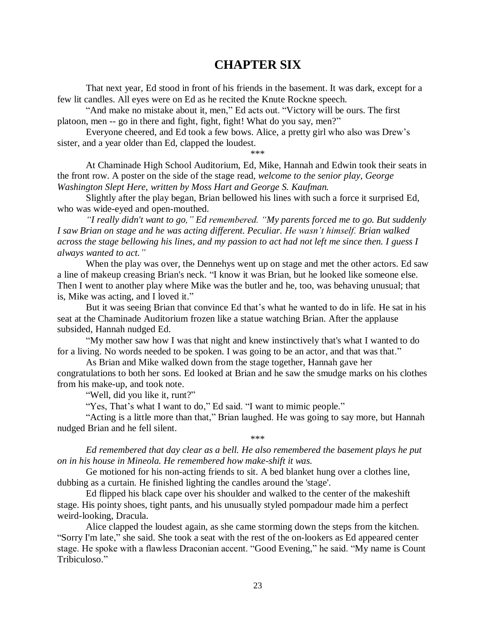# **CHAPTER SIX**

That next year, Ed stood in front of his friends in the basement. It was dark, except for a few lit candles. All eyes were on Ed as he recited the Knute Rockne speech.

"And make no mistake about it, men," Ed acts out. "Victory will be ours. The first platoon, men -- go in there and fight, fight, fight! What do you say, men?"

Everyone cheered, and Ed took a few bows. Alice, a pretty girl who also was Drew's sister, and a year older than Ed, clapped the loudest.

\*\*\*

At Chaminade High School Auditorium, Ed, Mike, Hannah and Edwin took their seats in the front row. A poster on the side of the stage read, *welcome to the senior play, George Washington Slept Here, written by Moss Hart and George S. Kaufman.* 

Slightly after the play began, Brian bellowed his lines with such a force it surprised Ed, who was wide-eyed and open-mouthed.

*"I really didn't want to go," Ed remembered. "My parents forced me to go. But suddenly I saw Brian on stage and he was acting different. Peculiar. He wasn't himself. Brian walked across the stage bellowing his lines, and my passion to act had not left me since then. I guess I always wanted to act."*

When the play was over, the Dennehys went up on stage and met the other actors. Ed saw a line of makeup creasing Brian's neck. "I know it was Brian, but he looked like someone else. Then I went to another play where Mike was the butler and he, too, was behaving unusual; that is, Mike was acting, and I loved it."

But it was seeing Brian that convince Ed that's what he wanted to do in life. He sat in his seat at the Chaminade Auditorium frozen like a statue watching Brian. After the applause subsided, Hannah nudged Ed.

"My mother saw how I was that night and knew instinctively that's what I wanted to do for a living. No words needed to be spoken. I was going to be an actor, and that was that."

As Brian and Mike walked down from the stage together, Hannah gave her congratulations to both her sons. Ed looked at Brian and he saw the smudge marks on his clothes from his make-up, and took note.

"Well, did you like it, runt?"

"Yes, That's what I want to do," Ed said. "I want to mimic people."

"Acting is a little more than that," Brian laughed. He was going to say more, but Hannah nudged Brian and he fell silent. \*\*\*

*Ed remembered that day clear as a bell. He also remembered the basement plays he put on in his house in Mineola. He remembered how make-shift it was.* 

Ge motioned for his non-acting friends to sit. A bed blanket hung over a clothes line, dubbing as a curtain. He finished lighting the candles around the 'stage'.

Ed flipped his black cape over his shoulder and walked to the center of the makeshift stage. His pointy shoes, tight pants, and his unusually styled pompadour made him a perfect weird-looking, Dracula.

Alice clapped the loudest again, as she came storming down the steps from the kitchen. "Sorry I'm late," she said. She took a seat with the rest of the on-lookers as Ed appeared center stage. He spoke with a flawless Draconian accent. "Good Evening," he said. "My name is Count Tribiculoso."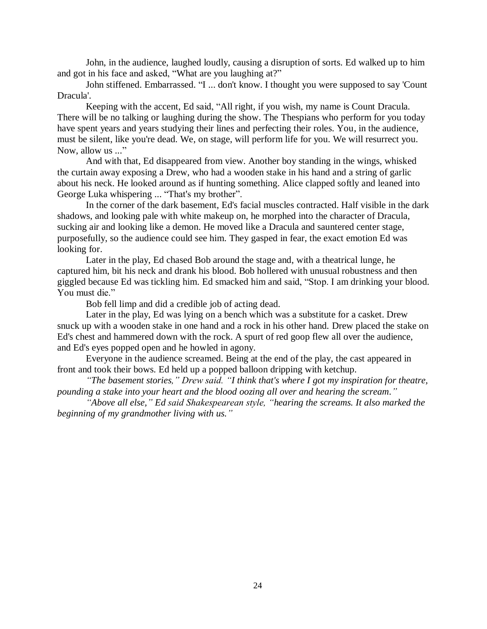John, in the audience, laughed loudly, causing a disruption of sorts. Ed walked up to him and got in his face and asked, "What are you laughing at?"

John stiffened. Embarrassed. "I ... don't know. I thought you were supposed to say 'Count Dracula'.

Keeping with the accent, Ed said, "All right, if you wish, my name is Count Dracula. There will be no talking or laughing during the show. The Thespians who perform for you today have spent years and years studying their lines and perfecting their roles. You, in the audience, must be silent, like you're dead. We, on stage, will perform life for you. We will resurrect you. Now, allow us ..."

And with that, Ed disappeared from view. Another boy standing in the wings, whisked the curtain away exposing a Drew, who had a wooden stake in his hand and a string of garlic about his neck. He looked around as if hunting something. Alice clapped softly and leaned into George Luka whispering ... "That's my brother".

In the corner of the dark basement, Ed's facial muscles contracted. Half visible in the dark shadows, and looking pale with white makeup on, he morphed into the character of Dracula, sucking air and looking like a demon. He moved like a Dracula and sauntered center stage, purposefully, so the audience could see him. They gasped in fear, the exact emotion Ed was looking for.

Later in the play, Ed chased Bob around the stage and, with a theatrical lunge, he captured him, bit his neck and drank his blood. Bob hollered with unusual robustness and then giggled because Ed was tickling him. Ed smacked him and said, "Stop. I am drinking your blood. You must die."

Bob fell limp and did a credible job of acting dead.

Later in the play, Ed was lying on a bench which was a substitute for a casket. Drew snuck up with a wooden stake in one hand and a rock in his other hand. Drew placed the stake on Ed's chest and hammered down with the rock. A spurt of red goop flew all over the audience, and Ed's eyes popped open and he howled in agony.

Everyone in the audience screamed. Being at the end of the play, the cast appeared in front and took their bows. Ed held up a popped balloon dripping with ketchup.

*"The basement stories," Drew said. "I think that's where I got my inspiration for theatre, pounding a stake into your heart and the blood oozing all over and hearing the scream."*

*"Above all else," Ed said Shakespearean style, "hearing the screams. It also marked the beginning of my grandmother living with us."*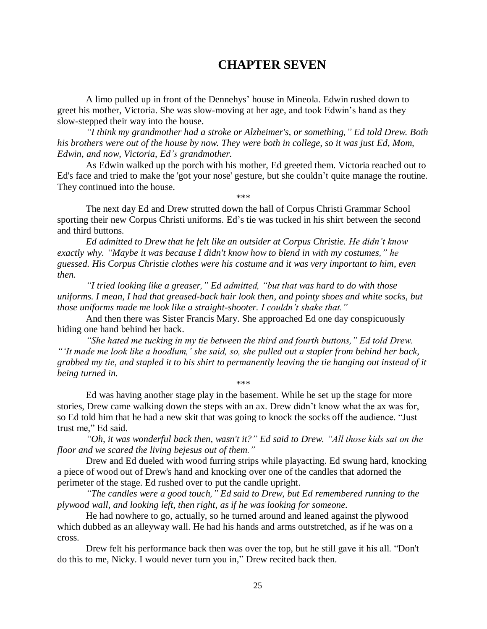# **CHAPTER SEVEN**

A limo pulled up in front of the Dennehys' house in Mineola. Edwin rushed down to greet his mother, Victoria. She was slow-moving at her age, and took Edwin's hand as they slow-stepped their way into the house.

*"I think my grandmother had a stroke or Alzheimer's, or something," Ed told Drew. Both his brothers were out of the house by now. They were both in college, so it was just Ed, Mom, Edwin, and now, Victoria, Ed's grandmother.*

As Edwin walked up the porch with his mother, Ed greeted them. Victoria reached out to Ed's face and tried to make the 'got your nose' gesture, but she couldn't quite manage the routine. They continued into the house.

\*\*\*

The next day Ed and Drew strutted down the hall of Corpus Christi Grammar School sporting their new Corpus Christi uniforms. Ed's tie was tucked in his shirt between the second and third buttons.

*Ed admitted to Drew that he felt like an outsider at Corpus Christie. He didn't know exactly why. "Maybe it was because I didn't know how to blend in with my costumes," he guessed. His Corpus Christie clothes were his costume and it was very important to him, even then.* 

*"I tried looking like a greaser," Ed admitted, "but that was hard to do with those uniforms. I mean, I had that greased-back hair look then, and pointy shoes and white socks, but those uniforms made me look like a straight-shooter. I couldn't shake that."*

And then there was Sister Francis Mary. She approached Ed one day conspicuously hiding one hand behind her back.

*"She hated me tucking in my tie between the third and fourth buttons," Ed told Drew. "'It made me look like a hoodlum,' she said, so, she pulled out a stapler from behind her back, grabbed my tie, and stapled it to his shirt to permanently leaving the tie hanging out instead of it being turned in.*  \*\*\*

Ed was having another stage play in the basement. While he set up the stage for more stories, Drew came walking down the steps with an ax. Drew didn't know what the ax was for, so Ed told him that he had a new skit that was going to knock the socks off the audience. "Just trust me," Ed said.

*"Oh, it was wonderful back then, wasn't it?" Ed said to Drew. "All those kids sat on the floor and we scared the living bejesus out of them."*

Drew and Ed dueled with wood furring strips while playacting. Ed swung hard, knocking a piece of wood out of Drew's hand and knocking over one of the candles that adorned the perimeter of the stage. Ed rushed over to put the candle upright.

*"The candles were a good touch," Ed said to Drew, but Ed remembered running to the plywood wall, and looking left, then right, as if he was looking for someone.*

He had nowhere to go, actually, so he turned around and leaned against the plywood which dubbed as an alleyway wall. He had his hands and arms outstretched, as if he was on a cross.

Drew felt his performance back then was over the top, but he still gave it his all. "Don't do this to me, Nicky. I would never turn you in," Drew recited back then.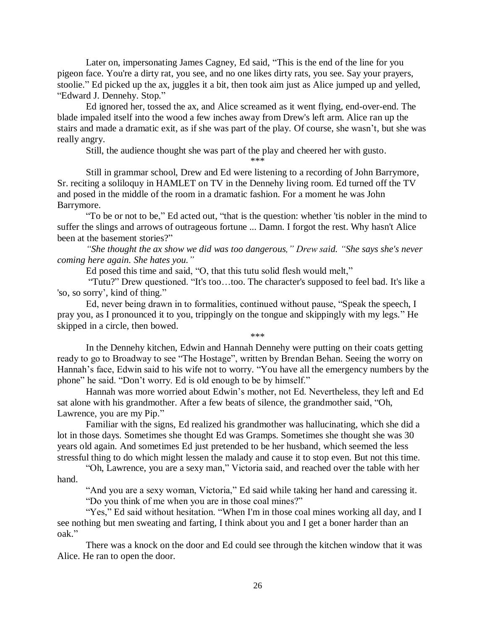Later on, impersonating James Cagney, Ed said, "This is the end of the line for you pigeon face. You're a dirty rat, you see, and no one likes dirty rats, you see. Say your prayers, stoolie." Ed picked up the ax, juggles it a bit, then took aim just as Alice jumped up and yelled, "Edward J. Dennehy. Stop."

Ed ignored her, tossed the ax, and Alice screamed as it went flying, end-over-end. The blade impaled itself into the wood a few inches away from Drew's left arm. Alice ran up the stairs and made a dramatic exit, as if she was part of the play. Of course, she wasn't, but she was really angry.

Still, the audience thought she was part of the play and cheered her with gusto.

\*\*\*

Still in grammar school, Drew and Ed were listening to a recording of John Barrymore, Sr. reciting a soliloquy in HAMLET on TV in the Dennehy living room. Ed turned off the TV and posed in the middle of the room in a dramatic fashion. For a moment he was John Barrymore.

"To be or not to be," Ed acted out, "that is the question: whether 'tis nobler in the mind to suffer the slings and arrows of outrageous fortune ... Damn. I forgot the rest. Why hasn't Alice been at the basement stories?"

*"She thought the ax show we did was too dangerous," Drew said. "She says she's never coming here again. She hates you."*

Ed posed this time and said, "O, that this tutu solid flesh would melt,"

"Tutu?" Drew questioned. "It's too…too. The character's supposed to feel bad. It's like a 'so, so sorry', kind of thing."

Ed, never being drawn in to formalities, continued without pause, "Speak the speech, I pray you, as I pronounced it to you, trippingly on the tongue and skippingly with my legs." He skipped in a circle, then bowed. \*\*\*

In the Dennehy kitchen, Edwin and Hannah Dennehy were putting on their coats getting ready to go to Broadway to see "The Hostage", written by Brendan Behan. Seeing the worry on Hannah's face, Edwin said to his wife not to worry. "You have all the emergency numbers by the phone" he said. "Don't worry. Ed is old enough to be by himself."

Hannah was more worried about Edwin's mother, not Ed. Nevertheless, they left and Ed sat alone with his grandmother. After a few beats of silence, the grandmother said, "Oh, Lawrence, you are my Pip."

Familiar with the signs, Ed realized his grandmother was hallucinating, which she did a lot in those days. Sometimes she thought Ed was Gramps. Sometimes she thought she was 30 years old again. And sometimes Ed just pretended to be her husband, which seemed the less stressful thing to do which might lessen the malady and cause it to stop even. But not this time.

"Oh, Lawrence, you are a sexy man," Victoria said, and reached over the table with her hand.

"And you are a sexy woman, Victoria," Ed said while taking her hand and caressing it. "Do you think of me when you are in those coal mines?"

"Yes," Ed said without hesitation. "When I'm in those coal mines working all day, and I

see nothing but men sweating and farting, I think about you and I get a boner harder than an oak."

There was a knock on the door and Ed could see through the kitchen window that it was Alice. He ran to open the door.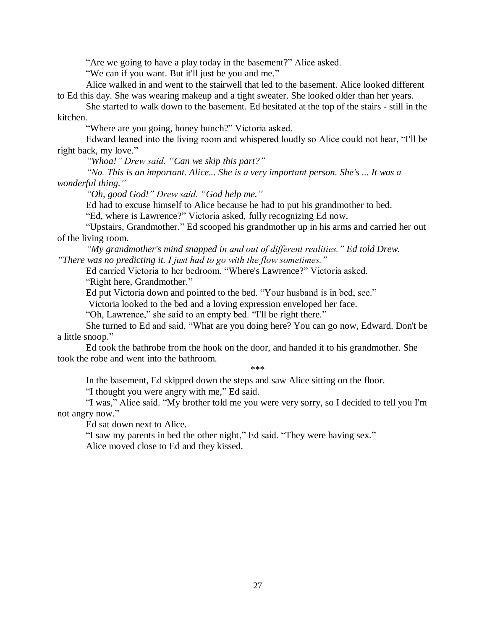"Are we going to have a play today in the basement?" Alice asked.

"We can if you want. But it'll just be you and me."

Alice walked in and went to the stairwell that led to the basement. Alice looked different to Ed this day. She was wearing makeup and a tight sweater. She looked older than her years.

She started to walk down to the basement. Ed hesitated at the top of the stairs - still in the kitchen.

"Where are you going, honey bunch?" Victoria asked.

Edward leaned into the living room and whispered loudly so Alice could not hear, "I'll be right back, my love."

*"Whoa!" Drew said. "Can we skip this part?"*

*"No. This is an important. Alice... She is a very important person. She's ... It was a wonderful thing."*

*"Oh, good God!" Drew said. "God help me."*

Ed had to excuse himself to Alice because he had to put his grandmother to bed.

"Ed, where is Lawrence?" Victoria asked, fully recognizing Ed now.

"Upstairs, Grandmother." Ed scooped his grandmother up in his arms and carried her out of the living room.

*"My grandmother's mind snapped in and out of different realities." Ed told Drew. "There was no predicting it. I just had to go with the flow sometimes."*

Ed carried Victoria to her bedroom. "Where's Lawrence?" Victoria asked.

"Right here, Grandmother."

Ed put Victoria down and pointed to the bed. "Your husband is in bed, see."

Victoria looked to the bed and a loving expression enveloped her face.

"Oh, Lawrence," she said to an empty bed. "I'll be right there."

She turned to Ed and said, "What are you doing here? You can go now, Edward. Don't be a little snoop."

Ed took the bathrobe from the hook on the door, and handed it to his grandmother. She took the robe and went into the bathroom.

\*\*\*

In the basement, Ed skipped down the steps and saw Alice sitting on the floor.

"I thought you were angry with me," Ed said.

"I was," Alice said. "My brother told me you were very sorry, so I decided to tell you I'm not angry now."

Ed sat down next to Alice.

"I saw my parents in bed the other night," Ed said. "They were having sex." Alice moved close to Ed and they kissed.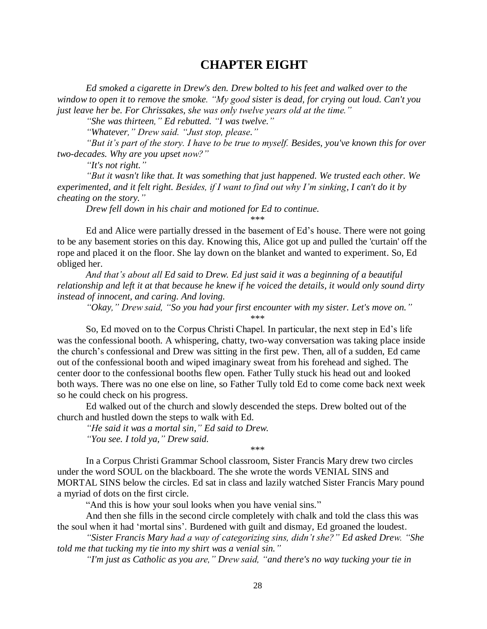#### **CHAPTER EIGHT**

*Ed smoked a cigarette in Drew's den. Drew bolted to his feet and walked over to the window to open it to remove the smoke. "My good sister is dead, for crying out loud. Can't you just leave her be. For Chrissakes, she was only twelve years old at the time."*

*"She was thirteen," Ed rebutted. "I was twelve."* 

*"Whatever," Drew said. "Just stop, please."*

*"But it's part of the story. I have to be true to myself. Besides, you've known this for over two-decades. Why are you upset now?"*

*"It's not right."*

*"But it wasn't like that. It was something that just happened. We trusted each other. We experimented, and it felt right. Besides, if I want to find out why I'm sinking, I can't do it by cheating on the story."*

*Drew fell down in his chair and motioned for Ed to continue.*

\*\*\*

Ed and Alice were partially dressed in the basement of Ed's house. There were not going to be any basement stories on this day. Knowing this, Alice got up and pulled the 'curtain' off the rope and placed it on the floor. She lay down on the blanket and wanted to experiment. So, Ed obliged her.

*And that's about all Ed said to Drew. Ed just said it was a beginning of a beautiful relationship and left it at that because he knew if he voiced the details, it would only sound dirty instead of innocent, and caring. And loving.*

*"Okay," Drew said, "So you had your first encounter with my sister. Let's move on."* \*\*\*

So, Ed moved on to the Corpus Christi Chapel. In particular, the next step in Ed's life was the confessional booth. A whispering, chatty, two-way conversation was taking place inside the church's confessional and Drew was sitting in the first pew. Then, all of a sudden, Ed came out of the confessional booth and wiped imaginary sweat from his forehead and sighed. The center door to the confessional booths flew open. Father Tully stuck his head out and looked both ways. There was no one else on line, so Father Tully told Ed to come come back next week so he could check on his progress.

Ed walked out of the church and slowly descended the steps. Drew bolted out of the church and hustled down the steps to walk with Ed.

*"He said it was a mortal sin," Ed said to Drew. "You see. I told ya," Drew said.*

\*\*\*

In a Corpus Christi Grammar School classroom, Sister Francis Mary drew two circles under the word SOUL on the blackboard. The she wrote the words VENIAL SINS and MORTAL SINS below the circles. Ed sat in class and lazily watched Sister Francis Mary pound a myriad of dots on the first circle.

"And this is how your soul looks when you have venial sins."

And then she fills in the second circle completely with chalk and told the class this was the soul when it had 'mortal sins'. Burdened with guilt and dismay, Ed groaned the loudest.

*"Sister Francis Mary had a way of categorizing sins, didn't she?" Ed asked Drew. "She told me that tucking my tie into my shirt was a venial sin."*

*"I'm just as Catholic as you are," Drew said, "and there's no way tucking your tie in*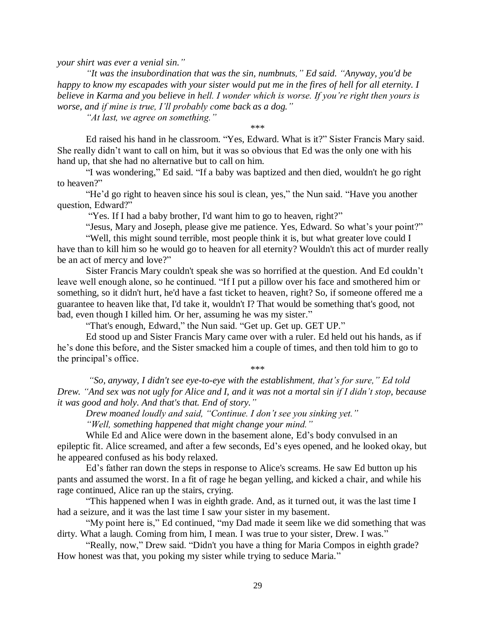*your shirt was ever a venial sin."*

*"It was the insubordination that was the sin, numbnuts," Ed said. "Anyway, you'd be happy to know my escapades with your sister would put me in the fires of hell for all eternity. I believe in Karma and you believe in hell. I wonder which is worse. If you're right then yours is worse, and if mine is true, I'll probably come back as a dog."*

*"At last, we agree on something."*

\*\*\*

Ed raised his hand in he classroom. "Yes, Edward. What is it?" Sister Francis Mary said. She really didn't want to call on him, but it was so obvious that Ed was the only one with his hand up, that she had no alternative but to call on him.

"I was wondering," Ed said. "If a baby was baptized and then died, wouldn't he go right to heaven?"

"He'd go right to heaven since his soul is clean, yes," the Nun said. "Have you another question, Edward?"

"Yes. If I had a baby brother, I'd want him to go to heaven, right?"

"Jesus, Mary and Joseph, please give me patience. Yes, Edward. So what's your point?"

"Well, this might sound terrible, most people think it is, but what greater love could I have than to kill him so he would go to heaven for all eternity? Wouldn't this act of murder really be an act of mercy and love?"

Sister Francis Mary couldn't speak she was so horrified at the question. And Ed couldn't leave well enough alone, so he continued. "If I put a pillow over his face and smothered him or something, so it didn't hurt, he'd have a fast ticket to heaven, right? So, if someone offered me a guarantee to heaven like that, I'd take it, wouldn't I? That would be something that's good, not bad, even though I killed him. Or her, assuming he was my sister."

"That's enough, Edward," the Nun said. "Get up. Get up. GET UP."

Ed stood up and Sister Francis Mary came over with a ruler. Ed held out his hands, as if he's done this before, and the Sister smacked him a couple of times, and then told him to go to the principal's office.

\*\*\*

*"So, anyway, I didn't see eye-to-eye with the establishment, that's for sure," Ed told Drew. "And sex was not ugly for Alice and I, and it was not a mortal sin if I didn't stop, because it was good and holy. And that's that. End of story."*

*Drew moaned loudly and said, "Continue. I don't see you sinking yet."*

*"Well, something happened that might change your mind."*

While Ed and Alice were down in the basement alone, Ed's body convulsed in an epileptic fit. Alice screamed, and after a few seconds, Ed's eyes opened, and he looked okay, but he appeared confused as his body relaxed.

Ed's father ran down the steps in response to Alice's screams. He saw Ed button up his pants and assumed the worst. In a fit of rage he began yelling, and kicked a chair, and while his rage continued, Alice ran up the stairs, crying.

"This happened when I was in eighth grade. And, as it turned out, it was the last time I had a seizure, and it was the last time I saw your sister in my basement.

"My point here is," Ed continued, "my Dad made it seem like we did something that was dirty. What a laugh. Coming from him, I mean. I was true to your sister, Drew. I was."

"Really, now," Drew said. "Didn't you have a thing for Maria Compos in eighth grade? How honest was that, you poking my sister while trying to seduce Maria."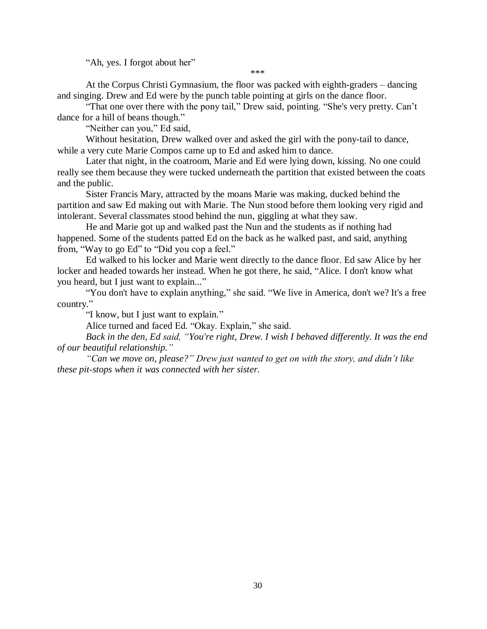"Ah, yes. I forgot about her"

\*\*\*

At the Corpus Christi Gymnasium, the floor was packed with eighth-graders – dancing and singing. Drew and Ed were by the punch table pointing at girls on the dance floor.

"That one over there with the pony tail," Drew said, pointing. "She's very pretty. Can't dance for a hill of beans though."

"Neither can you," Ed said,

Without hesitation, Drew walked over and asked the girl with the pony-tail to dance, while a very cute Marie Compos came up to Ed and asked him to dance.

Later that night, in the coatroom, Marie and Ed were lying down, kissing. No one could really see them because they were tucked underneath the partition that existed between the coats and the public.

Sister Francis Mary, attracted by the moans Marie was making, ducked behind the partition and saw Ed making out with Marie. The Nun stood before them looking very rigid and intolerant. Several classmates stood behind the nun, giggling at what they saw.

He and Marie got up and walked past the Nun and the students as if nothing had happened. Some of the students patted Ed on the back as he walked past, and said, anything from, "Way to go Ed" to "Did you cop a feel."

Ed walked to his locker and Marie went directly to the dance floor. Ed saw Alice by her locker and headed towards her instead. When he got there, he said, "Alice. I don't know what you heard, but I just want to explain..."

"You don't have to explain anything," she said. "We live in America, don't we? It's a free country."

"I know, but I just want to explain."

Alice turned and faced Ed. "Okay. Explain," she said.

*Back in the den, Ed said, "You're right, Drew. I wish I behaved differently. It was the end of our beautiful relationship."*

*"Can we move on, please?" Drew just wanted to get on with the story, and didn't like these pit-stops when it was connected with her sister.*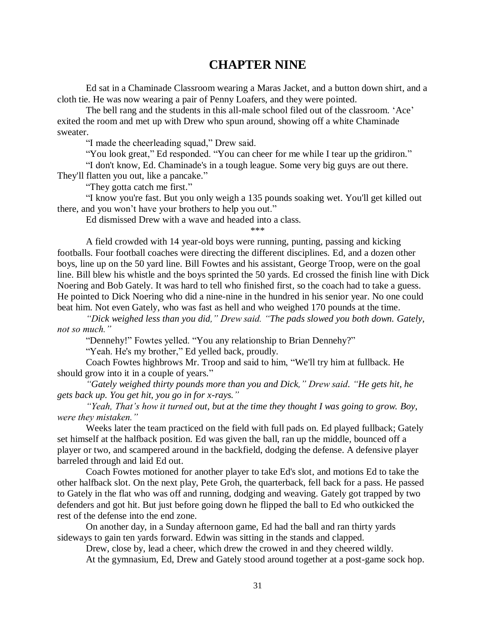### **CHAPTER NINE**

Ed sat in a Chaminade Classroom wearing a Maras Jacket, and a button down shirt, and a cloth tie. He was now wearing a pair of Penny Loafers, and they were pointed.

The bell rang and the students in this all-male school filed out of the classroom. 'Ace' exited the room and met up with Drew who spun around, showing off a white Chaminade sweater.

"I made the cheerleading squad," Drew said.

"You look great," Ed responded. "You can cheer for me while I tear up the gridiron."

"I don't know, Ed. Chaminade's in a tough league. Some very big guys are out there.

They'll flatten you out, like a pancake."

"They gotta catch me first."

"I know you're fast. But you only weigh a 135 pounds soaking wet. You'll get killed out there, and you won't have your brothers to help you out."

Ed dismissed Drew with a wave and headed into a class.

\*\*\*

A field crowded with 14 year-old boys were running, punting, passing and kicking footballs. Four football coaches were directing the different disciplines. Ed, and a dozen other boys, line up on the 50 yard line. Bill Fowtes and his assistant, George Troop, were on the goal line. Bill blew his whistle and the boys sprinted the 50 yards. Ed crossed the finish line with Dick Noering and Bob Gately. It was hard to tell who finished first, so the coach had to take a guess. He pointed to Dick Noering who did a nine-nine in the hundred in his senior year. No one could beat him. Not even Gately, who was fast as hell and who weighed 170 pounds at the time.

*"Dick weighed less than you did," Drew said. "The pads slowed you both down. Gately, not so much."*

"Dennehy!" Fowtes yelled. "You any relationship to Brian Dennehy?"

"Yeah. He's my brother," Ed yelled back, proudly.

Coach Fowtes highbrows Mr. Troop and said to him, "We'll try him at fullback. He should grow into it in a couple of years."

*"Gately weighed thirty pounds more than you and Dick," Drew said. "He gets hit, he gets back up. You get hit, you go in for x-rays."*

*"Yeah, That's how it turned out, but at the time they thought I was going to grow. Boy, were they mistaken."*

Weeks later the team practiced on the field with full pads on. Ed played fullback; Gately set himself at the halfback position. Ed was given the ball, ran up the middle, bounced off a player or two, and scampered around in the backfield, dodging the defense. A defensive player barreled through and laid Ed out.

Coach Fowtes motioned for another player to take Ed's slot, and motions Ed to take the other halfback slot. On the next play, Pete Groh, the quarterback, fell back for a pass. He passed to Gately in the flat who was off and running, dodging and weaving. Gately got trapped by two defenders and got hit. But just before going down he flipped the ball to Ed who outkicked the rest of the defense into the end zone.

On another day, in a Sunday afternoon game, Ed had the ball and ran thirty yards sideways to gain ten yards forward. Edwin was sitting in the stands and clapped.

Drew, close by, lead a cheer, which drew the crowed in and they cheered wildly.

At the gymnasium, Ed, Drew and Gately stood around together at a post-game sock hop.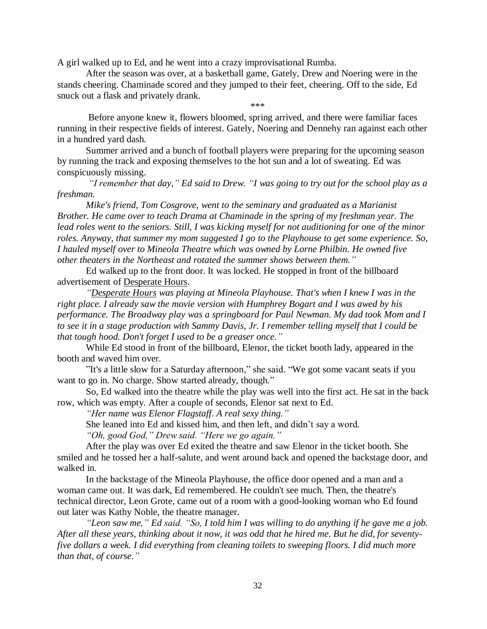A girl walked up to Ed, and he went into a crazy improvisational Rumba.

After the season was over, at a basketball game, Gately, Drew and Noering were in the stands cheering. Chaminade scored and they jumped to their feet, cheering. Off to the side, Ed snuck out a flask and privately drank. \*\*\*

Before anyone knew it, flowers bloomed, spring arrived, and there were familiar faces running in their respective fields of interest. Gately, Noering and Dennehy ran against each other in a hundred yard dash.

Summer arrived and a bunch of football players were preparing for the upcoming season by running the track and exposing themselves to the hot sun and a lot of sweating. Ed was conspicuously missing.

*"I remember that day," Ed said to Drew. "I was going to try out for the school play as a freshman.*

*Mike's friend, Tom Cosgrove, went to the seminary and graduated as a Marianist Brother. He came over to teach Drama at Chaminade in the spring of my freshman year. The lead roles went to the seniors. Still, I was kicking myself for not auditioning for one of the minor roles. Anyway, that summer my mom suggested I go to the Playhouse to get some experience. So, I hauled myself over to Mineola Theatre which was owned by Lorne Philbin. He owned five other theaters in the Northeast and rotated the summer shows between them."*

Ed walked up to the front door. It was locked. He stopped in front of the billboard advertisement of Desperate Hours.

*"Desperate Hours was playing at Mineola Playhouse. That's when I knew I was in the right place. I already saw the movie version with Humphrey Bogart and I was awed by his performance. The Broadway play was a springboard for Paul Newman. My dad took Mom and I to see it in a stage production with Sammy Davis, Jr. I remember telling myself that I could be that tough hood. Don't forget I used to be a greaser once."*

While Ed stood in front of the billboard, Elenor, the ticket booth lady, appeared in the booth and waved him over.

"It's a little slow for a Saturday afternoon," she said. "We got some vacant seats if you want to go in. No charge. Show started already, though."

So, Ed walked into the theatre while the play was well into the first act. He sat in the back row, which was empty. After a couple of seconds, Elenor sat next to Ed.

*"Her name was Elenor Flagstaff. A real sexy thing."*

She leaned into Ed and kissed him, and then left, and didn't say a word.

*"Oh, good God," Drew said. "Here we go again."*

After the play was over Ed exited the theatre and saw Elenor in the ticket booth. She smiled and he tossed her a half-salute, and went around back and opened the backstage door, and walked in.

In the backstage of the Mineola Playhouse, the office door opened and a man and a woman came out. It was dark, Ed remembered. He couldn't see much. Then, the theatre's technical director, Leon Grote, came out of a room with a good-looking woman who Ed found out later was Kathy Noble, the theatre manager.

*"Leon saw me," Ed said. "So, I told him I was willing to do anything if he gave me a job. After all these years, thinking about it now, it was odd that he hired me. But he did, for seventyfive dollars a week. I did everything from cleaning toilets to sweeping floors. I did much more than that, of course."*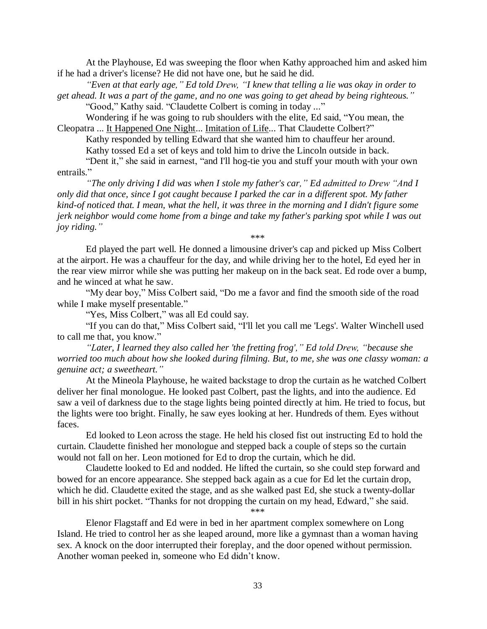At the Playhouse, Ed was sweeping the floor when Kathy approached him and asked him if he had a driver's license? He did not have one, but he said he did.

*"Even at that early age," Ed told Drew, "I knew that telling a lie was okay in order to get ahead. It was a part of the game, and no one was going to get ahead by being righteous."*

"Good," Kathy said. "Claudette Colbert is coming in today ..."

Wondering if he was going to rub shoulders with the elite, Ed said, "You mean, the Cleopatra ... It Happened One Night... Imitation of Life... That Claudette Colbert?"

Kathy responded by telling Edward that she wanted him to chauffeur her around.

Kathy tossed Ed a set of keys and told him to drive the Lincoln outside in back.

"Dent it," she said in earnest, "and I'll hog-tie you and stuff your mouth with your own entrails."

*"The only driving I did was when I stole my father's car," Ed admitted to Drew "And I only did that once, since I got caught because I parked the car in a different spot. My father kind-of noticed that. I mean, what the hell, it was three in the morning and I didn't figure some jerk neighbor would come home from a binge and take my father's parking spot while I was out joy riding."*

\*\*\*

Ed played the part well. He donned a limousine driver's cap and picked up Miss Colbert at the airport. He was a chauffeur for the day, and while driving her to the hotel, Ed eyed her in the rear view mirror while she was putting her makeup on in the back seat. Ed rode over a bump, and he winced at what he saw.

"My dear boy," Miss Colbert said, "Do me a favor and find the smooth side of the road while I make myself presentable."

"Yes, Miss Colbert," was all Ed could say.

"If you can do that," Miss Colbert said, "I'll let you call me 'Legs'. Walter Winchell used to call me that, you know."

*"Later, I learned they also called her 'the fretting frog'," Ed told Drew, "because she worried too much about how she looked during filming. But, to me, she was one classy woman: a genuine act; a sweetheart."*

At the Mineola Playhouse, he waited backstage to drop the curtain as he watched Colbert deliver her final monologue. He looked past Colbert, past the lights, and into the audience. Ed saw a veil of darkness due to the stage lights being pointed directly at him. He tried to focus, but the lights were too bright. Finally, he saw eyes looking at her. Hundreds of them. Eyes without faces.

Ed looked to Leon across the stage. He held his closed fist out instructing Ed to hold the curtain. Claudette finished her monologue and stepped back a couple of steps so the curtain would not fall on her. Leon motioned for Ed to drop the curtain, which he did.

Claudette looked to Ed and nodded. He lifted the curtain, so she could step forward and bowed for an encore appearance. She stepped back again as a cue for Ed let the curtain drop, which he did. Claudette exited the stage, and as she walked past Ed, she stuck a twenty-dollar bill in his shirt pocket. "Thanks for not dropping the curtain on my head, Edward," she said.

Elenor Flagstaff and Ed were in bed in her apartment complex somewhere on Long Island. He tried to control her as she leaped around, more like a gymnast than a woman having sex. A knock on the door interrupted their foreplay, and the door opened without permission. Another woman peeked in, someone who Ed didn't know.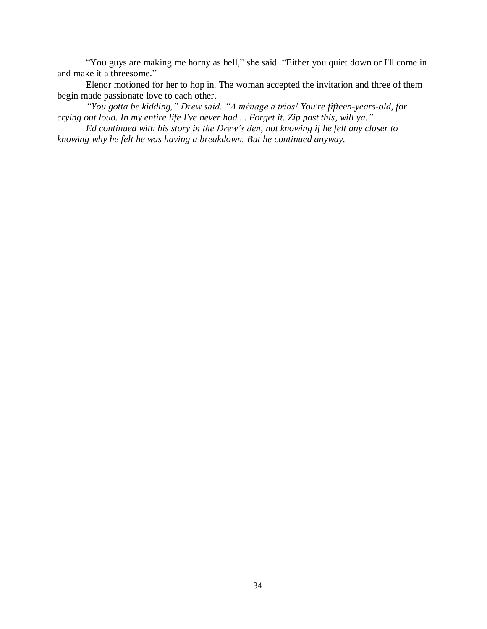"You guys are making me horny as hell," she said. "Either you quiet down or I'll come in and make it a threesome."

Elenor motioned for her to hop in. The woman accepted the invitation and three of them begin made passionate love to each other.

*"You gotta be kidding," Drew said. "A ménage a trios! You're fifteen-years-old, for crying out loud. In my entire life I've never had ... Forget it. Zip past this, will ya."*

*Ed continued with his story in the Drew's den, not knowing if he felt any closer to knowing why he felt he was having a breakdown. But he continued anyway.*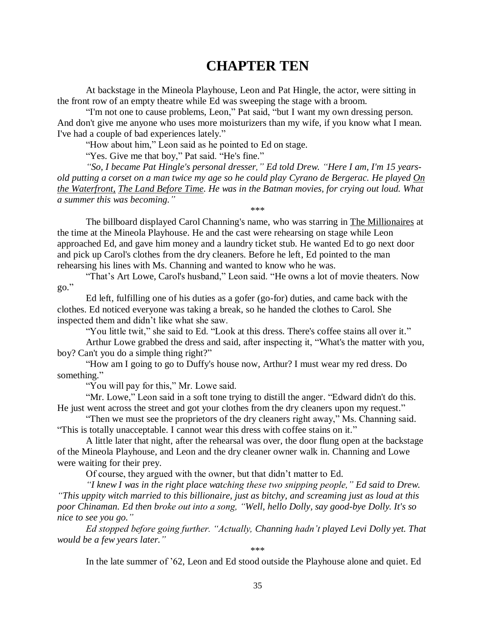# **CHAPTER TEN**

At backstage in the Mineola Playhouse, Leon and Pat Hingle, the actor, were sitting in the front row of an empty theatre while Ed was sweeping the stage with a broom.

"I'm not one to cause problems, Leon," Pat said, "but I want my own dressing person. And don't give me anyone who uses more moisturizers than my wife, if you know what I mean. I've had a couple of bad experiences lately."

"How about him," Leon said as he pointed to Ed on stage.

"Yes. Give me that boy," Pat said. "He's fine."

*"So, I became Pat Hingle's personal dresser," Ed told Drew. "Here I am, I'm 15 yearsold putting a corset on a man twice my age so he could play Cyrano de Bergerac. He played On the Waterfront, The Land Before Time. He was in the Batman movies, for crying out loud. What a summer this was becoming."*

\*\*\*

The billboard displayed Carol Channing's name, who was starring in The Millionaires at the time at the Mineola Playhouse. He and the cast were rehearsing on stage while Leon approached Ed, and gave him money and a laundry ticket stub. He wanted Ed to go next door and pick up Carol's clothes from the dry cleaners. Before he left, Ed pointed to the man rehearsing his lines with Ms. Channing and wanted to know who he was.

"That's Art Lowe, Carol's husband," Leon said. "He owns a lot of movie theaters. Now go."

Ed left, fulfilling one of his duties as a gofer (go-for) duties, and came back with the clothes. Ed noticed everyone was taking a break, so he handed the clothes to Carol. She inspected them and didn't like what she saw.

"You little twit," she said to Ed. "Look at this dress. There's coffee stains all over it."

Arthur Lowe grabbed the dress and said, after inspecting it, "What's the matter with you, boy? Can't you do a simple thing right?"

"How am I going to go to Duffy's house now, Arthur? I must wear my red dress. Do something."

"You will pay for this," Mr. Lowe said.

"Mr. Lowe," Leon said in a soft tone trying to distill the anger. "Edward didn't do this. He just went across the street and got your clothes from the dry cleaners upon my request."

"Then we must see the proprietors of the dry cleaners right away," Ms. Channing said. "This is totally unacceptable. I cannot wear this dress with coffee stains on it."

A little later that night, after the rehearsal was over, the door flung open at the backstage of the Mineola Playhouse, and Leon and the dry cleaner owner walk in. Channing and Lowe were waiting for their prey.

Of course, they argued with the owner, but that didn't matter to Ed.

*"I knew I was in the right place watching these two snipping people," Ed said to Drew. "This uppity witch married to this billionaire, just as bitchy, and screaming just as loud at this poor Chinaman. Ed then broke out into a song, "Well, hello Dolly, say good-bye Dolly. It's so nice to see you go."*

*Ed stopped before going further. "Actually, Channing hadn't played Levi Dolly yet. That would be a few years later."*

\*\*\*

In the late summer of '62, Leon and Ed stood outside the Playhouse alone and quiet. Ed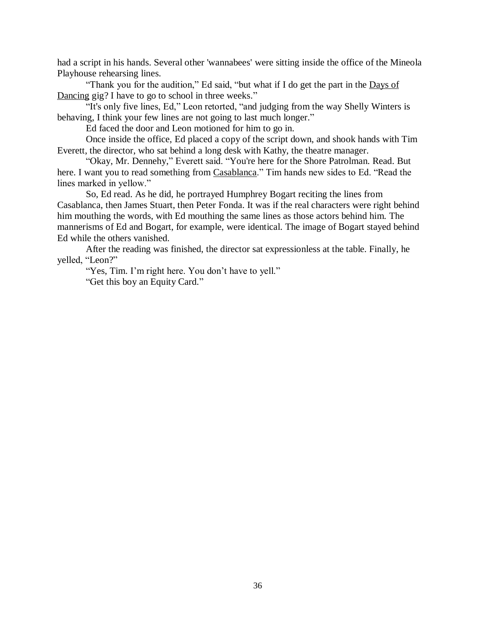had a script in his hands. Several other 'wannabees' were sitting inside the office of the Mineola Playhouse rehearsing lines.

"Thank you for the audition," Ed said, "but what if I do get the part in the  $Days$  of Dancing gig? I have to go to school in three weeks."

"It's only five lines, Ed," Leon retorted, "and judging from the way Shelly Winters is behaving, I think your few lines are not going to last much longer."

Ed faced the door and Leon motioned for him to go in.

Once inside the office, Ed placed a copy of the script down, and shook hands with Tim Everett, the director, who sat behind a long desk with Kathy, the theatre manager.

"Okay, Mr. Dennehy," Everett said. "You're here for the Shore Patrolman. Read. But here. I want you to read something from Casablanca." Tim hands new sides to Ed. "Read the lines marked in yellow."

So, Ed read. As he did, he portrayed Humphrey Bogart reciting the lines from Casablanca, then James Stuart, then Peter Fonda. It was if the real characters were right behind him mouthing the words, with Ed mouthing the same lines as those actors behind him. The mannerisms of Ed and Bogart, for example, were identical. The image of Bogart stayed behind Ed while the others vanished.

After the reading was finished, the director sat expressionless at the table. Finally, he yelled, "Leon?"

"Yes, Tim. I'm right here. You don't have to yell." "Get this boy an Equity Card."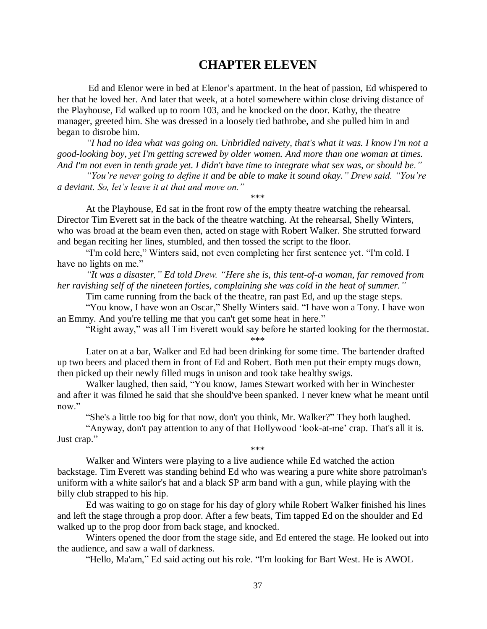# **CHAPTER ELEVEN**

Ed and Elenor were in bed at Elenor's apartment. In the heat of passion, Ed whispered to her that he loved her. And later that week, at a hotel somewhere within close driving distance of the Playhouse, Ed walked up to room 103, and he knocked on the door. Kathy, the theatre manager, greeted him. She was dressed in a loosely tied bathrobe, and she pulled him in and began to disrobe him.

*"I had no idea what was going on. Unbridled naivety, that's what it was. I know I'm not a good-looking boy, yet I'm getting screwed by older women. And more than one woman at times. And I'm not even in tenth grade yet. I didn't have time to integrate what sex was, or should be."*

*"You're never going to define it and be able to make it sound okay." Drew said. "You're a deviant. So, let's leave it at that and move on."*

\*\*\*

At the Playhouse, Ed sat in the front row of the empty theatre watching the rehearsal. Director Tim Everett sat in the back of the theatre watching. At the rehearsal, Shelly Winters, who was broad at the beam even then, acted on stage with Robert Walker. She strutted forward and began reciting her lines, stumbled, and then tossed the script to the floor.

"I'm cold here," Winters said, not even completing her first sentence yet. "I'm cold. I have no lights on me."

*"It was a disaster," Ed told Drew. "Here she is, this tent-of-a woman, far removed from her ravishing self of the nineteen forties, complaining she was cold in the heat of summer."*

Tim came running from the back of the theatre, ran past Ed, and up the stage steps.

"You know, I have won an Oscar," Shelly Winters said. "I have won a Tony. I have won an Emmy. And you're telling me that you can't get some heat in here."

"Right away," was all Tim Everett would say before he started looking for the thermostat. \*\*\*

Later on at a bar, Walker and Ed had been drinking for some time. The bartender drafted up two beers and placed them in front of Ed and Robert. Both men put their empty mugs down, then picked up their newly filled mugs in unison and took take healthy swigs.

Walker laughed, then said, "You know, James Stewart worked with her in Winchester and after it was filmed he said that she should've been spanked. I never knew what he meant until now."

"She's a little too big for that now, don't you think, Mr. Walker?" They both laughed.

"Anyway, don't pay attention to any of that Hollywood 'look-at-me' crap. That's all it is. Just crap." \*\*\*

Walker and Winters were playing to a live audience while Ed watched the action backstage. Tim Everett was standing behind Ed who was wearing a pure white shore patrolman's uniform with a white sailor's hat and a black SP arm band with a gun, while playing with the billy club strapped to his hip.

Ed was waiting to go on stage for his day of glory while Robert Walker finished his lines and left the stage through a prop door. After a few beats, Tim tapped Ed on the shoulder and Ed walked up to the prop door from back stage, and knocked.

Winters opened the door from the stage side, and Ed entered the stage. He looked out into the audience, and saw a wall of darkness.

"Hello, Ma'am," Ed said acting out his role. "I'm looking for Bart West. He is AWOL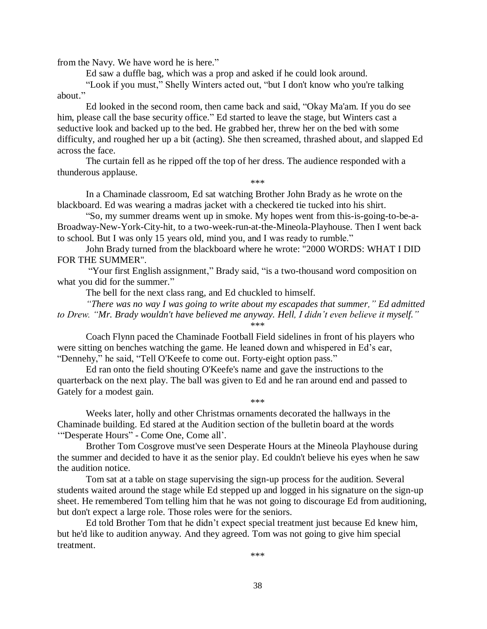from the Navy. We have word he is here."

Ed saw a duffle bag, which was a prop and asked if he could look around.

"Look if you must," Shelly Winters acted out, "but I don't know who you're talking about."

Ed looked in the second room, then came back and said, "Okay Ma'am. If you do see him, please call the base security office." Ed started to leave the stage, but Winters cast a seductive look and backed up to the bed. He grabbed her, threw her on the bed with some difficulty, and roughed her up a bit (acting). She then screamed, thrashed about, and slapped Ed across the face.

The curtain fell as he ripped off the top of her dress. The audience responded with a thunderous applause.

\*\*\*

In a Chaminade classroom, Ed sat watching Brother John Brady as he wrote on the blackboard. Ed was wearing a madras jacket with a checkered tie tucked into his shirt.

"So, my summer dreams went up in smoke. My hopes went from this-is-going-to-be-a-Broadway-New-York-City-hit, to a two-week-run-at-the-Mineola-Playhouse. Then I went back to school. But I was only 15 years old, mind you, and I was ready to rumble."

John Brady turned from the blackboard where he wrote: "2000 WORDS: WHAT I DID FOR THE SUMMER".

"Your first English assignment," Brady said, "is a two-thousand word composition on what you did for the summer."

The bell for the next class rang, and Ed chuckled to himself.

*"There was no way I was going to write about my escapades that summer," Ed admitted to Drew. "Mr. Brady wouldn't have believed me anyway. Hell, I didn't even believe it myself."* \*\*\*

Coach Flynn paced the Chaminade Football Field sidelines in front of his players who were sitting on benches watching the game. He leaned down and whispered in Ed's ear, "Dennehy," he said, "Tell O'Keefe to come out. Forty-eight option pass."

Ed ran onto the field shouting O'Keefe's name and gave the instructions to the quarterback on the next play. The ball was given to Ed and he ran around end and passed to Gately for a modest gain.

\*\*\*

Weeks later, holly and other Christmas ornaments decorated the hallways in the Chaminade building. Ed stared at the Audition section of the bulletin board at the words '"Desperate Hours" - Come One, Come all'.

Brother Tom Cosgrove must've seen Desperate Hours at the Mineola Playhouse during the summer and decided to have it as the senior play. Ed couldn't believe his eyes when he saw the audition notice.

Tom sat at a table on stage supervising the sign-up process for the audition. Several students waited around the stage while Ed stepped up and logged in his signature on the sign-up sheet. He remembered Tom telling him that he was not going to discourage Ed from auditioning, but don't expect a large role. Those roles were for the seniors.

Ed told Brother Tom that he didn't expect special treatment just because Ed knew him, but he'd like to audition anyway. And they agreed. Tom was not going to give him special treatment.

\*\*\*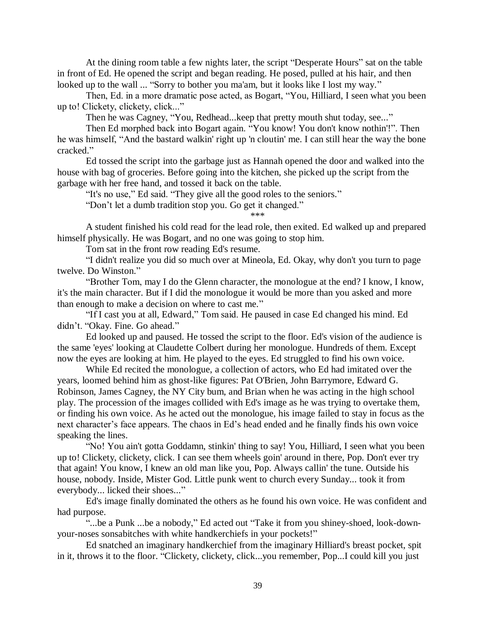At the dining room table a few nights later, the script "Desperate Hours" sat on the table in front of Ed. He opened the script and began reading. He posed, pulled at his hair, and then looked up to the wall ... "Sorry to bother you ma'am, but it looks like I lost my way."

Then, Ed. in a more dramatic pose acted, as Bogart, "You, Hilliard, I seen what you been up to! Clickety, clickety, click..."

Then he was Cagney, "You, Redhead...keep that pretty mouth shut today, see..."

Then Ed morphed back into Bogart again. "You know! You don't know nothin'!". Then he was himself, "And the bastard walkin' right up 'n cloutin' me. I can still hear the way the bone cracked."

Ed tossed the script into the garbage just as Hannah opened the door and walked into the house with bag of groceries. Before going into the kitchen, she picked up the script from the garbage with her free hand, and tossed it back on the table.

"It's no use," Ed said. "They give all the good roles to the seniors."

"Don't let a dumb tradition stop you. Go get it changed."

#### \*\*\*

A student finished his cold read for the lead role, then exited. Ed walked up and prepared himself physically. He was Bogart, and no one was going to stop him.

Tom sat in the front row reading Ed's resume.

"I didn't realize you did so much over at Mineola, Ed. Okay, why don't you turn to page twelve. Do Winston."

"Brother Tom, may I do the Glenn character, the monologue at the end? I know, I know, it's the main character. But if I did the monologue it would be more than you asked and more than enough to make a decision on where to cast me."

"If I cast you at all, Edward," Tom said. He paused in case Ed changed his mind. Ed didn't. "Okay. Fine. Go ahead."

Ed looked up and paused. He tossed the script to the floor. Ed's vision of the audience is the same 'eyes' looking at Claudette Colbert during her monologue. Hundreds of them. Except now the eyes are looking at him. He played to the eyes. Ed struggled to find his own voice.

While Ed recited the monologue, a collection of actors, who Ed had imitated over the years, loomed behind him as ghost-like figures: Pat O'Brien, John Barrymore, Edward G. Robinson, James Cagney, the NY City bum, and Brian when he was acting in the high school play. The procession of the images collided with Ed's image as he was trying to overtake them, or finding his own voice. As he acted out the monologue, his image failed to stay in focus as the next character's face appears. The chaos in Ed's head ended and he finally finds his own voice speaking the lines.

"No! You ain't gotta Goddamn, stinkin' thing to say! You, Hilliard, I seen what you been up to! Clickety, clickety, click. I can see them wheels goin' around in there, Pop. Don't ever try that again! You know, I knew an old man like you, Pop. Always callin' the tune. Outside his house, nobody. Inside, Mister God. Little punk went to church every Sunday... took it from everybody... licked their shoes..."

Ed's image finally dominated the others as he found his own voice. He was confident and had purpose.

"...be a Punk ...be a nobody," Ed acted out "Take it from you shiney-shoed, look-downyour-noses sonsabitches with white handkerchiefs in your pockets!"

Ed snatched an imaginary handkerchief from the imaginary Hilliard's breast pocket, spit in it, throws it to the floor. "Clickety, clickety, click...you remember, Pop...I could kill you just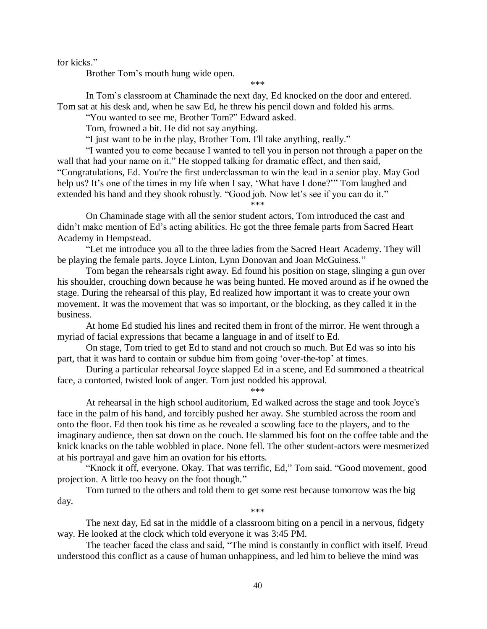for kicks."

Brother Tom's mouth hung wide open.

\*\*\*

In Tom's classroom at Chaminade the next day, Ed knocked on the door and entered. Tom sat at his desk and, when he saw Ed, he threw his pencil down and folded his arms.

"You wanted to see me, Brother Tom?" Edward asked.

Tom, frowned a bit. He did not say anything.

"I just want to be in the play, Brother Tom. I'll take anything, really."

"I wanted you to come because I wanted to tell you in person not through a paper on the wall that had your name on it." He stopped talking for dramatic effect, and then said, "Congratulations, Ed. You're the first underclassman to win the lead in a senior play. May God help us? It's one of the times in my life when I say, 'What have I done?'" Tom laughed and extended his hand and they shook robustly. "Good job. Now let's see if you can do it."

\*\*\*

On Chaminade stage with all the senior student actors, Tom introduced the cast and didn't make mention of Ed's acting abilities. He got the three female parts from Sacred Heart Academy in Hempstead.

"Let me introduce you all to the three ladies from the Sacred Heart Academy. They will be playing the female parts. Joyce Linton, Lynn Donovan and Joan McGuiness."

Tom began the rehearsals right away. Ed found his position on stage, slinging a gun over his shoulder, crouching down because he was being hunted. He moved around as if he owned the stage. During the rehearsal of this play, Ed realized how important it was to create your own movement. It was the movement that was so important, or the blocking, as they called it in the business.

At home Ed studied his lines and recited them in front of the mirror. He went through a myriad of facial expressions that became a language in and of itself to Ed.

On stage, Tom tried to get Ed to stand and not crouch so much. But Ed was so into his part, that it was hard to contain or subdue him from going 'over-the-top' at times.

During a particular rehearsal Joyce slapped Ed in a scene, and Ed summoned a theatrical face, a contorted, twisted look of anger. Tom just nodded his approval.

\*\*\*

At rehearsal in the high school auditorium, Ed walked across the stage and took Joyce's face in the palm of his hand, and forcibly pushed her away. She stumbled across the room and onto the floor. Ed then took his time as he revealed a scowling face to the players, and to the imaginary audience, then sat down on the couch. He slammed his foot on the coffee table and the knick knacks on the table wobbled in place. None fell. The other student-actors were mesmerized at his portrayal and gave him an ovation for his efforts.

"Knock it off, everyone. Okay. That was terrific, Ed," Tom said. "Good movement, good projection. A little too heavy on the foot though."

Tom turned to the others and told them to get some rest because tomorrow was the big day.

The next day, Ed sat in the middle of a classroom biting on a pencil in a nervous, fidgety way. He looked at the clock which told everyone it was 3:45 PM.

The teacher faced the class and said, "The mind is constantly in conflict with itself. Freud understood this conflict as a cause of human unhappiness, and led him to believe the mind was

\*\*\*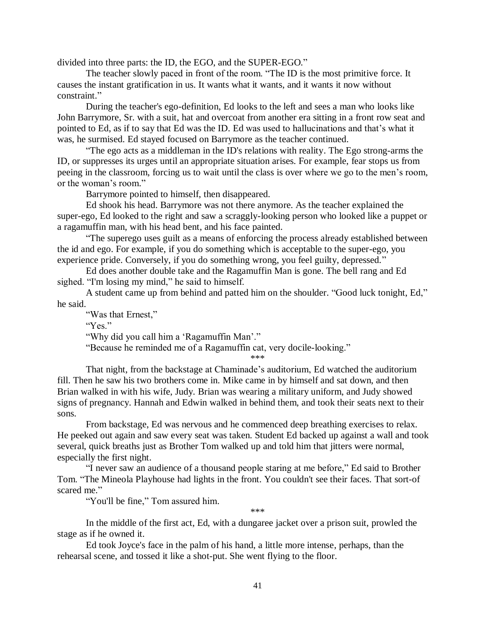divided into three parts: the ID, the EGO, and the SUPER-EGO."

The teacher slowly paced in front of the room. "The ID is the most primitive force. It causes the instant gratification in us. It wants what it wants, and it wants it now without constraint."

During the teacher's ego-definition, Ed looks to the left and sees a man who looks like John Barrymore, Sr. with a suit, hat and overcoat from another era sitting in a front row seat and pointed to Ed, as if to say that Ed was the ID. Ed was used to hallucinations and that's what it was, he surmised. Ed stayed focused on Barrymore as the teacher continued.

"The ego acts as a middleman in the ID's relations with reality. The Ego strong-arms the ID, or suppresses its urges until an appropriate situation arises. For example, fear stops us from peeing in the classroom, forcing us to wait until the class is over where we go to the men's room, or the woman's room."

Barrymore pointed to himself, then disappeared.

Ed shook his head. Barrymore was not there anymore. As the teacher explained the super-ego, Ed looked to the right and saw a scraggly-looking person who looked like a puppet or a ragamuffin man, with his head bent, and his face painted.

"The superego uses guilt as a means of enforcing the process already established between the id and ego. For example, if you do something which is acceptable to the super-ego, you experience pride. Conversely, if you do something wrong, you feel guilty, depressed."

Ed does another double take and the Ragamuffin Man is gone. The bell rang and Ed sighed. "I'm losing my mind," he said to himself.

A student came up from behind and patted him on the shoulder. "Good luck tonight, Ed," he said.

"Was that Ernest,"

"Yes"

"Why did you call him a 'Ragamuffin Man'."

"Because he reminded me of a Ragamuffin cat, very docile-looking."

\*\*\*

That night, from the backstage at Chaminade's auditorium, Ed watched the auditorium fill. Then he saw his two brothers come in. Mike came in by himself and sat down, and then Brian walked in with his wife, Judy. Brian was wearing a military uniform, and Judy showed signs of pregnancy. Hannah and Edwin walked in behind them, and took their seats next to their sons.

From backstage, Ed was nervous and he commenced deep breathing exercises to relax. He peeked out again and saw every seat was taken. Student Ed backed up against a wall and took several, quick breaths just as Brother Tom walked up and told him that jitters were normal, especially the first night.

"I never saw an audience of a thousand people staring at me before," Ed said to Brother Tom. "The Mineola Playhouse had lights in the front. You couldn't see their faces. That sort-of scared me."

"You'll be fine," Tom assured him.

\*\*\*

In the middle of the first act, Ed, with a dungaree jacket over a prison suit, prowled the stage as if he owned it.

Ed took Joyce's face in the palm of his hand, a little more intense, perhaps, than the rehearsal scene, and tossed it like a shot-put. She went flying to the floor.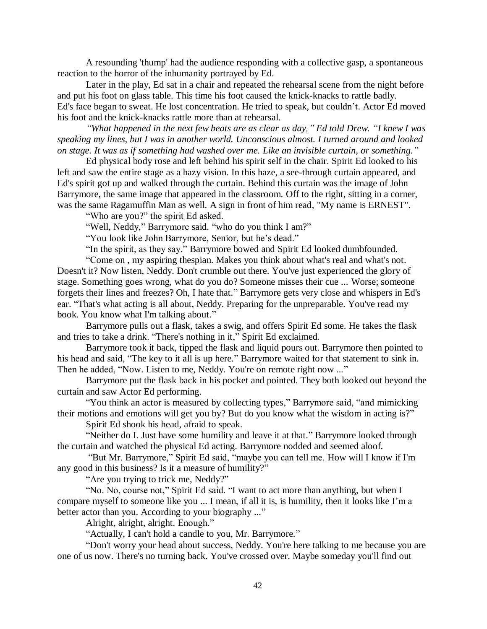A resounding 'thump' had the audience responding with a collective gasp, a spontaneous reaction to the horror of the inhumanity portrayed by Ed.

Later in the play, Ed sat in a chair and repeated the rehearsal scene from the night before and put his foot on glass table. This time his foot caused the knick-knacks to rattle badly. Ed's face began to sweat. He lost concentration. He tried to speak, but couldn't. Actor Ed moved his foot and the knick-knacks rattle more than at rehearsal.

*"What happened in the next few beats are as clear as day," Ed told Drew. "I knew I was speaking my lines, but I was in another world. Unconscious almost. I turned around and looked on stage. It was as if something had washed over me. Like an invisible curtain, or something."* 

Ed physical body rose and left behind his spirit self in the chair. Spirit Ed looked to his left and saw the entire stage as a hazy vision. In this haze, a see-through curtain appeared, and Ed's spirit got up and walked through the curtain. Behind this curtain was the image of John Barrymore, the same image that appeared in the classroom. Off to the right, sitting in a corner, was the same Ragamuffin Man as well. A sign in front of him read, "My name is ERNEST".

"Who are you?" the spirit Ed asked.

"Well, Neddy," Barrymore said. "who do you think I am?"

"You look like John Barrymore, Senior, but he's dead."

"In the spirit, as they say." Barrymore bowed and Spirit Ed looked dumbfounded.

"Come on , my aspiring thespian. Makes you think about what's real and what's not. Doesn't it? Now listen, Neddy. Don't crumble out there. You've just experienced the glory of stage. Something goes wrong, what do you do? Someone misses their cue ... Worse; someone forgets their lines and freezes? Oh, I hate that." Barrymore gets very close and whispers in Ed's ear. "That's what acting is all about, Neddy. Preparing for the unpreparable. You've read my book. You know what I'm talking about."

Barrymore pulls out a flask, takes a swig, and offers Spirit Ed some. He takes the flask and tries to take a drink. "There's nothing in it," Spirit Ed exclaimed.

Barrymore took it back, tipped the flask and liquid pours out. Barrymore then pointed to his head and said, "The key to it all is up here." Barrymore waited for that statement to sink in. Then he added, "Now. Listen to me, Neddy. You're on remote right now ..."

Barrymore put the flask back in his pocket and pointed. They both looked out beyond the curtain and saw Actor Ed performing.

"You think an actor is measured by collecting types," Barrymore said, "and mimicking their motions and emotions will get you by? But do you know what the wisdom in acting is?"

Spirit Ed shook his head, afraid to speak.

"Neither do I. Just have some humility and leave it at that." Barrymore looked through the curtain and watched the physical Ed acting. Barrymore nodded and seemed aloof.

"But Mr. Barrymore," Spirit Ed said, "maybe you can tell me. How will I know if I'm any good in this business? Is it a measure of humility?"

"Are you trying to trick me, Neddy?"

"No. No, course not," Spirit Ed said. "I want to act more than anything, but when I compare myself to someone like you ... I mean, if all it is, is humility, then it looks like I'm a better actor than you. According to your biography ..."

Alright, alright, alright. Enough."

"Actually, I can't hold a candle to you, Mr. Barrymore."

"Don't worry your head about success, Neddy. You're here talking to me because you are one of us now. There's no turning back. You've crossed over. Maybe someday you'll find out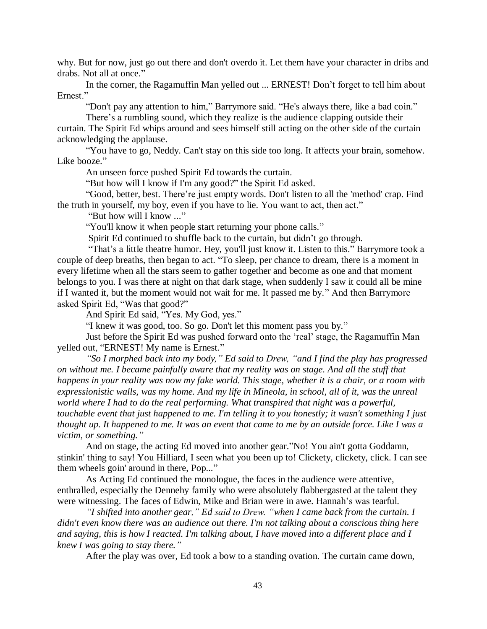why. But for now, just go out there and don't overdo it. Let them have your character in dribs and drabs. Not all at once."

In the corner, the Ragamuffin Man yelled out ... ERNEST! Don't forget to tell him about Ernest."

"Don't pay any attention to him," Barrymore said. "He's always there, like a bad coin."

There's a rumbling sound, which they realize is the audience clapping outside their curtain. The Spirit Ed whips around and sees himself still acting on the other side of the curtain acknowledging the applause.

"You have to go, Neddy. Can't stay on this side too long. It affects your brain, somehow. Like booze."

An unseen force pushed Spirit Ed towards the curtain.

"But how will I know if I'm any good?" the Spirit Ed asked.

"Good, better, best. There're just empty words. Don't listen to all the 'method' crap. Find the truth in yourself, my boy, even if you have to lie. You want to act, then act."

"But how will I know ..."

"You'll know it when people start returning your phone calls."

Spirit Ed continued to shuffle back to the curtain, but didn't go through.

"That's a little theatre humor. Hey, you'll just know it. Listen to this." Barrymore took a couple of deep breaths, then began to act. "To sleep, per chance to dream, there is a moment in every lifetime when all the stars seem to gather together and become as one and that moment belongs to you. I was there at night on that dark stage, when suddenly I saw it could all be mine if I wanted it, but the moment would not wait for me. It passed me by." And then Barrymore asked Spirit Ed, "Was that good?"

And Spirit Ed said, "Yes. My God, yes."

"I knew it was good, too. So go. Don't let this moment pass you by."

Just before the Spirit Ed was pushed forward onto the 'real' stage, the Ragamuffin Man yelled out, "ERNEST! My name is Ernest."

*"So I morphed back into my body," Ed said to Drew, "and I find the play has progressed on without me. I became painfully aware that my reality was on stage. And all the stuff that happens in your reality was now my fake world. This stage, whether it is a chair, or a room with expressionistic walls, was my home. And my life in Mineola, in school, all of it, was the unreal world where I had to do the real performing. What transpired that night was a powerful, touchable event that just happened to me. I'm telling it to you honestly; it wasn't something I just thought up. It happened to me. It was an event that came to me by an outside force. Like I was a victim, or something."*

And on stage, the acting Ed moved into another gear."No! You ain't gotta Goddamn, stinkin' thing to say! You Hilliard, I seen what you been up to! Clickety, clickety, click. I can see them wheels goin' around in there, Pop..."

As Acting Ed continued the monologue, the faces in the audience were attentive, enthralled, especially the Dennehy family who were absolutely flabbergasted at the talent they were witnessing. The faces of Edwin, Mike and Brian were in awe. Hannah's was tearful.

*"I shifted into another gear," Ed said to Drew. "when I came back from the curtain. I didn't even know there was an audience out there. I'm not talking about a conscious thing here and saying, this is how I reacted. I'm talking about, I have moved into a different place and I knew I was going to stay there."*

After the play was over, Ed took a bow to a standing ovation. The curtain came down,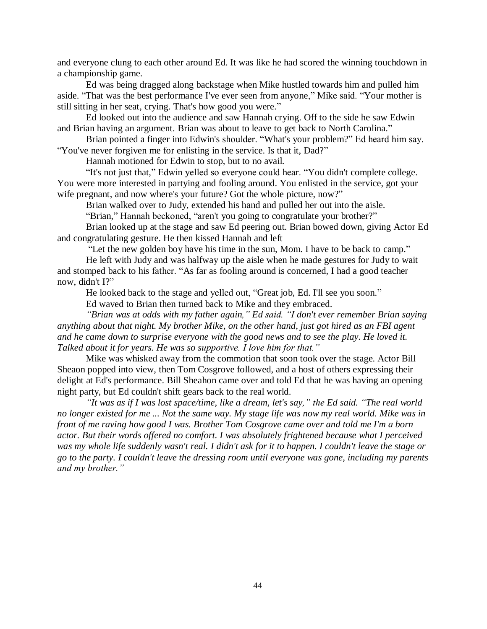and everyone clung to each other around Ed. It was like he had scored the winning touchdown in a championship game.

Ed was being dragged along backstage when Mike hustled towards him and pulled him aside. "That was the best performance I've ever seen from anyone," Mike said. "Your mother is still sitting in her seat, crying. That's how good you were."

Ed looked out into the audience and saw Hannah crying. Off to the side he saw Edwin and Brian having an argument. Brian was about to leave to get back to North Carolina."

Brian pointed a finger into Edwin's shoulder. "What's your problem?" Ed heard him say. "You've never forgiven me for enlisting in the service. Is that it, Dad?"

Hannah motioned for Edwin to stop, but to no avail.

"It's not just that," Edwin yelled so everyone could hear. "You didn't complete college. You were more interested in partying and fooling around. You enlisted in the service, got your wife pregnant, and now where's your future? Got the whole picture, now?"

Brian walked over to Judy, extended his hand and pulled her out into the aisle.

"Brian," Hannah beckoned, "aren't you going to congratulate your brother?"

Brian looked up at the stage and saw Ed peering out. Brian bowed down, giving Actor Ed and congratulating gesture. He then kissed Hannah and left

"Let the new golden boy have his time in the sun, Mom. I have to be back to camp."

He left with Judy and was halfway up the aisle when he made gestures for Judy to wait and stomped back to his father. "As far as fooling around is concerned, I had a good teacher now, didn't I?"

He looked back to the stage and yelled out, "Great job, Ed. I'll see you soon."

Ed waved to Brian then turned back to Mike and they embraced.

*"Brian was at odds with my father again," Ed said. "I don't ever remember Brian saying anything about that night. My brother Mike, on the other hand, just got hired as an FBI agent and he came down to surprise everyone with the good news and to see the play. He loved it. Talked about it for years. He was so supportive. I love him for that."*

Mike was whisked away from the commotion that soon took over the stage. Actor Bill Sheaon popped into view, then Tom Cosgrove followed, and a host of others expressing their delight at Ed's performance. Bill Sheahon came over and told Ed that he was having an opening night party, but Ed couldn't shift gears back to the real world.

*"It was as if I was lost space/time, like a dream, let's say," the Ed said. "The real world no longer existed for me ... Not the same way. My stage life was now my real world. Mike was in front of me raving how good I was. Brother Tom Cosgrove came over and told me I'm a born actor. But their words offered no comfort. I was absolutely frightened because what I perceived was my whole life suddenly wasn't real. I didn't ask for it to happen. I couldn't leave the stage or go to the party. I couldn't leave the dressing room until everyone was gone, including my parents and my brother."*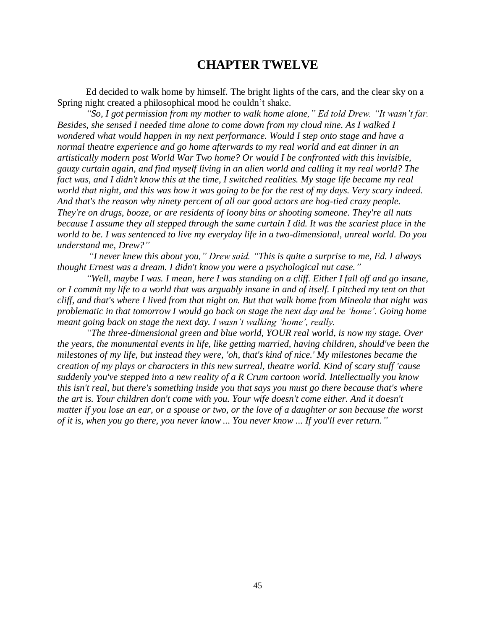# **CHAPTER TWELVE**

Ed decided to walk home by himself. The bright lights of the cars, and the clear sky on a Spring night created a philosophical mood he couldn't shake.

*"So, I got permission from my mother to walk home alone," Ed told Drew. "It wasn't far. Besides, she sensed I needed time alone to come down from my cloud nine. As I walked I wondered what would happen in my next performance. Would I step onto stage and have a normal theatre experience and go home afterwards to my real world and eat dinner in an artistically modern post World War Two home? Or would I be confronted with this invisible, gauzy curtain again, and find myself living in an alien world and calling it my real world? The fact was, and I didn't know this at the time, I switched realities. My stage life became my real world that night, and this was how it was going to be for the rest of my days. Very scary indeed. And that's the reason why ninety percent of all our good actors are hog-tied crazy people. They're on drugs, booze, or are residents of loony bins or shooting someone. They're all nuts because I assume they all stepped through the same curtain I did. It was the scariest place in the world to be. I was sentenced to live my everyday life in a two-dimensional, unreal world. Do you understand me, Drew?"*

*"I never knew this about you," Drew said. "This is quite a surprise to me, Ed. I always thought Ernest was a dream. I didn't know you were a psychological nut case."*

*"Well, maybe I was. I mean, here I was standing on a cliff. Either I fall off and go insane, or I commit my life to a world that was arguably insane in and of itself. I pitched my tent on that cliff, and that's where I lived from that night on. But that walk home from Mineola that night was problematic in that tomorrow I would go back on stage the next day and be 'home'. Going home meant going back on stage the next day. I wasn't walking 'home', really.* 

*"The three-dimensional green and blue world, YOUR real world, is now my stage. Over the years, the monumental events in life, like getting married, having children, should've been the milestones of my life, but instead they were, 'oh, that's kind of nice.' My milestones became the creation of my plays or characters in this new surreal, theatre world. Kind of scary stuff 'cause suddenly you've stepped into a new reality of a R Crum cartoon world. Intellectually you know this isn't real, but there's something inside you that says you must go there because that's where the art is. Your children don't come with you. Your wife doesn't come either. And it doesn't matter if you lose an ear, or a spouse or two, or the love of a daughter or son because the worst of it is, when you go there, you never know ... You never know ... If you'll ever return."*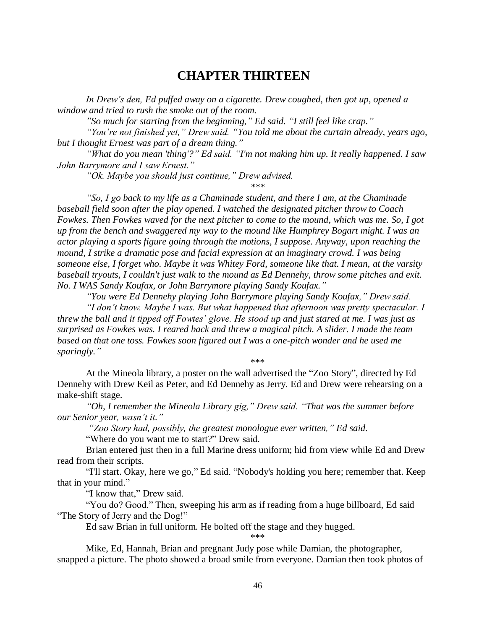# **CHAPTER THIRTEEN**

*In Drew's den, Ed puffed away on a cigarette. Drew coughed, then got up, opened a window and tried to rush the smoke out of the room.*

*"So much for starting from the beginning," Ed said. "I still feel like crap."*

*"You're not finished yet," Drew said. "You told me about the curtain already, years ago, but I thought Ernest was part of a dream thing."*

*"What do you mean 'thing'?" Ed said. "I'm not making him up. It really happened. I saw John Barrymore and I saw Ernest."*

*"Ok. Maybe you should just continue," Drew advised.* 

*\*\*\**

*"So, I go back to my life as a Chaminade student, and there I am, at the Chaminade baseball field soon after the play opened. I watched the designated pitcher throw to Coach Fowkes. Then Fowkes waved for the next pitcher to come to the mound, which was me. So, I got up from the bench and swaggered my way to the mound like Humphrey Bogart might. I was an actor playing a sports figure going through the motions, I suppose. Anyway, upon reaching the mound, I strike a dramatic pose and facial expression at an imaginary crowd. I was being someone else, I forget who. Maybe it was Whitey Ford, someone like that. I mean, at the varsity baseball tryouts, I couldn't just walk to the mound as Ed Dennehy, throw some pitches and exit. No. I WAS Sandy Koufax, or John Barrymore playing Sandy Koufax."*

*"You were Ed Dennehy playing John Barrymore playing Sandy Koufax," Drew said.*

*"I don't know. Maybe I was. But what happened that afternoon was pretty spectacular. I threw the ball and it tipped off Fowtes' glove. He stood up and just stared at me. I was just as surprised as Fowkes was. I reared back and threw a magical pitch. A slider. I made the team based on that one toss. Fowkes soon figured out I was a one-pitch wonder and he used me sparingly."*

\*\*\*

At the Mineola library, a poster on the wall advertised the "Zoo Story", directed by Ed Dennehy with Drew Keil as Peter, and Ed Dennehy as Jerry. Ed and Drew were rehearsing on a make-shift stage.

*"Oh, I remember the Mineola Library gig," Drew said. "That was the summer before our Senior year, wasn't it."*

*"Zoo Story had, possibly, the greatest monologue ever written," Ed said.*

"Where do you want me to start?" Drew said.

Brian entered just then in a full Marine dress uniform; hid from view while Ed and Drew read from their scripts.

"I'll start. Okay, here we go," Ed said. "Nobody's holding you here; remember that. Keep that in your mind."

"I know that," Drew said.

"You do? Good." Then, sweeping his arm as if reading from a huge billboard, Ed said "The Story of Jerry and the Dog!"

Ed saw Brian in full uniform. He bolted off the stage and they hugged. \*\*\*

Mike, Ed, Hannah, Brian and pregnant Judy pose while Damian, the photographer, snapped a picture. The photo showed a broad smile from everyone. Damian then took photos of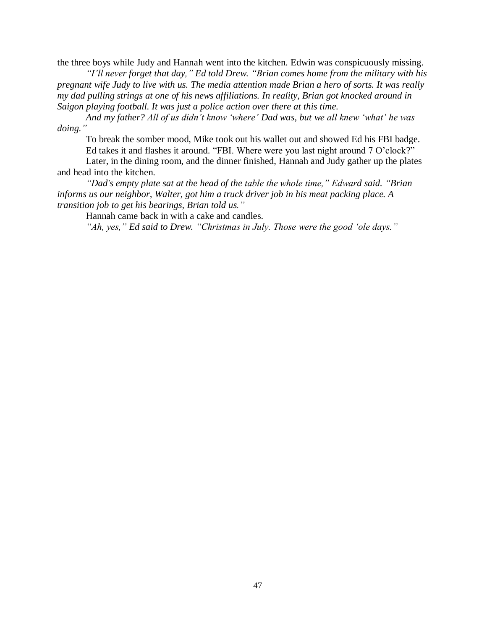the three boys while Judy and Hannah went into the kitchen. Edwin was conspicuously missing.

*"I'll never forget that day," Ed told Drew. "Brian comes home from the military with his pregnant wife Judy to live with us. The media attention made Brian a hero of sorts. It was really my dad pulling strings at one of his news affiliations. In reality, Brian got knocked around in Saigon playing football. It was just a police action over there at this time.*

*And my father? All of us didn't know 'where' Dad was, but we all knew 'what' he was doing."*

To break the somber mood, Mike took out his wallet out and showed Ed his FBI badge. Ed takes it and flashes it around. "FBI. Where were you last night around 7 O'clock?"

Later, in the dining room, and the dinner finished, Hannah and Judy gather up the plates and head into the kitchen.

*"Dad's empty plate sat at the head of the table the whole time," Edward said. "Brian informs us our neighbor, Walter, got him a truck driver job in his meat packing place. A transition job to get his bearings, Brian told us."*

Hannah came back in with a cake and candles.

*"Ah, yes," Ed said to Drew. "Christmas in July. Those were the good 'ole days."*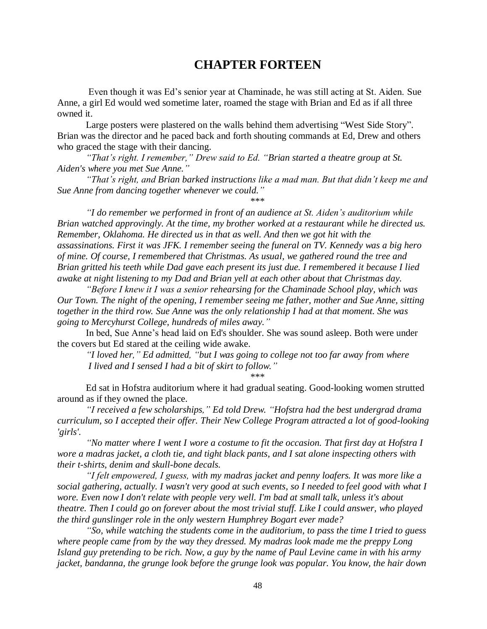# **CHAPTER FORTEEN**

Even though it was Ed's senior year at Chaminade, he was still acting at St. Aiden. Sue Anne, a girl Ed would wed sometime later, roamed the stage with Brian and Ed as if all three owned it.

Large posters were plastered on the walls behind them advertising "West Side Story". Brian was the director and he paced back and forth shouting commands at Ed, Drew and others who graced the stage with their dancing.

*"That's right. I remember," Drew said to Ed. "Brian started a theatre group at St. Aiden's where you met Sue Anne."*

*"That's right, and Brian barked instructions like a mad man. But that didn't keep me and Sue Anne from dancing together whenever we could."*

\*\*\*

*"I do remember we performed in front of an audience at St. Aiden's auditorium while Brian watched approvingly. At the time, my brother worked at a restaurant while he directed us. Remember, Oklahoma. He directed us in that as well. And then we got hit with the assassinations. First it was JFK. I remember seeing the funeral on TV. Kennedy was a big hero of mine. Of course, I remembered that Christmas. As usual, we gathered round the tree and Brian gritted his teeth while Dad gave each present its just due. I remembered it because I lied awake at night listening to my Dad and Brian yell at each other about that Christmas day.*

*"Before I knew it I was a senior rehearsing for the Chaminade School play, which was Our Town. The night of the opening, I remember seeing me father, mother and Sue Anne, sitting together in the third row. Sue Anne was the only relationship I had at that moment. She was going to Mercyhurst College, hundreds of miles away."*

In bed, Sue Anne's head laid on Ed's shoulder. She was sound asleep. Both were under the covers but Ed stared at the ceiling wide awake.

*"I loved her," Ed admitted, "but I was going to college not too far away from where I lived and I sensed I had a bit of skirt to follow."*

\*\*\*

Ed sat in Hofstra auditorium where it had gradual seating. Good-looking women strutted around as if they owned the place.

*"I received a few scholarships," Ed told Drew. "Hofstra had the best undergrad drama curriculum, so I accepted their offer. Their New College Program attracted a lot of good-looking 'girls'.*

*"No matter where I went I wore a costume to fit the occasion. That first day at Hofstra I wore a madras jacket, a cloth tie, and tight black pants, and I sat alone inspecting others with their t-shirts, denim and skull-bone decals.*

*"I felt empowered, I guess, with my madras jacket and penny loafers. It was more like a social gathering, actually. I wasn't very good at such events, so I needed to feel good with what I wore. Even now I don't relate with people very well. I'm bad at small talk, unless it's about theatre. Then I could go on forever about the most trivial stuff. Like I could answer, who played the third gunslinger role in the only western Humphrey Bogart ever made?*

*"So, while watching the students come in the auditorium, to pass the time I tried to guess where people came from by the way they dressed. My madras look made me the preppy Long Island guy pretending to be rich. Now, a guy by the name of Paul Levine came in with his army jacket, bandanna, the grunge look before the grunge look was popular. You know, the hair down*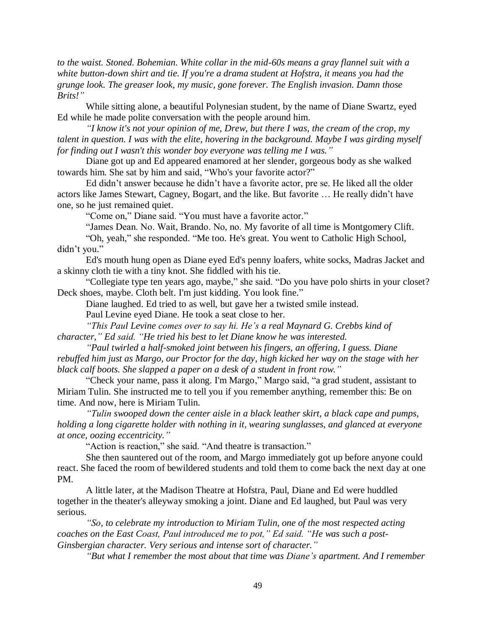*to the waist. Stoned. Bohemian. White collar in the mid-60s means a gray flannel suit with a white button-down shirt and tie. If you're a drama student at Hofstra, it means you had the grunge look. The greaser look, my music, gone forever. The English invasion. Damn those Brits!"*

While sitting alone, a beautiful Polynesian student, by the name of Diane Swartz, eyed Ed while he made polite conversation with the people around him.

*"I know it's not your opinion of me, Drew, but there I was, the cream of the crop, my talent in question. I was with the elite, hovering in the background. Maybe I was girding myself for finding out I wasn't this wonder boy everyone was telling me I was."*

Diane got up and Ed appeared enamored at her slender, gorgeous body as she walked towards him. She sat by him and said, "Who's your favorite actor?"

Ed didn't answer because he didn't have a favorite actor, pre se. He liked all the older actors like James Stewart, Cagney, Bogart, and the like. But favorite … He really didn't have one, so he just remained quiet.

"Come on," Diane said. "You must have a favorite actor."

"James Dean. No. Wait, Brando. No, no. My favorite of all time is Montgomery Clift.

"Oh, yeah," she responded. "Me too. He's great. You went to Catholic High School, didn't you."

Ed's mouth hung open as Diane eyed Ed's penny loafers, white socks, Madras Jacket and a skinny cloth tie with a tiny knot. She fiddled with his tie.

"Collegiate type ten years ago, maybe," she said. "Do you have polo shirts in your closet? Deck shoes, maybe. Cloth belt. I'm just kidding. You look fine."

Diane laughed. Ed tried to as well, but gave her a twisted smile instead.

Paul Levine eyed Diane. He took a seat close to her.

*"This Paul Levine comes over to say hi. He's a real Maynard G. Crebbs kind of character," Ed said. "He tried his best to let Diane know he was interested.*

*"Paul twirled a half-smoked joint between his fingers, an offering, I guess. Diane rebuffed him just as Margo, our Proctor for the day, high kicked her way on the stage with her black calf boots. She slapped a paper on a desk of a student in front row."*

"Check your name, pass it along. I'm Margo," Margo said, "a grad student, assistant to Miriam Tulin. She instructed me to tell you if you remember anything, remember this: Be on time. And now, here is Miriam Tulin.

*"Tulin swooped down the center aisle in a black leather skirt, a black cape and pumps, holding a long cigarette holder with nothing in it, wearing sunglasses, and glanced at everyone at once, oozing eccentricity."*

"Action is reaction," she said. "And theatre is transaction."

She then sauntered out of the room, and Margo immediately got up before anyone could react. She faced the room of bewildered students and told them to come back the next day at one PM.

A little later, at the Madison Theatre at Hofstra, Paul, Diane and Ed were huddled together in the theater's alleyway smoking a joint. Diane and Ed laughed, but Paul was very serious.

*"So, to celebrate my introduction to Miriam Tulin, one of the most respected acting coaches on the East Coast, Paul introduced me to pot," Ed said. "He was such a post-Ginsbergian character. Very serious and intense sort of character."*

*"But what I remember the most about that time was Diane's apartment. And I remember*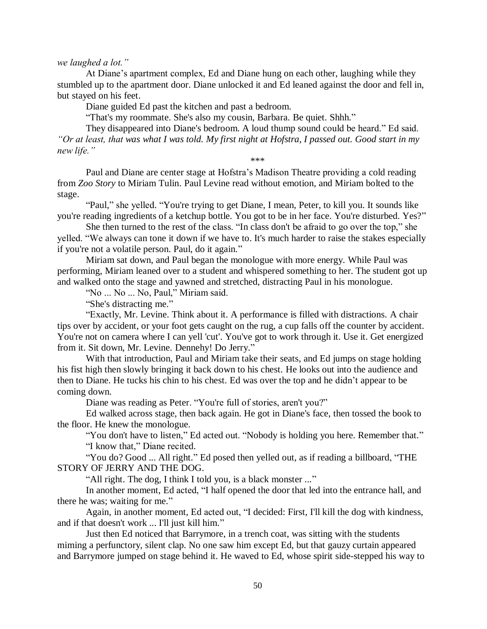*we laughed a lot."*

At Diane's apartment complex, Ed and Diane hung on each other, laughing while they stumbled up to the apartment door. Diane unlocked it and Ed leaned against the door and fell in, but stayed on his feet.

Diane guided Ed past the kitchen and past a bedroom.

"That's my roommate. She's also my cousin, Barbara. Be quiet. Shhh."

They disappeared into Diane's bedroom. A loud thump sound could be heard." Ed said. *"Or at least, that was what I was told. My first night at Hofstra, I passed out. Good start in my new life."*

\*\*\*

Paul and Diane are center stage at Hofstra's Madison Theatre providing a cold reading from *Zoo Story* to Miriam Tulin. Paul Levine read without emotion, and Miriam bolted to the stage.

"Paul," she yelled. "You're trying to get Diane, I mean, Peter, to kill you. It sounds like you're reading ingredients of a ketchup bottle. You got to be in her face. You're disturbed. Yes?"

She then turned to the rest of the class. "In class don't be afraid to go over the top," she yelled. "We always can tone it down if we have to. It's much harder to raise the stakes especially if you're not a volatile person. Paul, do it again."

Miriam sat down, and Paul began the monologue with more energy. While Paul was performing, Miriam leaned over to a student and whispered something to her. The student got up and walked onto the stage and yawned and stretched, distracting Paul in his monologue.

"No ... No ... No, Paul," Miriam said.

"She's distracting me."

"Exactly, Mr. Levine. Think about it. A performance is filled with distractions. A chair tips over by accident, or your foot gets caught on the rug, a cup falls off the counter by accident. You're not on camera where I can yell 'cut'. You've got to work through it. Use it. Get energized from it. Sit down, Mr. Levine. Dennehy! Do Jerry."

With that introduction, Paul and Miriam take their seats, and Ed jumps on stage holding his fist high then slowly bringing it back down to his chest. He looks out into the audience and then to Diane. He tucks his chin to his chest. Ed was over the top and he didn't appear to be coming down.

Diane was reading as Peter. "You're full of stories, aren't you?"

Ed walked across stage, then back again. He got in Diane's face, then tossed the book to the floor. He knew the monologue.

"You don't have to listen," Ed acted out. "Nobody is holding you here. Remember that." "I know that," Diane recited.

"You do? Good ... All right." Ed posed then yelled out, as if reading a billboard, "THE STORY OF JERRY AND THE DOG.

"All right. The dog, I think I told you, is a black monster ..."

In another moment, Ed acted, "I half opened the door that led into the entrance hall, and there he was; waiting for me."

Again, in another moment, Ed acted out, "I decided: First, I'll kill the dog with kindness, and if that doesn't work ... I'll just kill him."

Just then Ed noticed that Barrymore, in a trench coat, was sitting with the students miming a perfunctory, silent clap. No one saw him except Ed, but that gauzy curtain appeared and Barrymore jumped on stage behind it. He waved to Ed, whose spirit side-stepped his way to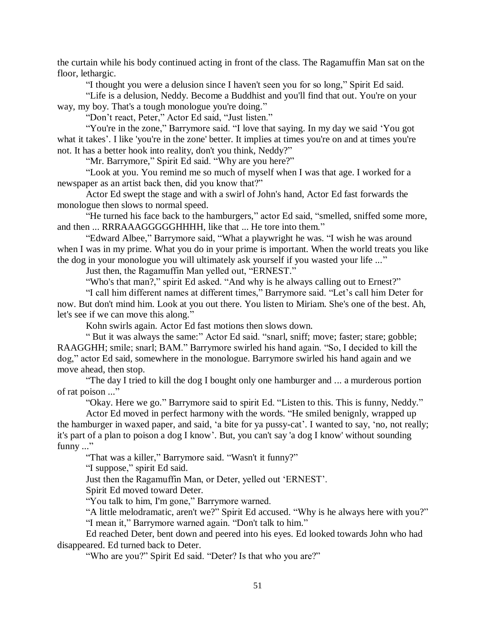the curtain while his body continued acting in front of the class. The Ragamuffin Man sat on the floor, lethargic.

"I thought you were a delusion since I haven't seen you for so long," Spirit Ed said.

"Life is a delusion, Neddy. Become a Buddhist and you'll find that out. You're on your way, my boy. That's a tough monologue you're doing."

"Don't react, Peter," Actor Ed said, "Just listen."

"You're in the zone," Barrymore said. "I love that saying. In my day we said 'You got what it takes'. I like 'you're in the zone' better. It implies at times you're on and at times you're not. It has a better hook into reality, don't you think, Neddy?"

"Mr. Barrymore," Spirit Ed said. "Why are you here?"

"Look at you. You remind me so much of myself when I was that age. I worked for a newspaper as an artist back then, did you know that?"

Actor Ed swept the stage and with a swirl of John's hand, Actor Ed fast forwards the monologue then slows to normal speed.

"He turned his face back to the hamburgers," actor Ed said, "smelled, sniffed some more, and then ... RRRAAAGGGGGHHHH, like that ... He tore into them."

"Edward Albee," Barrymore said, "What a playwright he was. "I wish he was around when I was in my prime. What you do in your prime is important. When the world treats you like the dog in your monologue you will ultimately ask yourself if you wasted your life ..."

Just then, the Ragamuffin Man yelled out, "ERNEST."

"Who's that man?," spirit Ed asked. "And why is he always calling out to Ernest?"

"I call him different names at different times," Barrymore said. "Let's call him Deter for now. But don't mind him. Look at you out there. You listen to Miriam. She's one of the best. Ah, let's see if we can move this along."

Kohn swirls again. Actor Ed fast motions then slows down.

" But it was always the same:" Actor Ed said. "snarl, sniff; move; faster; stare; gobble; RAAGGHH; smile; snarl; BAM." Barrymore swirled his hand again. "So, I decided to kill the dog," actor Ed said, somewhere in the monologue. Barrymore swirled his hand again and we move ahead, then stop.

"The day I tried to kill the dog I bought only one hamburger and ... a murderous portion of rat poison ..."

"Okay. Here we go." Barrymore said to spirit Ed. "Listen to this. This is funny, Neddy."

Actor Ed moved in perfect harmony with the words. "He smiled benignly, wrapped up the hamburger in waxed paper, and said, 'a bite for ya pussy-cat'. I wanted to say, 'no, not really; it's part of a plan to poison a dog I know'. But, you can't say 'a dog I know' without sounding funny ..."

"That was a killer," Barrymore said. "Wasn't it funny?"

"I suppose," spirit Ed said.

Just then the Ragamuffin Man, or Deter, yelled out 'ERNEST'.

Spirit Ed moved toward Deter.

"You talk to him, I'm gone," Barrymore warned.

"A little melodramatic, aren't we?" Spirit Ed accused. "Why is he always here with you?" "I mean it," Barrymore warned again. "Don't talk to him."

Ed reached Deter, bent down and peered into his eyes. Ed looked towards John who had disappeared. Ed turned back to Deter.

"Who are you?" Spirit Ed said. "Deter? Is that who you are?"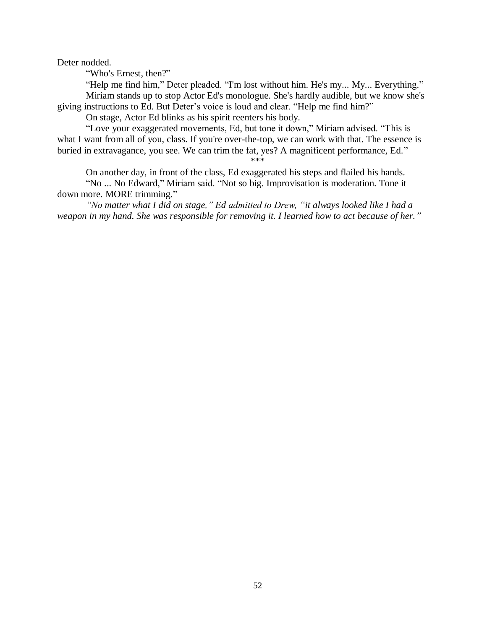Deter nodded.

"Who's Ernest, then?"

"Help me find him," Deter pleaded. "I'm lost without him. He's my... My... Everything." Miriam stands up to stop Actor Ed's monologue. She's hardly audible, but we know she's giving instructions to Ed. But Deter's voice is loud and clear. "Help me find him?"

On stage, Actor Ed blinks as his spirit reenters his body.

"Love your exaggerated movements, Ed, but tone it down," Miriam advised. "This is what I want from all of you, class. If you're over-the-top, we can work with that. The essence is buried in extravagance, you see. We can trim the fat, yes? A magnificent performance, Ed."

\*\*\*

On another day, in front of the class, Ed exaggerated his steps and flailed his hands.

"No ... No Edward," Miriam said. "Not so big. Improvisation is moderation. Tone it down more. MORE trimming."

*"No matter what I did on stage," Ed admitted to Drew, "it always looked like I had a weapon in my hand. She was responsible for removing it. I learned how to act because of her."*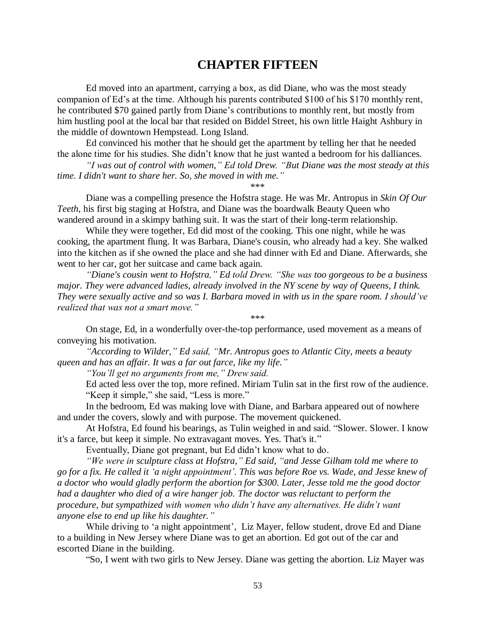#### **CHAPTER FIFTEEN**

Ed moved into an apartment, carrying a box, as did Diane, who was the most steady companion of Ed's at the time. Although his parents contributed \$100 of his \$170 monthly rent, he contributed \$70 gained partly from Diane's contributions to monthly rent, but mostly from him hustling pool at the local bar that resided on Biddel Street, his own little Haight Ashbury in the middle of downtown Hempstead. Long Island.

Ed convinced his mother that he should get the apartment by telling her that he needed the alone time for his studies. She didn't know that he just wanted a bedroom for his dalliances.

*"I was out of control with women," Ed told Drew. "But Diane was the most steady at this time. I didn't want to share her. So, she moved in with me."*

\*\*\*

Diane was a compelling presence the Hofstra stage. He was Mr. Antropus in *Skin Of Our Teeth*, his first big staging at Hofstra, and Diane was the boardwalk Beauty Queen who wandered around in a skimpy bathing suit. It was the start of their long-term relationship.

While they were together, Ed did most of the cooking. This one night, while he was cooking, the apartment flung. It was Barbara, Diane's cousin, who already had a key. She walked into the kitchen as if she owned the place and she had dinner with Ed and Diane. Afterwards, she went to her car, got her suitcase and came back again.

*"Diane's cousin went to Hofstra," Ed told Drew. "She was too gorgeous to be a business major. They were advanced ladies, already involved in the NY scene by way of Queens, I think. They were sexually active and so was I. Barbara moved in with us in the spare room. I should've realized that was not a smart move."*

On stage, Ed, in a wonderfully over-the-top performance, used movement as a means of conveying his motivation.

*"According to Wilder," Ed said, "Mr. Antropus goes to Atlantic City, meets a beauty queen and has an affair. It was a far out farce, like my life."*

*"You'll get no arguments from me," Drew said.*

Ed acted less over the top, more refined. Miriam Tulin sat in the first row of the audience. "Keep it simple," she said, "Less is more."

\*\*\*

In the bedroom, Ed was making love with Diane, and Barbara appeared out of nowhere and under the covers, slowly and with purpose. The movement quickened.

At Hofstra, Ed found his bearings, as Tulin weighed in and said. "Slower. Slower. I know it's a farce, but keep it simple. No extravagant moves. Yes. That's it."

Eventually, Diane got pregnant, but Ed didn't know what to do.

*"We were in sculpture class at Hofstra," Ed said, "and Jesse Gilham told me where to go for a fix. He called it 'a night appointment'. This was before Roe vs. Wade, and Jesse knew of a doctor who would gladly perform the abortion for \$300. Later, Jesse told me the good doctor had a daughter who died of a wire hanger job. The doctor was reluctant to perform the procedure, but sympathized with women who didn't have any alternatives. He didn't want anyone else to end up like his daughter."*

While driving to 'a night appointment', Liz Mayer, fellow student, drove Ed and Diane to a building in New Jersey where Diane was to get an abortion. Ed got out of the car and escorted Diane in the building.

"So, I went with two girls to New Jersey. Diane was getting the abortion. Liz Mayer was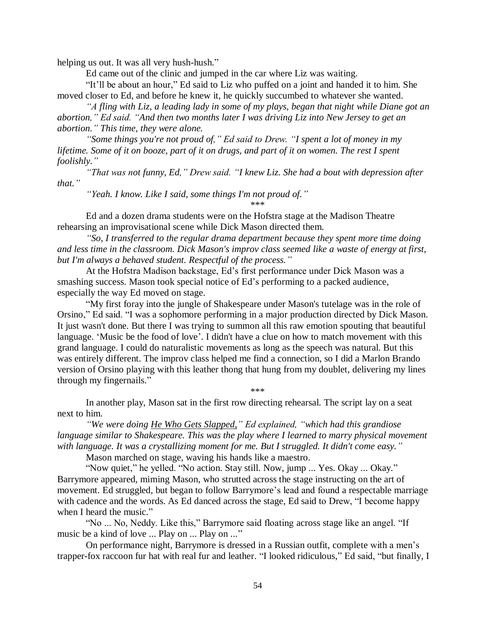helping us out. It was all very hush-hush."

Ed came out of the clinic and jumped in the car where Liz was waiting.

"It'll be about an hour," Ed said to Liz who puffed on a joint and handed it to him. She moved closer to Ed, and before he knew it, he quickly succumbed to whatever she wanted.

*"A fling with Liz, a leading lady in some of my plays, began that night while Diane got an abortion," Ed said. "And then two months later I was driving Liz into New Jersey to get an abortion." This time, they were alone.*

*"Some things you're not proud of," Ed said to Drew. "I spent a lot of money in my lifetime. Some of it on booze, part of it on drugs, and part of it on women. The rest I spent foolishly."*

*"That was not funny, Ed," Drew said. "I knew Liz. She had a bout with depression after that."*

*"Yeah. I know. Like I said, some things I'm not proud of."*

\*\*\*

Ed and a dozen drama students were on the Hofstra stage at the Madison Theatre rehearsing an improvisational scene while Dick Mason directed them.

*"So, I transferred to the regular drama department because they spent more time doing and less time in the classroom. Dick Mason's improv class seemed like a waste of energy at first, but I'm always a behaved student. Respectful of the process."*

At the Hofstra Madison backstage, Ed's first performance under Dick Mason was a smashing success. Mason took special notice of Ed's performing to a packed audience, especially the way Ed moved on stage.

"My first foray into the jungle of Shakespeare under Mason's tutelage was in the role of Orsino," Ed said. "I was a sophomore performing in a major production directed by Dick Mason. It just wasn't done. But there I was trying to summon all this raw emotion spouting that beautiful language. 'Music be the food of love'. I didn't have a clue on how to match movement with this grand language. I could do naturalistic movements as long as the speech was natural. But this was entirely different. The improv class helped me find a connection, so I did a Marlon Brando version of Orsino playing with this leather thong that hung from my doublet, delivering my lines through my fingernails."

\*\*\*

In another play, Mason sat in the first row directing rehearsal. The script lay on a seat next to him.

*"We were doing He Who Gets Slapped," Ed explained, "which had this grandiose language similar to Shakespeare. This was the play where I learned to marry physical movement with language. It was a crystallizing moment for me. But I struggled. It didn't come easy."*

Mason marched on stage, waving his hands like a maestro.

"Now quiet," he yelled. "No action. Stay still. Now, jump ... Yes. Okay ... Okay." Barrymore appeared, miming Mason, who strutted across the stage instructing on the art of movement. Ed struggled, but began to follow Barrymore's lead and found a respectable marriage with cadence and the words. As Ed danced across the stage, Ed said to Drew, "I become happy when I heard the music."

"No ... No, Neddy. Like this," Barrymore said floating across stage like an angel. "If music be a kind of love ... Play on ... Play on ..."

On performance night, Barrymore is dressed in a Russian outfit, complete with a men's trapper-fox raccoon fur hat with real fur and leather. "I looked ridiculous," Ed said, "but finally, I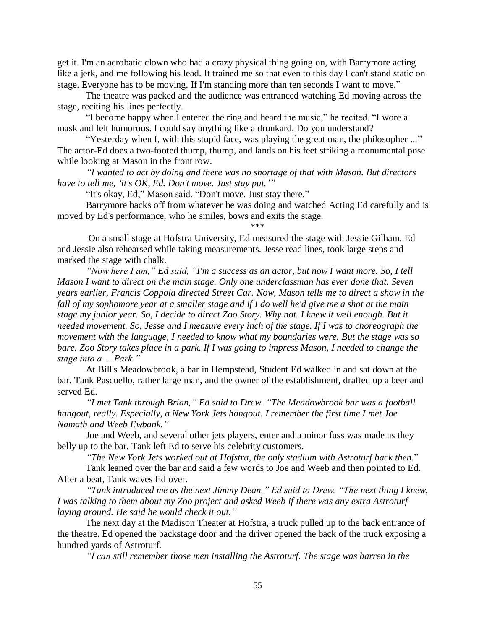get it. I'm an acrobatic clown who had a crazy physical thing going on, with Barrymore acting like a jerk, and me following his lead. It trained me so that even to this day I can't stand static on stage. Everyone has to be moving. If I'm standing more than ten seconds I want to move."

The theatre was packed and the audience was entranced watching Ed moving across the stage, reciting his lines perfectly.

"I become happy when I entered the ring and heard the music," he recited. "I wore a mask and felt humorous. I could say anything like a drunkard. Do you understand?

"Yesterday when I, with this stupid face, was playing the great man, the philosopher ..." The actor-Ed does a two-footed thump, thump, and lands on his feet striking a monumental pose while looking at Mason in the front row.

*"I wanted to act by doing and there was no shortage of that with Mason. But directors have to tell me, 'it's OK, Ed. Don't move. Just stay put.'"*

"It's okay, Ed," Mason said. "Don't move. Just stay there."

Barrymore backs off from whatever he was doing and watched Acting Ed carefully and is moved by Ed's performance, who he smiles, bows and exits the stage.

\*\*\*

On a small stage at Hofstra University, Ed measured the stage with Jessie Gilham. Ed and Jessie also rehearsed while taking measurements. Jesse read lines, took large steps and marked the stage with chalk.

*"Now here I am," Ed said, "I'm a success as an actor, but now I want more. So, I tell Mason I want to direct on the main stage. Only one underclassman has ever done that. Seven years earlier, Francis Coppola directed Street Car. Now, Mason tells me to direct a show in the fall of my sophomore year at a smaller stage and if I do well he'd give me a shot at the main stage my junior year. So, I decide to direct Zoo Story. Why not. I knew it well enough. But it needed movement. So, Jesse and I measure every inch of the stage. If I was to choreograph the movement with the language, I needed to know what my boundaries were. But the stage was so bare. Zoo Story takes place in a park. If I was going to impress Mason, I needed to change the stage into a ... Park."*

At Bill's Meadowbrook, a bar in Hempstead, Student Ed walked in and sat down at the bar. Tank Pascuello, rather large man, and the owner of the establishment, drafted up a beer and served Ed.

*"I met Tank through Brian," Ed said to Drew. "The Meadowbrook bar was a football hangout, really. Especially, a New York Jets hangout. I remember the first time I met Joe Namath and Weeb Ewbank."*

Joe and Weeb, and several other jets players, enter and a minor fuss was made as they belly up to the bar. Tank left Ed to serve his celebrity customers.

*"The New York Jets worked out at Hofstra, the only stadium with Astroturf back then.*"

Tank leaned over the bar and said a few words to Joe and Weeb and then pointed to Ed. After a beat, Tank waves Ed over.

*"Tank introduced me as the next Jimmy Dean," Ed said to Drew. "The next thing I knew, I was talking to them about my Zoo project and asked Weeb if there was any extra Astroturf laying around. He said he would check it out."*

The next day at the Madison Theater at Hofstra, a truck pulled up to the back entrance of the theatre. Ed opened the backstage door and the driver opened the back of the truck exposing a hundred yards of Astroturf.

*"I can still remember those men installing the Astroturf. The stage was barren in the*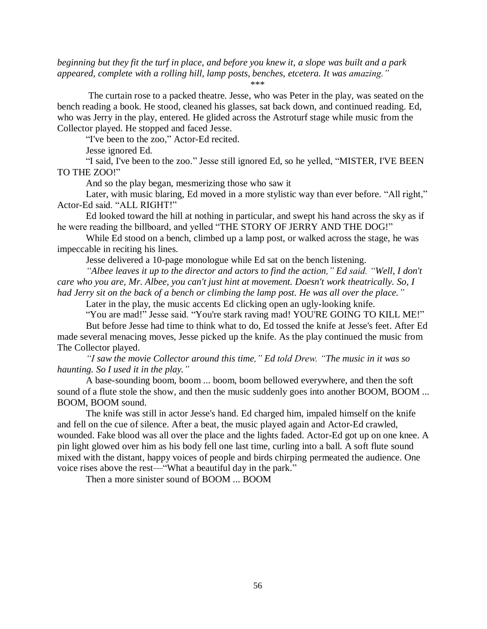*beginning but they fit the turf in place, and before you knew it, a slope was built and a park appeared, complete with a rolling hill, lamp posts, benches, etcetera. It was amazing."*

\*\*\*

The curtain rose to a packed theatre. Jesse, who was Peter in the play, was seated on the bench reading a book. He stood, cleaned his glasses, sat back down, and continued reading. Ed, who was Jerry in the play, entered. He glided across the Astroturf stage while music from the Collector played. He stopped and faced Jesse.

"I've been to the zoo," Actor-Ed recited.

Jesse ignored Ed.

"I said, I've been to the zoo." Jesse still ignored Ed, so he yelled, "MISTER, I'VE BEEN TO THE ZOO!"

And so the play began, mesmerizing those who saw it

Later, with music blaring, Ed moved in a more stylistic way than ever before. "All right," Actor-Ed said. "ALL RIGHT!"

Ed looked toward the hill at nothing in particular, and swept his hand across the sky as if he were reading the billboard, and yelled "THE STORY OF JERRY AND THE DOG!"

While Ed stood on a bench, climbed up a lamp post, or walked across the stage, he was impeccable in reciting his lines.

Jesse delivered a 10-page monologue while Ed sat on the bench listening.

*"Albee leaves it up to the director and actors to find the action," Ed said. "Well, I don't* 

*care who you are, Mr. Albee, you can't just hint at movement. Doesn't work theatrically. So, I* 

*had Jerry sit on the back of a bench or climbing the lamp post. He was all over the place."* Later in the play, the music accents Ed clicking open an ugly-looking knife.

"You are mad!" Jesse said. "You're stark raving mad! YOU'RE GOING TO KILL ME!"

But before Jesse had time to think what to do, Ed tossed the knife at Jesse's feet. After Ed made several menacing moves, Jesse picked up the knife. As the play continued the music from The Collector played.

*"I saw the movie Collector around this time," Ed told Drew. "The music in it was so haunting. So I used it in the play."*

A base-sounding boom, boom ... boom, boom bellowed everywhere, and then the soft sound of a flute stole the show, and then the music suddenly goes into another BOOM, BOOM ... BOOM, BOOM sound.

The knife was still in actor Jesse's hand. Ed charged him, impaled himself on the knife and fell on the cue of silence. After a beat, the music played again and Actor-Ed crawled, wounded. Fake blood was all over the place and the lights faded. Actor-Ed got up on one knee. A pin light glowed over him as his body fell one last time, curling into a ball. A soft flute sound mixed with the distant, happy voices of people and birds chirping permeated the audience. One voice rises above the rest—"What a beautiful day in the park."

Then a more sinister sound of BOOM ... BOOM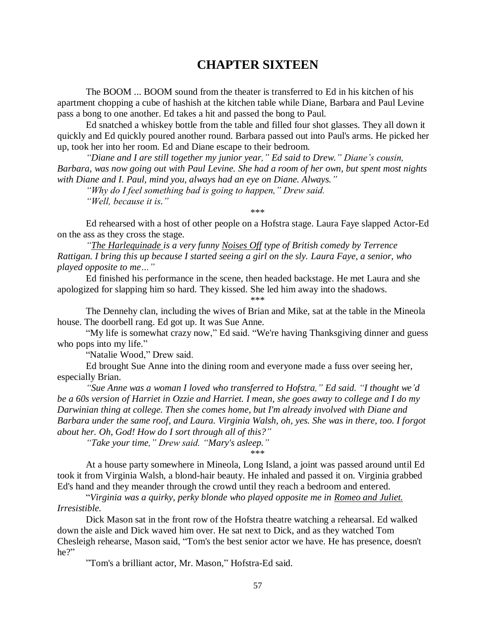# **CHAPTER SIXTEEN**

The BOOM ... BOOM sound from the theater is transferred to Ed in his kitchen of his apartment chopping a cube of hashish at the kitchen table while Diane, Barbara and Paul Levine pass a bong to one another. Ed takes a hit and passed the bong to Paul.

Ed snatched a whiskey bottle from the table and filled four shot glasses. They all down it quickly and Ed quickly poured another round. Barbara passed out into Paul's arms. He picked her up, took her into her room. Ed and Diane escape to their bedroom.

*"Diane and I are still together my junior year," Ed said to Drew." Diane's cousin, Barbara, was now going out with Paul Levine. She had a room of her own, but spent most nights with Diane and I. Paul, mind you, always had an eye on Diane. Always."*

*"Why do I feel something bad is going to happen," Drew said. "Well, because it is."*

\*\*\*

Ed rehearsed with a host of other people on a Hofstra stage. Laura Faye slapped Actor-Ed on the ass as they cross the stage.

*"The Harlequinade is a very funny Noises Off type of British comedy by Terrence Rattigan. I bring this up because I started seeing a girl on the sly. Laura Faye, a senior, who played opposite to me…"*

Ed finished his performance in the scene, then headed backstage. He met Laura and she apologized for slapping him so hard. They kissed. She led him away into the shadows.

\*\*\*

The Dennehy clan, including the wives of Brian and Mike, sat at the table in the Mineola house. The doorbell rang. Ed got up. It was Sue Anne.

"My life is somewhat crazy now," Ed said. "We're having Thanksgiving dinner and guess who pops into my life."

"Natalie Wood," Drew said.

Ed brought Sue Anne into the dining room and everyone made a fuss over seeing her, especially Brian.

*"Sue Anne was a woman I loved who transferred to Hofstra," Ed said. "I thought we'd be a 60s version of Harriet in Ozzie and Harriet. I mean, she goes away to college and I do my Darwinian thing at college. Then she comes home, but I'm already involved with Diane and Barbara under the same roof, and Laura. Virginia Walsh, oh, yes. She was in there, too. I forgot about her. Oh, God! How do I sort through all of this?"*

*"Take your time," Drew said. "Mary's asleep."*

\*\*\*

At a house party somewhere in Mineola, Long Island, a joint was passed around until Ed took it from Virginia Walsh, a blond-hair beauty. He inhaled and passed it on. Virginia grabbed Ed's hand and they meander through the crowd until they reach a bedroom and entered.

"*Virginia was a quirky, perky blonde who played opposite me in Romeo and Juliet. Irresistible.*

Dick Mason sat in the front row of the Hofstra theatre watching a rehearsal. Ed walked down the aisle and Dick waved him over. He sat next to Dick, and as they watched Tom Chesleigh rehearse, Mason said, "Tom's the best senior actor we have. He has presence, doesn't he?"

"Tom's a brilliant actor, Mr. Mason," Hofstra-Ed said.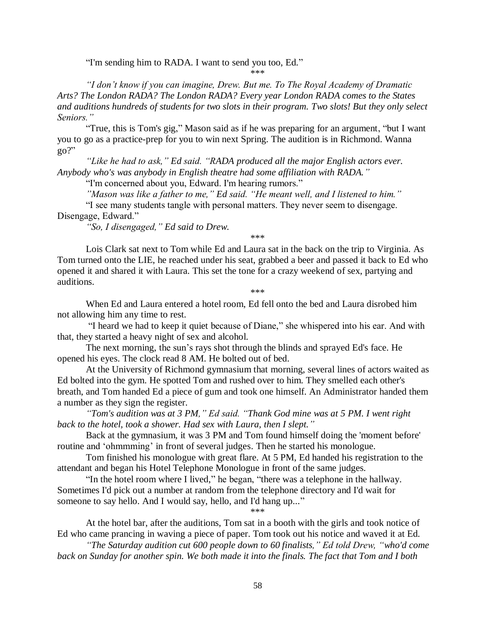"I'm sending him to RADA. I want to send you too, Ed."

\*\*\*

*"I don't know if you can imagine, Drew. But me. To The Royal Academy of Dramatic Arts? The London RADA? The London RADA? Every year London RADA comes to the States and auditions hundreds of students for two slots in their program. Two slots! But they only select Seniors."*

"True, this is Tom's gig," Mason said as if he was preparing for an argument, "but I want you to go as a practice-prep for you to win next Spring. The audition is in Richmond. Wanna go?"

*"Like he had to ask," Ed said. "RADA produced all the major English actors ever. Anybody who's was anybody in English theatre had some affiliation with RADA."*

"I'm concerned about you, Edward. I'm hearing rumors."

*"Mason was like a father to me," Ed said. "He meant well, and I listened to him."*

"I see many students tangle with personal matters. They never seem to disengage. Disengage, Edward."

*"So, I disengaged," Ed said to Drew*.

\*\*\*

Lois Clark sat next to Tom while Ed and Laura sat in the back on the trip to Virginia. As Tom turned onto the LIE, he reached under his seat, grabbed a beer and passed it back to Ed who opened it and shared it with Laura. This set the tone for a crazy weekend of sex, partying and auditions.

\*\*\*

When Ed and Laura entered a hotel room, Ed fell onto the bed and Laura disrobed him not allowing him any time to rest.

"I heard we had to keep it quiet because of Diane," she whispered into his ear. And with that, they started a heavy night of sex and alcohol.

The next morning, the sun's rays shot through the blinds and sprayed Ed's face. He opened his eyes. The clock read 8 AM. He bolted out of bed.

At the University of Richmond gymnasium that morning, several lines of actors waited as Ed bolted into the gym. He spotted Tom and rushed over to him. They smelled each other's breath, and Tom handed Ed a piece of gum and took one himself. An Administrator handed them a number as they sign the register.

*"Tom's audition was at 3 PM," Ed said. "Thank God mine was at 5 PM. I went right back to the hotel, took a shower. Had sex with Laura, then I slept."*

Back at the gymnasium, it was 3 PM and Tom found himself doing the 'moment before' routine and 'ohmmming' in front of several judges. Then he started his monologue.

Tom finished his monologue with great flare. At 5 PM, Ed handed his registration to the attendant and began his Hotel Telephone Monologue in front of the same judges.

"In the hotel room where I lived," he began, "there was a telephone in the hallway. Sometimes I'd pick out a number at random from the telephone directory and I'd wait for someone to say hello. And I would say, hello, and I'd hang up..."

\*\*\* At the hotel bar, after the auditions, Tom sat in a booth with the girls and took notice of Ed who came prancing in waving a piece of paper. Tom took out his notice and waved it at Ed.

*"The Saturday audition cut 600 people down to 60 finalists," Ed told Drew, "who'd come back on Sunday for another spin. We both made it into the finals. The fact that Tom and I both*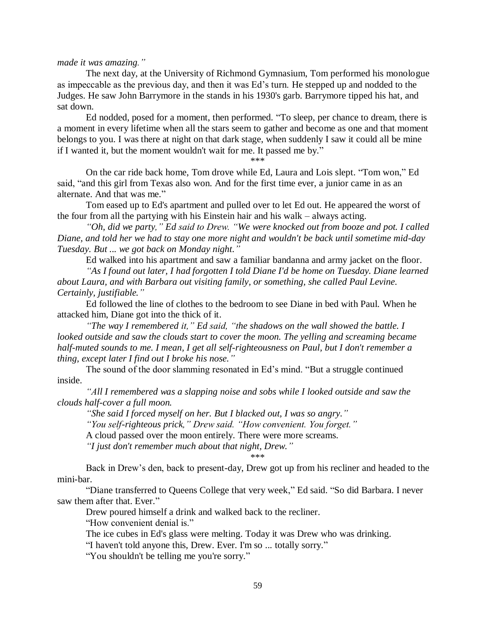*made it was amazing."*

The next day, at the University of Richmond Gymnasium, Tom performed his monologue as impeccable as the previous day, and then it was Ed's turn. He stepped up and nodded to the Judges. He saw John Barrymore in the stands in his 1930's garb. Barrymore tipped his hat, and sat down.

Ed nodded, posed for a moment, then performed. "To sleep, per chance to dream, there is a moment in every lifetime when all the stars seem to gather and become as one and that moment belongs to you. I was there at night on that dark stage, when suddenly I saw it could all be mine if I wanted it, but the moment wouldn't wait for me. It passed me by."

\*\*\*

On the car ride back home, Tom drove while Ed, Laura and Lois slept. "Tom won," Ed said, "and this girl from Texas also won. And for the first time ever, a junior came in as an alternate. And that was me."

Tom eased up to Ed's apartment and pulled over to let Ed out. He appeared the worst of the four from all the partying with his Einstein hair and his walk – always acting.

*"Oh, did we party," Ed said to Drew. "We were knocked out from booze and pot. I called Diane, and told her we had to stay one more night and wouldn't be back until sometime mid-day Tuesday. But ... we got back on Monday night."*

Ed walked into his apartment and saw a familiar bandanna and army jacket on the floor.

*"As I found out later, I had forgotten I told Diane I'd be home on Tuesday. Diane learned about Laura, and with Barbara out visiting family, or something, she called Paul Levine. Certainly, justifiable."*

Ed followed the line of clothes to the bedroom to see Diane in bed with Paul. When he attacked him, Diane got into the thick of it.

*"The way I remembered it," Ed said, "the shadows on the wall showed the battle. I looked outside and saw the clouds start to cover the moon. The yelling and screaming became half-muted sounds to me. I mean, I get all self-righteousness on Paul, but I don't remember a thing, except later I find out I broke his nose."*

The sound of the door slamming resonated in Ed's mind. "But a struggle continued inside.

*"All I remembered was a slapping noise and sobs while I looked outside and saw the clouds half-cover a full moon.*

*"She said I forced myself on her. But I blacked out, I was so angry."*

*"You self-righteous prick," Drew said. "How convenient. You forget."*

A cloud passed over the moon entirely. There were more screams.

*"I just don't remember much about that night, Drew."*

\*\*\*

Back in Drew's den, back to present-day, Drew got up from his recliner and headed to the mini-bar.

"Diane transferred to Queens College that very week," Ed said. "So did Barbara. I never saw them after that. Ever."

Drew poured himself a drink and walked back to the recliner.

"How convenient denial is."

The ice cubes in Ed's glass were melting. Today it was Drew who was drinking.

"I haven't told anyone this, Drew. Ever. I'm so ... totally sorry."

"You shouldn't be telling me you're sorry."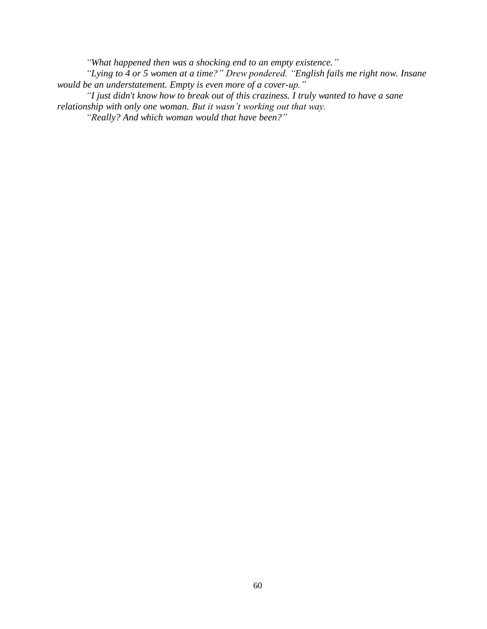*"What happened then was a shocking end to an empty existence." "Lying to 4 or 5 women at a time?" Drew pondered. "English fails me right now. Insane would be an understatement. Empty is even more of a cover-up." "I just didn't know how to break out of this craziness. I truly wanted to have a sane* 

*relationship with only one woman. But it wasn't working out that way.*

*"Really? And which woman would that have been?"*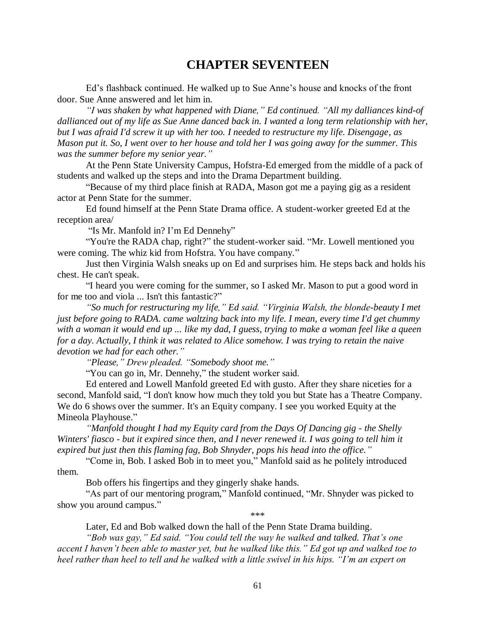# **CHAPTER SEVENTEEN**

Ed's flashback continued. He walked up to Sue Anne's house and knocks of the front door. Sue Anne answered and let him in.

*"I was shaken by what happened with Diane," Ed continued. "All my dalliances kind-of dallianced out of my life as Sue Anne danced back in. I wanted a long term relationship with her, but I was afraid I'd screw it up with her too. I needed to restructure my life. Disengage, as Mason put it. So, I went over to her house and told her I was going away for the summer. This was the summer before my senior year."*

At the Penn State University Campus, Hofstra-Ed emerged from the middle of a pack of students and walked up the steps and into the Drama Department building.

"Because of my third place finish at RADA, Mason got me a paying gig as a resident actor at Penn State for the summer.

Ed found himself at the Penn State Drama office. A student-worker greeted Ed at the reception area/

"Is Mr. Manfold in? I'm Ed Dennehy"

"You're the RADA chap, right?" the student-worker said. "Mr. Lowell mentioned you were coming. The whiz kid from Hofstra. You have company."

Just then Virginia Walsh sneaks up on Ed and surprises him. He steps back and holds his chest. He can't speak.

"I heard you were coming for the summer, so I asked Mr. Mason to put a good word in for me too and viola ... Isn't this fantastic?"

*"So much for restructuring my life," Ed said. "Virginia Walsh, the blonde-beauty I met just before going to RADA. came waltzing back into my life. I mean, every time I'd get chummy with a woman it would end up ... like my dad, I guess, trying to make a woman feel like a queen for a day. Actually, I think it was related to Alice somehow. I was trying to retain the naive devotion we had for each other."*

*"Please," Drew pleaded. "Somebody shoot me."*

"You can go in, Mr. Dennehy," the student worker said.

Ed entered and Lowell Manfold greeted Ed with gusto. After they share niceties for a second, Manfold said, "I don't know how much they told you but State has a Theatre Company. We do 6 shows over the summer. It's an Equity company. I see you worked Equity at the Mineola Playhouse."

*"Manfold thought I had my Equity card from the Days Of Dancing gig - the Shelly Winters' fiasco - but it expired since then, and I never renewed it. I was going to tell him it expired but just then this flaming fag, Bob Shnyder, pops his head into the office."*

"Come in, Bob. I asked Bob in to meet you," Manfold said as he politely introduced them.

Bob offers his fingertips and they gingerly shake hands.

"As part of our mentoring program," Manfold continued, "Mr. Shnyder was picked to show you around campus."

Later, Ed and Bob walked down the hall of the Penn State Drama building.

*"Bob was gay," Ed said. "You could tell the way he walked and talked. That's one accent I haven't been able to master yet, but he walked like this." Ed got up and walked toe to heel rather than heel to tell and he walked with a little swivel in his hips. "I'm an expert on* 

\*\*\*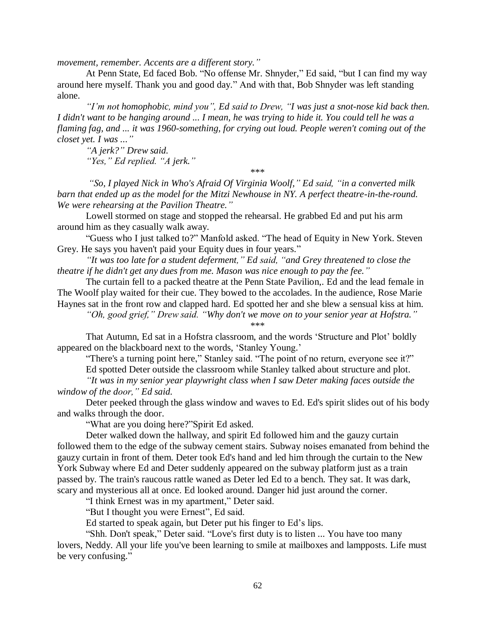*movement, remember. Accents are a different story."*

At Penn State, Ed faced Bob. "No offense Mr. Shnyder," Ed said, "but I can find my way around here myself. Thank you and good day." And with that, Bob Shnyder was left standing alone.

*"I'm not homophobic, mind you", Ed said to Drew, "I was just a snot-nose kid back then. I didn't want to be hanging around ... I mean, he was trying to hide it. You could tell he was a flaming fag, and ... it was 1960-something, for crying out loud. People weren't coming out of the closet yet. I was ..."*

*"A jerk?" Drew said. "Yes," Ed replied. "A jerk."*

\*\*\*

*"So, I played Nick in Who's Afraid Of Virginia Woolf," Ed said, "in a converted milk barn that ended up as the model for the Mitzi Newhouse in NY. A perfect theatre-in-the-round. We were rehearsing at the Pavilion Theatre."*

Lowell stormed on stage and stopped the rehearsal. He grabbed Ed and put his arm around him as they casually walk away.

"Guess who I just talked to?" Manfold asked. "The head of Equity in New York. Steven Grey. He says you haven't paid your Equity dues in four years."

*"It was too late for a student deferment," Ed said, "and Grey threatened to close the theatre if he didn't get any dues from me. Mason was nice enough to pay the fee."*

The curtain fell to a packed theatre at the Penn State Pavilion,. Ed and the lead female in The Woolf play waited for their cue. They bowed to the accolades. In the audience, Rose Marie Haynes sat in the front row and clapped hard. Ed spotted her and she blew a sensual kiss at him.

*"Oh, good grief," Drew said. "Why don't we move on to your senior year at Hofstra."*

\*\*\*

That Autumn, Ed sat in a Hofstra classroom, and the words 'Structure and Plot' boldly appeared on the blackboard next to the words, 'Stanley Young.'

"There's a turning point here," Stanley said. "The point of no return, everyone see it?"

Ed spotted Deter outside the classroom while Stanley talked about structure and plot.

*"It was in my senior year playwright class when I saw Deter making faces outside the window of the door," Ed said.*

Deter peeked through the glass window and waves to Ed. Ed's spirit slides out of his body and walks through the door.

"What are you doing here?"Spirit Ed asked.

Deter walked down the hallway, and spirit Ed followed him and the gauzy curtain followed them to the edge of the subway cement stairs. Subway noises emanated from behind the gauzy curtain in front of them. Deter took Ed's hand and led him through the curtain to the New York Subway where Ed and Deter suddenly appeared on the subway platform just as a train passed by. The train's raucous rattle waned as Deter led Ed to a bench. They sat. It was dark, scary and mysterious all at once. Ed looked around. Danger hid just around the corner.

"I think Ernest was in my apartment," Deter said.

"But I thought you were Ernest", Ed said.

Ed started to speak again, but Deter put his finger to Ed's lips.

"Shh. Don't speak," Deter said. "Love's first duty is to listen ... You have too many lovers, Neddy. All your life you've been learning to smile at mailboxes and lampposts. Life must be very confusing."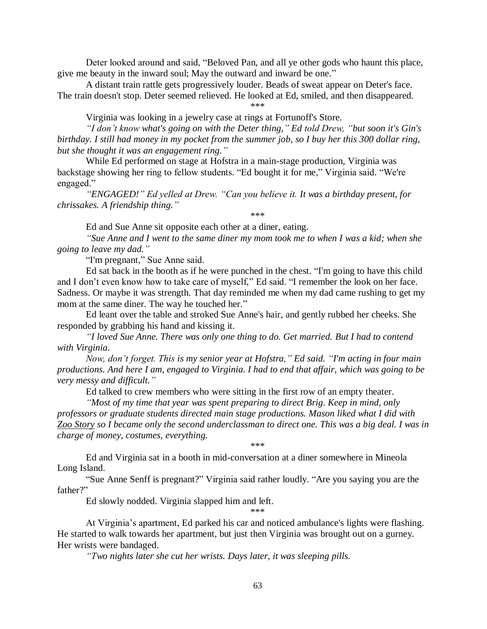Deter looked around and said, "Beloved Pan, and all ye other gods who haunt this place, give me beauty in the inward soul; May the outward and inward be one."

A distant train rattle gets progressively louder. Beads of sweat appear on Deter's face. The train doesn't stop. Deter seemed relieved. He looked at Ed, smiled, and then disappeared. \*\*\*

Virginia was looking in a jewelry case at rings at Fortunoff's Store.

*"I don't know what's going on with the Deter thing," Ed told Drew, "but soon it's Gin's birthday. I still had money in my pocket from the summer job, so I buy her this 300 dollar ring, but she thought it was an engagement ring."*

While Ed performed on stage at Hofstra in a main-stage production, Virginia was backstage showing her ring to fellow students. "Ed bought it for me," Virginia said. "We're engaged."

*"ENGAGED!" Ed yelled at Drew. "Can you believe it. It was a birthday present, for chrissakes. A friendship thing."*

\*\*\*

Ed and Sue Anne sit opposite each other at a diner, eating.

*"Sue Anne and I went to the same diner my mom took me to when I was a kid; when she going to leave my dad."*

"I'm pregnant," Sue Anne said.

Ed sat back in the booth as if he were punched in the chest. "I'm going to have this child and I don't even know how to take care of myself," Ed said. "I remember the look on her face. Sadness. Or maybe it was strength. That day reminded me when my dad came rushing to get my mom at the same diner. The way he touched her."

Ed leant over the table and stroked Sue Anne's hair, and gently rubbed her cheeks. She responded by grabbing his hand and kissing it.

*"I loved Sue Anne. There was only one thing to do. Get married. But I had to contend with Virginia.* 

*Now, don't forget. This is my senior year at Hofstra," Ed said. "I'm acting in four main productions. And here I am, engaged to Virginia. I had to end that affair, which was going to be very messy and difficult."*

Ed talked to crew members who were sitting in the first row of an empty theater.

*"Most of my time that year was spent preparing to direct Brig. Keep in mind, only professors or graduate students directed main stage productions. Mason liked what I did with Zoo Story so I became only the second underclassman to direct one. This was a big deal. I was in charge of money, costumes, everything.*

\*\*\*

Ed and Virginia sat in a booth in mid-conversation at a diner somewhere in Mineola Long Island.

"Sue Anne Senff is pregnant?" Virginia said rather loudly. "Are you saying you are the father?"

Ed slowly nodded. Virginia slapped him and left.

At Virginia's apartment, Ed parked his car and noticed ambulance's lights were flashing. He started to walk towards her apartment, but just then Virginia was brought out on a gurney. Her wrists were bandaged.

*"Two nights later she cut her wrists. Days later, it was sleeping pills.*

\*\*\*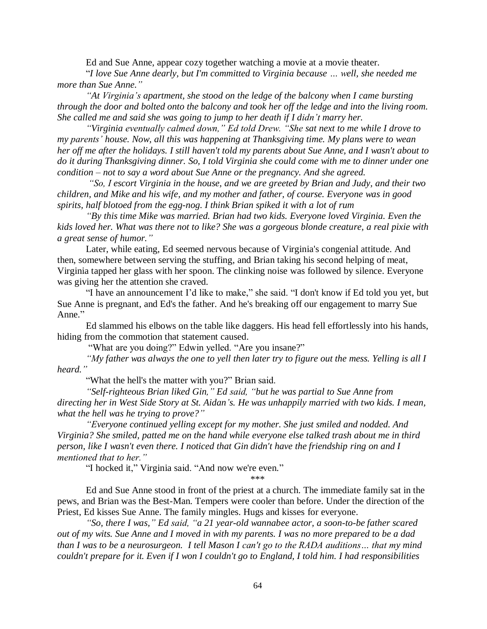Ed and Sue Anne, appear cozy together watching a movie at a movie theater.

"*I love Sue Anne dearly, but I'm committed to Virginia because … well, she needed me more than Sue Anne."*

*"At Virginia's apartment, she stood on the ledge of the balcony when I came bursting through the door and bolted onto the balcony and took her off the ledge and into the living room. She called me and said she was going to jump to her death if I didn't marry her.*

*"Virginia eventually calmed down," Ed told Drew. "She sat next to me while I drove to my parents' house. Now, all this was happening at Thanksgiving time. My plans were to wean her off me after the holidays. I still haven't told my parents about Sue Anne, and I wasn't about to do it during Thanksgiving dinner. So, I told Virginia she could come with me to dinner under one condition – not to say a word about Sue Anne or the pregnancy. And she agreed.*

*"So, I escort Virginia in the house, and we are greeted by Brian and Judy, and their two children, and Mike and his wife, and my mother and father, of course. Everyone was in good spirits, half blotoed from the egg-nog. I think Brian spiked it with a lot of rum*

*"By this time Mike was married. Brian had two kids. Everyone loved Virginia. Even the kids loved her. What was there not to like? She was a gorgeous blonde creature, a real pixie with a great sense of humor."*

Later, while eating, Ed seemed nervous because of Virginia's congenial attitude. And then, somewhere between serving the stuffing, and Brian taking his second helping of meat, Virginia tapped her glass with her spoon. The clinking noise was followed by silence. Everyone was giving her the attention she craved.

"I have an announcement I'd like to make," she said. "I don't know if Ed told you yet, but Sue Anne is pregnant, and Ed's the father. And he's breaking off our engagement to marry Sue Anne."

Ed slammed his elbows on the table like daggers. His head fell effortlessly into his hands, hiding from the commotion that statement caused.

"What are you doing?" Edwin yelled. "Are you insane?"

*"My father was always the one to yell then later try to figure out the mess. Yelling is all I heard."*

"What the hell's the matter with you?" Brian said.

*"Self-righteous Brian liked Gin," Ed said, "but he was partial to Sue Anne from directing her in West Side Story at St. Aidan's. He was unhappily married with two kids. I mean, what the hell was he trying to prove?"*

*"Everyone continued yelling except for my mother. She just smiled and nodded. And Virginia? She smiled, patted me on the hand while everyone else talked trash about me in third person, like I wasn't even there. I noticed that Gin didn't have the friendship ring on and I mentioned that to her."*

"I hocked it," Virginia said. "And now we're even."

\*\*\*

Ed and Sue Anne stood in front of the priest at a church. The immediate family sat in the pews, and Brian was the Best-Man. Tempers were cooler than before. Under the direction of the Priest, Ed kisses Sue Anne. The family mingles. Hugs and kisses for everyone.

*"So, there I was," Ed said, "a 21 year-old wannabee actor, a soon-to-be father scared out of my wits. Sue Anne and I moved in with my parents. I was no more prepared to be a dad than I was to be a neurosurgeon. I tell Mason I can't go to the RADA auditions… that my mind couldn't prepare for it. Even if I won I couldn't go to England, I told him. I had responsibilities*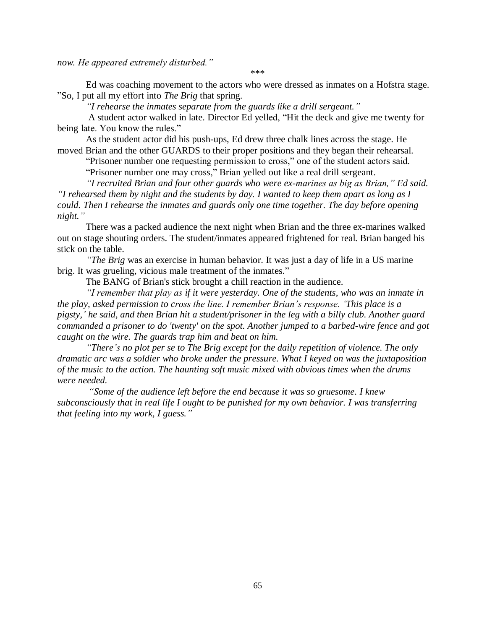*now. He appeared extremely disturbed."*

\*\*\*

Ed was coaching movement to the actors who were dressed as inmates on a Hofstra stage. "So, I put all my effort into *The Brig* that spring.

*"I rehearse the inmates separate from the guards like a drill sergeant."*

A student actor walked in late. Director Ed yelled, "Hit the deck and give me twenty for being late. You know the rules."

As the student actor did his push-ups, Ed drew three chalk lines across the stage. He moved Brian and the other GUARDS to their proper positions and they began their rehearsal.

"Prisoner number one requesting permission to cross," one of the student actors said.

"Prisoner number one may cross," Brian yelled out like a real drill sergeant.

*"I recruited Brian and four other guards who were ex-marines as big as Brian," Ed said. "I rehearsed them by night and the students by day. I wanted to keep them apart as long as I could. Then I rehearse the inmates and guards only one time together. The day before opening night."*

There was a packed audience the next night when Brian and the three ex-marines walked out on stage shouting orders. The student/inmates appeared frightened for real. Brian banged his stick on the table.

*"The Brig* was an exercise in human behavior. It was just a day of life in a US marine brig. It was grueling, vicious male treatment of the inmates."

The BANG of Brian's stick brought a chill reaction in the audience.

*"I remember that play as if it were yesterday. One of the students, who was an inmate in the play, asked permission to cross the line. I remember Brian's response. 'This place is a pigsty,' he said, and then Brian hit a student/prisoner in the leg with a billy club. Another guard commanded a prisoner to do 'twenty' on the spot. Another jumped to a barbed-wire fence and got caught on the wire. The guards trap him and beat on him.*

*"There's no plot per se to The Brig except for the daily repetition of violence. The only dramatic arc was a soldier who broke under the pressure. What I keyed on was the juxtaposition of the music to the action. The haunting soft music mixed with obvious times when the drums were needed.*

*"Some of the audience left before the end because it was so gruesome. I knew subconsciously that in real life I ought to be punished for my own behavior. I was transferring that feeling into my work, I guess."*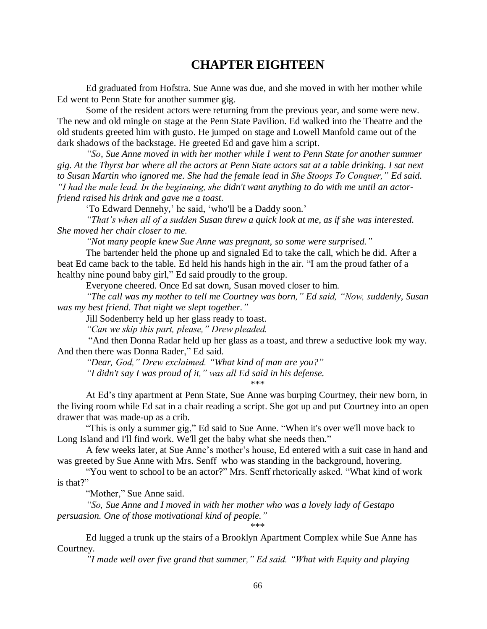# **CHAPTER EIGHTEEN**

Ed graduated from Hofstra. Sue Anne was due, and she moved in with her mother while Ed went to Penn State for another summer gig.

Some of the resident actors were returning from the previous year, and some were new. The new and old mingle on stage at the Penn State Pavilion. Ed walked into the Theatre and the old students greeted him with gusto. He jumped on stage and Lowell Manfold came out of the dark shadows of the backstage. He greeted Ed and gave him a script.

*"So, Sue Anne moved in with her mother while I went to Penn State for another summer gig. At the Thyrst bar where all the actors at Penn State actors sat at a table drinking. I sat next to Susan Martin who ignored me. She had the female lead in She Stoops To Conquer," Ed said. "I had the male lead. In the beginning, she didn't want anything to do with me until an actorfriend raised his drink and gave me a toast.*

'To Edward Dennehy,' he said, 'who'll be a Daddy soon.'

*"That's when all of a sudden Susan threw a quick look at me, as if she was interested. She moved her chair closer to me.*

*"Not many people knew Sue Anne was pregnant, so some were surprised."*

The bartender held the phone up and signaled Ed to take the call, which he did. After a beat Ed came back to the table. Ed held his hands high in the air. "I am the proud father of a healthy nine pound baby girl," Ed said proudly to the group.

Everyone cheered. Once Ed sat down, Susan moved closer to him.

*"The call was my mother to tell me Courtney was born," Ed said, "Now, suddenly, Susan was my best friend. That night we slept together."* 

Jill Sodenberry held up her glass ready to toast.

*"Can we skip this part, please," Drew pleaded.*

"And then Donna Radar held up her glass as a toast, and threw a seductive look my way. And then there was Donna Rader," Ed said.

*"Dear, God," Drew exclaimed. "What kind of man are you?"*

*"I didn't say I was proud of it," was all Ed said in his defense.*

\*\*\*

At Ed's tiny apartment at Penn State, Sue Anne was burping Courtney, their new born, in the living room while Ed sat in a chair reading a script. She got up and put Courtney into an open drawer that was made-up as a crib.

"This is only a summer gig," Ed said to Sue Anne. "When it's over we'll move back to Long Island and I'll find work. We'll get the baby what she needs then."

A few weeks later, at Sue Anne's mother's house, Ed entered with a suit case in hand and was greeted by Sue Anne with Mrs. Senff who was standing in the background, hovering.

"You went to school to be an actor?" Mrs. Senff rhetorically asked. "What kind of work is that?"

"Mother," Sue Anne said.

*"So, Sue Anne and I moved in with her mother who was a lovely lady of Gestapo persuasion. One of those motivational kind of people."*

\*\*\*

Ed lugged a trunk up the stairs of a Brooklyn Apartment Complex while Sue Anne has Courtney.

*"I made well over five grand that summer," Ed said. "What with Equity and playing*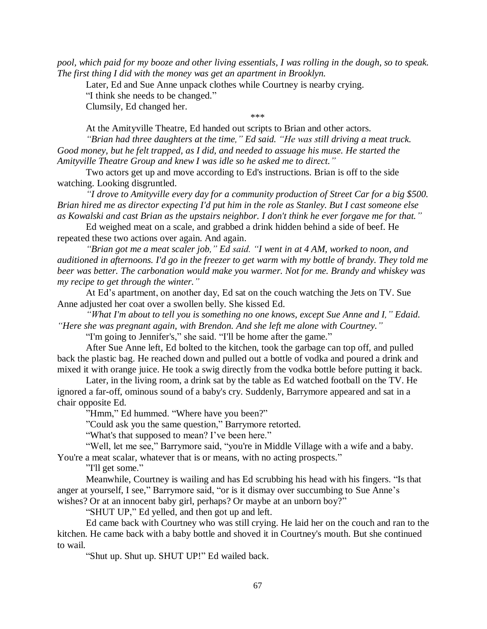*pool, which paid for my booze and other living essentials, I was rolling in the dough, so to speak. The first thing I did with the money was get an apartment in Brooklyn.* 

\*\*\*

Later, Ed and Sue Anne unpack clothes while Courtney is nearby crying. "I think she needs to be changed." Clumsily, Ed changed her.

At the Amityville Theatre, Ed handed out scripts to Brian and other actors.

*"Brian had three daughters at the time," Ed said. "He was still driving a meat truck. Good money, but he felt trapped, as I did, and needed to assuage his muse. He started the Amityville Theatre Group and knew I was idle so he asked me to direct."*

Two actors get up and move according to Ed's instructions. Brian is off to the side watching. Looking disgruntled.

*"I drove to Amityville every day for a community production of Street Car for a big \$500. Brian hired me as director expecting I'd put him in the role as Stanley. But I cast someone else as Kowalski and cast Brian as the upstairs neighbor. I don't think he ever forgave me for that."*

Ed weighed meat on a scale, and grabbed a drink hidden behind a side of beef. He repeated these two actions over again. And again.

*"Brian got me a meat scaler job," Ed said. "I went in at 4 AM, worked to noon, and auditioned in afternoons. I'd go in the freezer to get warm with my bottle of brandy. They told me beer was better. The carbonation would make you warmer. Not for me. Brandy and whiskey was my recipe to get through the winter."*

At Ed's apartment, on another day, Ed sat on the couch watching the Jets on TV. Sue Anne adjusted her coat over a swollen belly. She kissed Ed.

*"What I'm about to tell you is something no one knows, except Sue Anne and I," Edaid. "Here she was pregnant again, with Brendon. And she left me alone with Courtney."*

"I'm going to Jennifer's," she said. "I'll be home after the game."

After Sue Anne left, Ed bolted to the kitchen, took the garbage can top off, and pulled back the plastic bag. He reached down and pulled out a bottle of vodka and poured a drink and mixed it with orange juice. He took a swig directly from the vodka bottle before putting it back.

Later, in the living room, a drink sat by the table as Ed watched football on the TV. He ignored a far-off, ominous sound of a baby's cry. Suddenly, Barrymore appeared and sat in a chair opposite Ed.

"Hmm," Ed hummed. "Where have you been?"

"Could ask you the same question," Barrymore retorted.

"What's that supposed to mean? I've been here."

"Well, let me see," Barrymore said, "you're in Middle Village with a wife and a baby. You're a meat scalar, whatever that is or means, with no acting prospects."

"I'll get some."

Meanwhile, Courtney is wailing and has Ed scrubbing his head with his fingers. "Is that anger at yourself, I see," Barrymore said, "or is it dismay over succumbing to Sue Anne's wishes? Or at an innocent baby girl, perhaps? Or maybe at an unborn boy?"

"SHUT UP," Ed yelled, and then got up and left.

Ed came back with Courtney who was still crying. He laid her on the couch and ran to the kitchen. He came back with a baby bottle and shoved it in Courtney's mouth. But she continued to wail.

"Shut up. Shut up. SHUT UP!" Ed wailed back.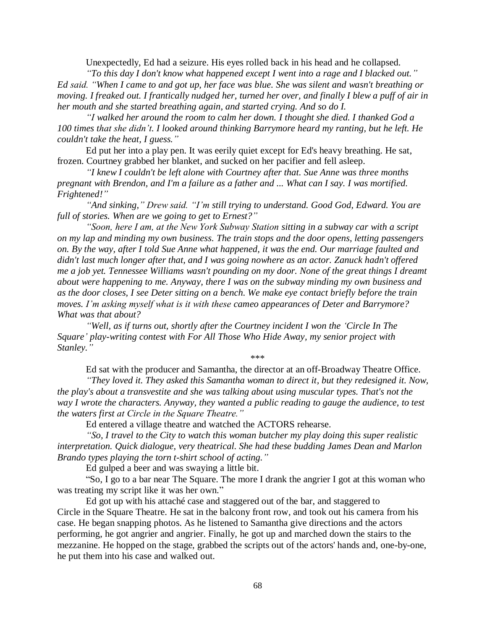Unexpectedly, Ed had a seizure. His eyes rolled back in his head and he collapsed.

*"To this day I don't know what happened except I went into a rage and I blacked out." Ed said. "When I came to and got up, her face was blue. She was silent and wasn't breathing or moving. I freaked out. I frantically nudged her, turned her over, and finally I blew a puff of air in her mouth and she started breathing again, and started crying. And so do I.* 

*"I walked her around the room to calm her down. I thought she died. I thanked God a 100 times that she didn't. I looked around thinking Barrymore heard my ranting, but he left. He couldn't take the heat, I guess."*

Ed put her into a play pen. It was eerily quiet except for Ed's heavy breathing. He sat, frozen. Courtney grabbed her blanket, and sucked on her pacifier and fell asleep.

*"I knew I couldn't be left alone with Courtney after that. Sue Anne was three months pregnant with Brendon, and I'm a failure as a father and ... What can I say. I was mortified. Frightened!"*

*"And sinking," Drew said. "I'm still trying to understand. Good God, Edward. You are full of stories. When are we going to get to Ernest?"*

*"Soon, here I am, at the New York Subway Station sitting in a subway car with a script on my lap and minding my own business. The train stops and the door opens, letting passengers on. By the way, after I told Sue Anne what happened, it was the end. Our marriage faulted and didn't last much longer after that, and I was going nowhere as an actor. Zanuck hadn't offered me a job yet. Tennessee Williams wasn't pounding on my door. None of the great things I dreamt about were happening to me. Anyway, there I was on the subway minding my own business and as the door closes, I see Deter sitting on a bench. We make eye contact briefly before the train moves. I'm asking myself what is it with these cameo appearances of Deter and Barrymore? What was that about?* 

*"Well, as if turns out, shortly after the Courtney incident I won the 'Circle In The Square' play-writing contest with For All Those Who Hide Away, my senior project with Stanley."*

\*\*\* Ed sat with the producer and Samantha, the director at an off-Broadway Theatre Office.

*"They loved it. They asked this Samantha woman to direct it, but they redesigned it. Now, the play's about a transvestite and she was talking about using muscular types. That's not the way I wrote the characters. Anyway, they wanted a public reading to gauge the audience, to test the waters first at Circle in the Square Theatre."*

Ed entered a village theatre and watched the ACTORS rehearse.

*"So, I travel to the City to watch this woman butcher my play doing this super realistic interpretation. Quick dialogue, very theatrical. She had these budding James Dean and Marlon Brando types playing the torn t-shirt school of acting."*

Ed gulped a beer and was swaying a little bit.

"So, I go to a bar near The Square. The more I drank the angrier I got at this woman who was treating my script like it was her own."

Ed got up with his attaché case and staggered out of the bar, and staggered to Circle in the Square Theatre. He sat in the balcony front row, and took out his camera from his case. He began snapping photos. As he listened to Samantha give directions and the actors performing, he got angrier and angrier. Finally, he got up and marched down the stairs to the mezzanine. He hopped on the stage, grabbed the scripts out of the actors' hands and, one-by-one, he put them into his case and walked out.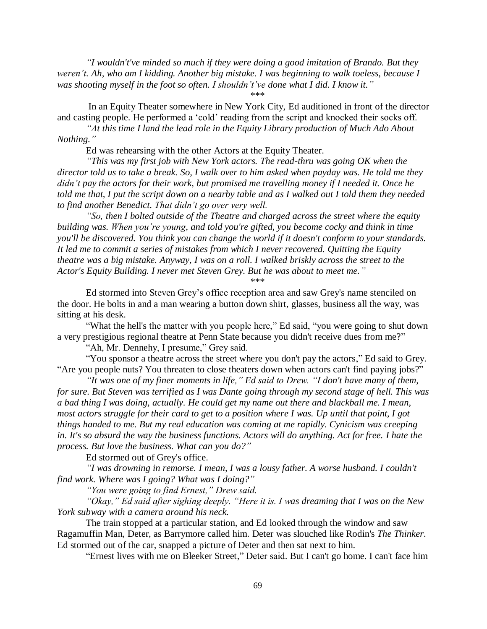*"I wouldn't've minded so much if they were doing a good imitation of Brando. But they weren't. Ah, who am I kidding. Another big mistake. I was beginning to walk toeless, because I was shooting myself in the foot so often. I shouldn't've done what I did. I know it."*

\*\*\*

In an Equity Theater somewhere in New York City, Ed auditioned in front of the director and casting people. He performed a 'cold' reading from the script and knocked their socks off.

*"At this time I land the lead role in the Equity Library production of Much Ado About Nothing."*

Ed was rehearsing with the other Actors at the Equity Theater.

*"This was my first job with New York actors. The read-thru was going OK when the director told us to take a break. So, I walk over to him asked when payday was. He told me they didn't pay the actors for their work, but promised me travelling money if I needed it. Once he told me that, I put the script down on a nearby table and as I walked out I told them they needed to find another Benedict. That didn't go over very well.*

*"So, then I bolted outside of the Theatre and charged across the street where the equity building was. When you're young, and told you're gifted, you become cocky and think in time you'll be discovered. You think you can change the world if it doesn't conform to your standards. It led me to commit a series of mistakes from which I never recovered. Quitting the Equity theatre was a big mistake. Anyway, I was on a roll. I walked briskly across the street to the Actor's Equity Building. I never met Steven Grey. But he was about to meet me."*

\*\*\*

Ed stormed into Steven Grey's office reception area and saw Grey's name stenciled on the door. He bolts in and a man wearing a button down shirt, glasses, business all the way, was sitting at his desk.

"What the hell's the matter with you people here," Ed said, "you were going to shut down a very prestigious regional theatre at Penn State because you didn't receive dues from me?"

"Ah, Mr. Dennehy, I presume," Grey said.

"You sponsor a theatre across the street where you don't pay the actors," Ed said to Grey. "Are you people nuts? You threaten to close theaters down when actors can't find paying jobs?"

*"It was one of my finer moments in life," Ed said to Drew. "I don't have many of them, for sure. But Steven was terrified as I was Dante going through my second stage of hell. This was a bad thing I was doing, actually. He could get my name out there and blackball me. I mean, most actors struggle for their card to get to a position where I was. Up until that point, I got things handed to me. But my real education was coming at me rapidly. Cynicism was creeping in. It's so absurd the way the business functions. Actors will do anything. Act for free. I hate the process. But love the business. What can you do?"*

Ed stormed out of Grey's office.

*"I was drowning in remorse. I mean, I was a lousy father. A worse husband. I couldn't find work. Where was I going? What was I doing?"*

*"You were going to find Ernest," Drew said.*

*"Okay," Ed said after sighing deeply. "Here it is. I was dreaming that I was on the New York subway with a camera around his neck.* 

The train stopped at a particular station, and Ed looked through the window and saw Ragamuffin Man, Deter, as Barrymore called him. Deter was slouched like Rodin's *The Thinker*. Ed stormed out of the car, snapped a picture of Deter and then sat next to him.

"Ernest lives with me on Bleeker Street," Deter said. But I can't go home. I can't face him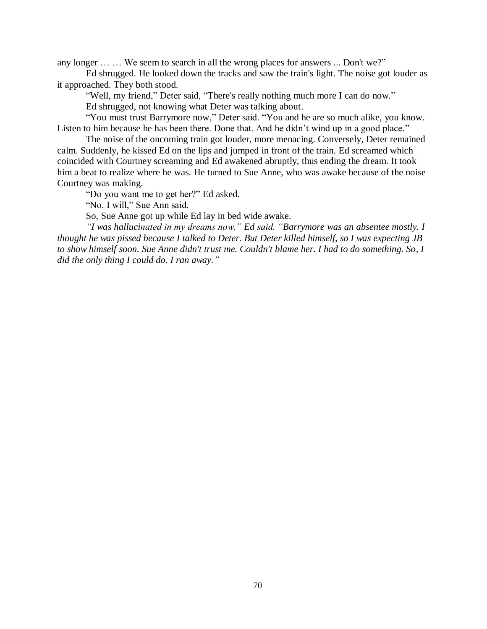any longer … … We seem to search in all the wrong places for answers ... Don't we?"

Ed shrugged. He looked down the tracks and saw the train's light. The noise got louder as it approached. They both stood.

"Well, my friend," Deter said, "There's really nothing much more I can do now."

Ed shrugged, not knowing what Deter was talking about.

"You must trust Barrymore now," Deter said. "You and he are so much alike, you know. Listen to him because he has been there. Done that. And he didn't wind up in a good place."

The noise of the oncoming train got louder, more menacing. Conversely, Deter remained calm. Suddenly, he kissed Ed on the lips and jumped in front of the train. Ed screamed which coincided with Courtney screaming and Ed awakened abruptly, thus ending the dream. It took him a beat to realize where he was. He turned to Sue Anne, who was awake because of the noise Courtney was making.

"Do you want me to get her?" Ed asked.

"No. I will," Sue Ann said.

So, Sue Anne got up while Ed lay in bed wide awake.

*"I was hallucinated in my dreams now," Ed said. "Barrymore was an absentee mostly. I thought he was pissed because I talked to Deter. But Deter killed himself, so I was expecting JB to show himself soon. Sue Anne didn't trust me. Couldn't blame her. I had to do something. So, I did the only thing I could do. I ran away."*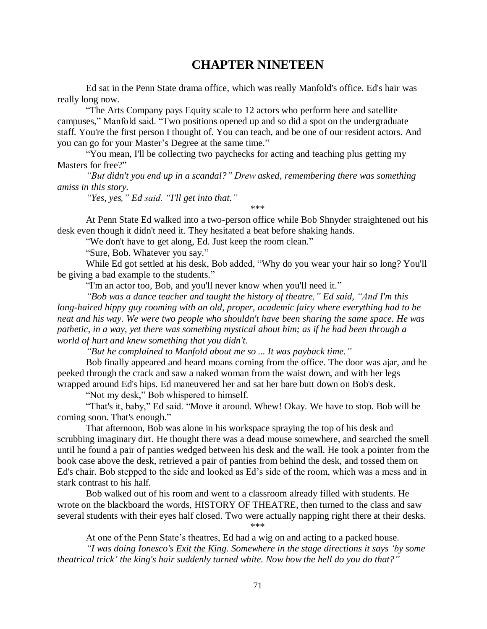### **CHAPTER NINETEEN**

Ed sat in the Penn State drama office, which was really Manfold's office. Ed's hair was really long now.

"The Arts Company pays Equity scale to 12 actors who perform here and satellite campuses," Manfold said. "Two positions opened up and so did a spot on the undergraduate staff. You're the first person I thought of. You can teach, and be one of our resident actors. And you can go for your Master's Degree at the same time."

"You mean, I'll be collecting two paychecks for acting and teaching plus getting my Masters for free?"

*"But didn't you end up in a scandal?" Drew asked, remembering there was something amiss in this story.*

*"Yes, yes," Ed said. "I'll get into that."*

At Penn State Ed walked into a two-person office while Bob Shnyder straightened out his desk even though it didn't need it. They hesitated a beat before shaking hands.

\*\*\*

"We don't have to get along, Ed. Just keep the room clean."

"Sure, Bob. Whatever you say."

While Ed got settled at his desk, Bob added, "Why do you wear your hair so long? You'll be giving a bad example to the students."

"I'm an actor too, Bob, and you'll never know when you'll need it."

*"Bob was a dance teacher and taught the history of theatre," Ed said, "And I'm this long-haired hippy guy rooming with an old, proper, academic fairy where everything had to be neat and his way. We were two people who shouldn't have been sharing the same space. He was pathetic, in a way, yet there was something mystical about him; as if he had been through a world of hurt and knew something that you didn't.*

*"But he complained to Manfold about me so ... It was payback time."*

Bob finally appeared and heard moans coming from the office. The door was ajar, and he peeked through the crack and saw a naked woman from the waist down, and with her legs wrapped around Ed's hips. Ed maneuvered her and sat her bare butt down on Bob's desk.

"Not my desk," Bob whispered to himself.

"That's it, baby," Ed said. "Move it around. Whew! Okay. We have to stop. Bob will be coming soon. That's enough."

That afternoon, Bob was alone in his workspace spraying the top of his desk and scrubbing imaginary dirt. He thought there was a dead mouse somewhere, and searched the smell until he found a pair of panties wedged between his desk and the wall. He took a pointer from the book case above the desk, retrieved a pair of panties from behind the desk, and tossed them on Ed's chair. Bob stepped to the side and looked as Ed's side of the room, which was a mess and in stark contrast to his half.

Bob walked out of his room and went to a classroom already filled with students. He wrote on the blackboard the words, HISTORY OF THEATRE, then turned to the class and saw several students with their eyes half closed. Two were actually napping right there at their desks.

\*\*\*

At one of the Penn State's theatres, Ed had a wig on and acting to a packed house. *"I was doing Ionesco's Exit the King. Somewhere in the stage directions it says 'by some theatrical trick' the king's hair suddenly turned white. Now how the hell do you do that?"*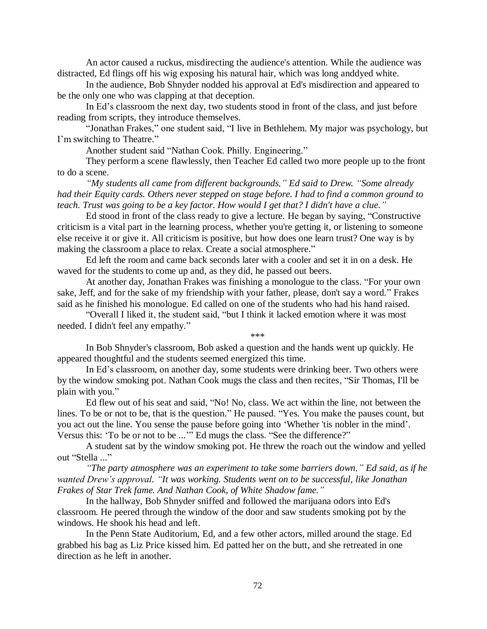An actor caused a ruckus, misdirecting the audience's attention. While the audience was distracted, Ed flings off his wig exposing his natural hair, which was long anddyed white.

In the audience, Bob Shnyder nodded his approval at Ed's misdirection and appeared to be the only one who was clapping at that deception.

In Ed's classroom the next day, two students stood in front of the class, and just before reading from scripts, they introduce themselves.

"Jonathan Frakes," one student said, "I live in Bethlehem. My major was psychology, but I'm switching to Theatre."

Another student said "Nathan Cook. Philly. Engineering."

They perform a scene flawlessly, then Teacher Ed called two more people up to the front to do a scene.

*"My students all came from different backgrounds," Ed said to Drew. "Some already had their Equity cards. Others never stepped on stage before. I had to find a common ground to teach. Trust was going to be a key factor. How would I get that? I didn't have a clue."*

Ed stood in front of the class ready to give a lecture. He began by saying, "Constructive criticism is a vital part in the learning process, whether you're getting it, or listening to someone else receive it or give it. All criticism is positive, but how does one learn trust? One way is by making the classroom a place to relax. Create a social atmosphere."

Ed left the room and came back seconds later with a cooler and set it in on a desk. He waved for the students to come up and, as they did, he passed out beers.

At another day, Jonathan Frakes was finishing a monologue to the class. "For your own sake, Jeff, and for the sake of my friendship with your father, please, don't say a word." Frakes said as he finished his monologue. Ed called on one of the students who had his hand raised.

"Overall I liked it, the student said, "but I think it lacked emotion where it was most needed. I didn't feel any empathy."

\*\*\*

In Bob Shnyder's classroom, Bob asked a question and the hands went up quickly. He appeared thoughtful and the students seemed energized this time.

In Ed's classroom, on another day, some students were drinking beer. Two others were by the window smoking pot. Nathan Cook mugs the class and then recites, "Sir Thomas, I'll be plain with you."

Ed flew out of his seat and said, "No! No, class. We act within the line, not between the lines. To be or not to be, that is the question." He paused. "Yes. You make the pauses count, but you act out the line. You sense the pause before going into 'Whether 'tis nobler in the mind'. Versus this: 'To be or not to be ...'" Ed mugs the class. "See the difference?"

A student sat by the window smoking pot. He threw the roach out the window and yelled out "Stella ..."

*"The party atmosphere was an experiment to take some barriers down," Ed said, as if he wanted Drew's approval. "It was working. Students went on to be successful, like Jonathan Frakes of Star Trek fame. And Nathan Cook, of White Shadow fame."*

In the hallway, Bob Shnyder sniffed and followed the marijuana odors into Ed's classroom. He peered through the window of the door and saw students smoking pot by the windows. He shook his head and left.

In the Penn State Auditorium, Ed, and a few other actors, milled around the stage. Ed grabbed his bag as Liz Price kissed him. Ed patted her on the butt, and she retreated in one direction as he left in another.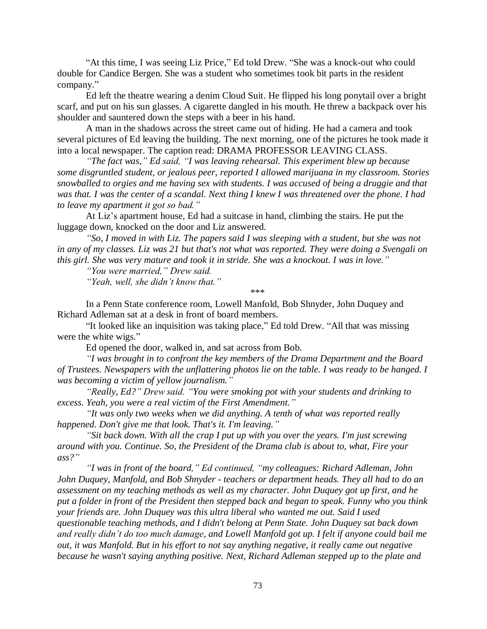"At this time, I was seeing Liz Price," Ed told Drew. "She was a knock-out who could double for Candice Bergen. She was a student who sometimes took bit parts in the resident company."

Ed left the theatre wearing a denim Cloud Suit. He flipped his long ponytail over a bright scarf, and put on his sun glasses. A cigarette dangled in his mouth. He threw a backpack over his shoulder and sauntered down the steps with a beer in his hand.

A man in the shadows across the street came out of hiding. He had a camera and took several pictures of Ed leaving the building. The next morning, one of the pictures he took made it into a local newspaper. The caption read: DRAMA PROFESSOR LEAVING CLASS.

*"The fact was," Ed said, "I was leaving rehearsal. This experiment blew up because some disgruntled student, or jealous peer, reported I allowed marijuana in my classroom. Stories snowballed to orgies and me having sex with students. I was accused of being a druggie and that was that. I was the center of a scandal. Next thing I knew I was threatened over the phone. I had to leave my apartment it got so bad."*

At Liz's apartment house, Ed had a suitcase in hand, climbing the stairs. He put the luggage down, knocked on the door and Liz answered.

*"So, I moved in with Liz. The papers said I was sleeping with a student, but she was not in any of my classes. Liz was 21 but that's not what was reported. They were doing a Svengali on this girl. She was very mature and took it in stride. She was a knockout. I was in love."*

*"You were married," Drew said.* 

*"Yeah, well, she didn't know that."*

\*\*\*

In a Penn State conference room, Lowell Manfold, Bob Shnyder, John Duquey and Richard Adleman sat at a desk in front of board members.

"It looked like an inquisition was taking place," Ed told Drew. "All that was missing were the white wigs."

Ed opened the door, walked in, and sat across from Bob.

*"I was brought in to confront the key members of the Drama Department and the Board of Trustees. Newspapers with the unflattering photos lie on the table. I was ready to be hanged. I was becoming a victim of yellow journalism."*

*"Really, Ed?" Drew said. "You were smoking pot with your students and drinking to excess. Yeah, you were a real victim of the First Amendment."*

*"It was only two weeks when we did anything. A tenth of what was reported really happened. Don't give me that look. That's it. I'm leaving."*

*"Sit back down. With all the crap I put up with you over the years. I'm just screwing around with you. Continue. So, the President of the Drama club is about to, what, Fire your ass?"*

*"I was in front of the board," Ed continued, "my colleagues: Richard Adleman, John John Duquey, Manfold, and Bob Shnyder - teachers or department heads. They all had to do an assessment on my teaching methods as well as my character. John Duquey got up first, and he put a folder in front of the President then stepped back and began to speak. Funny who you think your friends are. John Duquey was this ultra liberal who wanted me out. Said I used questionable teaching methods, and I didn't belong at Penn State. John Duquey sat back down and really didn't do too much damage, and Lowell Manfold got up. I felt if anyone could bail me out, it was Manfold. But in his effort to not say anything negative, it really came out negative because he wasn't saying anything positive. Next, Richard Adleman stepped up to the plate and*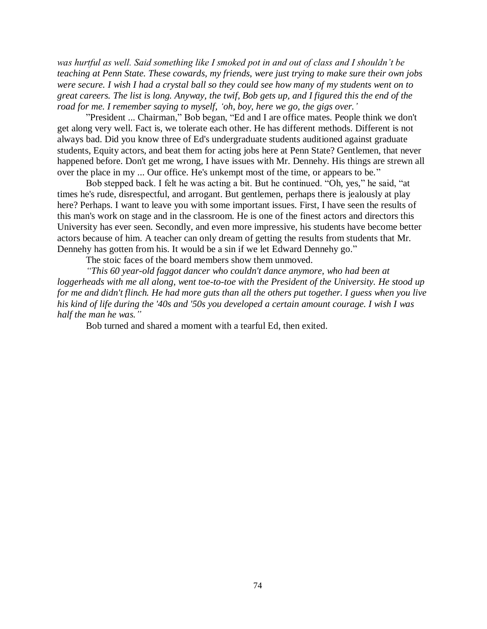*was hurtful as well. Said something like I smoked pot in and out of class and I shouldn't be teaching at Penn State. These cowards, my friends, were just trying to make sure their own jobs were secure. I wish I had a crystal ball so they could see how many of my students went on to great careers. The list is long. Anyway, the twif, Bob gets up, and I figured this the end of the road for me. I remember saying to myself, 'oh, boy, here we go, the gigs over.'*

"President ... Chairman," Bob began, "Ed and I are office mates. People think we don't get along very well. Fact is, we tolerate each other. He has different methods. Different is not always bad. Did you know three of Ed's undergraduate students auditioned against graduate students, Equity actors, and beat them for acting jobs here at Penn State? Gentlemen, that never happened before. Don't get me wrong, I have issues with Mr. Dennehy. His things are strewn all over the place in my ... Our office. He's unkempt most of the time, or appears to be."

Bob stepped back. I felt he was acting a bit. But he continued. "Oh, yes," he said, "at times he's rude, disrespectful, and arrogant. But gentlemen, perhaps there is jealously at play here? Perhaps. I want to leave you with some important issues. First, I have seen the results of this man's work on stage and in the classroom. He is one of the finest actors and directors this University has ever seen. Secondly, and even more impressive, his students have become better actors because of him. A teacher can only dream of getting the results from students that Mr. Dennehy has gotten from his. It would be a sin if we let Edward Dennehy go."

The stoic faces of the board members show them unmoved.

*"This 60 year-old faggot dancer who couldn't dance anymore, who had been at loggerheads with me all along, went toe-to-toe with the President of the University. He stood up for me and didn't flinch. He had more guts than all the others put together. I guess when you live his kind of life during the '40s and '50s you developed a certain amount courage. I wish I was half the man he was."*

Bob turned and shared a moment with a tearful Ed, then exited.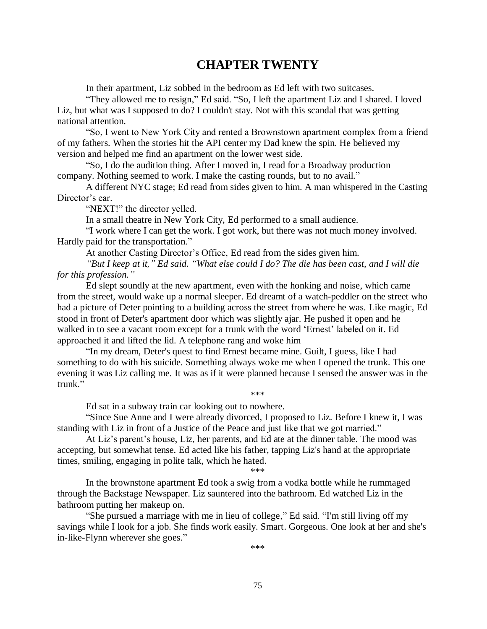## **CHAPTER TWENTY**

In their apartment, Liz sobbed in the bedroom as Ed left with two suitcases.

"They allowed me to resign," Ed said. "So, I left the apartment Liz and I shared. I loved Liz, but what was I supposed to do? I couldn't stay. Not with this scandal that was getting national attention.

"So, I went to New York City and rented a Brownstown apartment complex from a friend of my fathers. When the stories hit the API center my Dad knew the spin. He believed my version and helped me find an apartment on the lower west side.

"So, I do the audition thing. After I moved in, I read for a Broadway production company. Nothing seemed to work. I make the casting rounds, but to no avail."

A different NYC stage; Ed read from sides given to him. A man whispered in the Casting Director's ear.

"NEXT!" the director yelled.

In a small theatre in New York City, Ed performed to a small audience.

"I work where I can get the work. I got work, but there was not much money involved. Hardly paid for the transportation."

At another Casting Director's Office, Ed read from the sides given him.

*"But I keep at it," Ed said. "What else could I do? The die has been cast, and I will die for this profession."*

Ed slept soundly at the new apartment, even with the honking and noise, which came from the street, would wake up a normal sleeper. Ed dreamt of a watch-peddler on the street who had a picture of Deter pointing to a building across the street from where he was. Like magic, Ed stood in front of Deter's apartment door which was slightly ajar. He pushed it open and he walked in to see a vacant room except for a trunk with the word 'Ernest' labeled on it. Ed approached it and lifted the lid. A telephone rang and woke him

"In my dream, Deter's quest to find Ernest became mine. Guilt, I guess, like I had something to do with his suicide. Something always woke me when I opened the trunk. This one evening it was Liz calling me. It was as if it were planned because I sensed the answer was in the trunk."

\*\*\*

Ed sat in a subway train car looking out to nowhere.

"Since Sue Anne and I were already divorced, I proposed to Liz. Before I knew it, I was standing with Liz in front of a Justice of the Peace and just like that we got married."

At Liz's parent's house, Liz, her parents, and Ed ate at the dinner table. The mood was accepting, but somewhat tense. Ed acted like his father, tapping Liz's hand at the appropriate times, smiling, engaging in polite talk, which he hated. \*\*\*

In the brownstone apartment Ed took a swig from a vodka bottle while he rummaged through the Backstage Newspaper. Liz sauntered into the bathroom. Ed watched Liz in the bathroom putting her makeup on.

"She pursued a marriage with me in lieu of college," Ed said. "I'm still living off my savings while I look for a job. She finds work easily. Smart. Gorgeous. One look at her and she's in-like-Flynn wherever she goes."

\*\*\*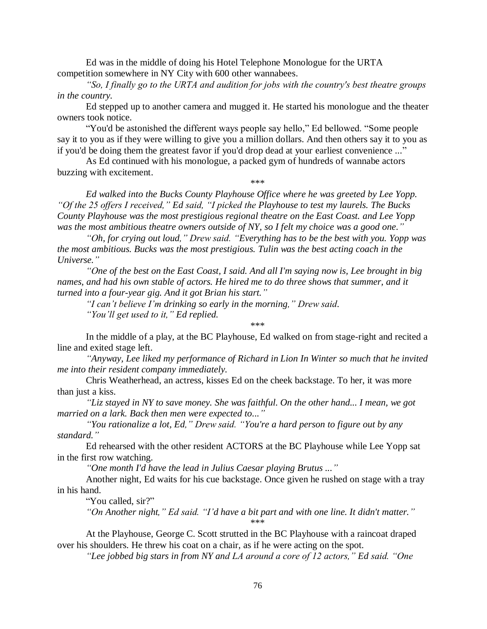Ed was in the middle of doing his Hotel Telephone Monologue for the URTA competition somewhere in NY City with 600 other wannabees.

*"So, I finally go to the URTA and audition for jobs with the country's best theatre groups in the country.*

Ed stepped up to another camera and mugged it. He started his monologue and the theater owners took notice.

"You'd be astonished the different ways people say hello," Ed bellowed. "Some people say it to you as if they were willing to give you a million dollars. And then others say it to you as if you'd be doing them the greatest favor if you'd drop dead at your earliest convenience ..."

As Ed continued with his monologue, a packed gym of hundreds of wannabe actors buzzing with excitement.

\*\*\*

*Ed walked into the Bucks County Playhouse Office where he was greeted by Lee Yopp. "Of the 25 offers I received," Ed said, "I picked the Playhouse to test my laurels. The Bucks County Playhouse was the most prestigious regional theatre on the East Coast. and Lee Yopp was the most ambitious theatre owners outside of NY, so I felt my choice was a good one."*

*"Oh, for crying out loud," Drew said. "Everything has to be the best with you. Yopp was the most ambitious. Bucks was the most prestigious. Tulin was the best acting coach in the Universe."*

*"One of the best on the East Coast, I said. And all I'm saying now is, Lee brought in big names, and had his own stable of actors. He hired me to do three shows that summer, and it turned into a four-year gig. And it got Brian his start."*

*"I can't believe I'm drinking so early in the morning," Drew said. "You'll get used to it," Ed replied.* \*\*\*

In the middle of a play, at the BC Playhouse, Ed walked on from stage-right and recited a line and exited stage left.

*"Anyway, Lee liked my performance of Richard in Lion In Winter so much that he invited me into their resident company immediately.*

Chris Weatherhead, an actress, kisses Ed on the cheek backstage. To her, it was more than just a kiss.

*"Liz stayed in NY to save money. She was faithful. On the other hand... I mean, we got married on a lark. Back then men were expected to..."*

*"You rationalize a lot, Ed," Drew said. "You're a hard person to figure out by any standard."*

Ed rehearsed with the other resident ACTORS at the BC Playhouse while Lee Yopp sat in the first row watching.

*"One month I'd have the lead in Julius Caesar playing Brutus ..."*

Another night, Ed waits for his cue backstage. Once given he rushed on stage with a tray in his hand.

"You called, sir?"

*"On Another night," Ed said. "I'd have a bit part and with one line. It didn't matter."* \*\*\*

At the Playhouse, George C. Scott strutted in the BC Playhouse with a raincoat draped over his shoulders. He threw his coat on a chair, as if he were acting on the spot.

*"Lee jobbed big stars in from NY and LA around a core of 12 actors," Ed said. "One*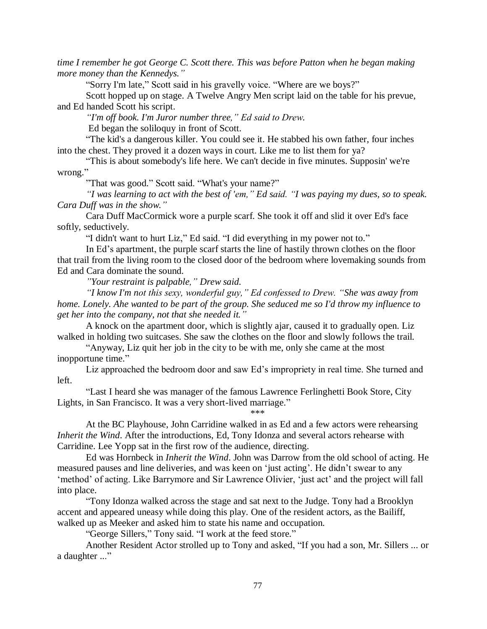*time I remember he got George C. Scott there. This was before Patton when he began making more money than the Kennedys."*

"Sorry I'm late," Scott said in his gravelly voice. "Where are we boys?"

Scott hopped up on stage. A Twelve Angry Men script laid on the table for his prevue, and Ed handed Scott his script.

*"I'm off book. I'm Juror number three," Ed said to Drew.*

Ed began the soliloquy in front of Scott.

"The kid's a dangerous killer. You could see it. He stabbed his own father, four inches into the chest. They proved it a dozen ways in court. Like me to list them for ya?

"This is about somebody's life here. We can't decide in five minutes. Supposin' we're wrong."

"That was good." Scott said. "What's your name?"

*"I was learning to act with the best of 'em," Ed said. "I was paying my dues, so to speak. Cara Duff was in the show."*

Cara Duff MacCormick wore a purple scarf. She took it off and slid it over Ed's face softly, seductively.

"I didn't want to hurt Liz," Ed said. "I did everything in my power not to."

In Ed's apartment, the purple scarf starts the line of hastily thrown clothes on the floor that trail from the living room to the closed door of the bedroom where lovemaking sounds from Ed and Cara dominate the sound.

*"Your restraint is palpable," Drew said.*

*"I know I'm not this sexy, wonderful guy," Ed confessed to Drew. "She was away from home. Lonely. Ahe wanted to be part of the group. She seduced me so I'd throw my influence to get her into the company, not that she needed it."*

A knock on the apartment door, which is slightly ajar, caused it to gradually open. Liz walked in holding two suitcases. She saw the clothes on the floor and slowly follows the trail.

"Anyway, Liz quit her job in the city to be with me, only she came at the most inopportune time."

Liz approached the bedroom door and saw Ed's impropriety in real time. She turned and left.

"Last I heard she was manager of the famous Lawrence Ferlinghetti Book Store, City Lights, in San Francisco. It was a very short-lived marriage."

\*\*\*

At the BC Playhouse, John Carridine walked in as Ed and a few actors were rehearsing *Inherit the Wind*. After the introductions, Ed, Tony Idonza and several actors rehearse with Carridine. Lee Yopp sat in the first row of the audience, directing.

Ed was Hornbeck in *Inherit the Wind*. John was Darrow from the old school of acting. He measured pauses and line deliveries, and was keen on 'just acting'. He didn't swear to any 'method' of acting. Like Barrymore and Sir Lawrence Olivier, 'just act' and the project will fall into place.

"Tony Idonza walked across the stage and sat next to the Judge. Tony had a Brooklyn accent and appeared uneasy while doing this play. One of the resident actors, as the Bailiff, walked up as Meeker and asked him to state his name and occupation.

"George Sillers," Tony said. "I work at the feed store."

Another Resident Actor strolled up to Tony and asked, "If you had a son, Mr. Sillers ... or a daughter ..."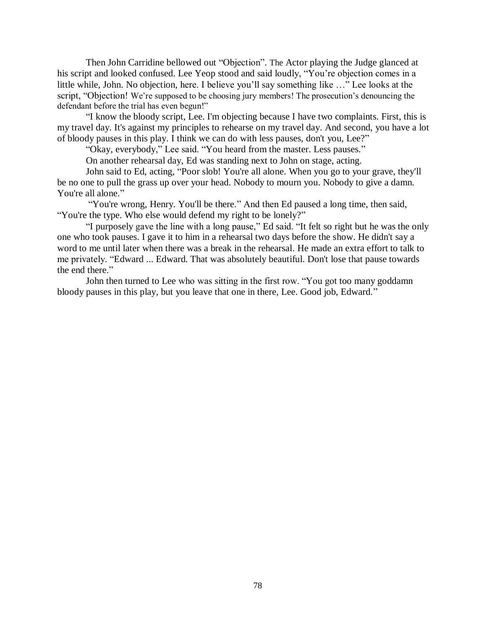Then John Carridine bellowed out "Objection". The Actor playing the Judge glanced at his script and looked confused. Lee Yeop stood and said loudly, "You're objection comes in a little while, John. No objection, here. I believe you'll say something like …" Lee looks at the script, "Objection! We're supposed to be choosing jury members! The prosecution's denouncing the defendant before the trial has even begun!"

"I know the bloody script, Lee. I'm objecting because I have two complaints. First, this is my travel day. It's against my principles to rehearse on my travel day. And second, you have a lot of bloody pauses in this play. I think we can do with less pauses, don't you, Lee?"

"Okay, everybody," Lee said. "You heard from the master. Less pauses."

On another rehearsal day, Ed was standing next to John on stage, acting.

John said to Ed, acting, "Poor slob! You're all alone. When you go to your grave, they'll be no one to pull the grass up over your head. Nobody to mourn you. Nobody to give a damn. You're all alone."

"You're wrong, Henry. You'll be there." And then Ed paused a long time, then said, "You're the type. Who else would defend my right to be lonely?"

"I purposely gave the line with a long pause," Ed said. "It felt so right but he was the only one who took pauses. I gave it to him in a rehearsal two days before the show. He didn't say a word to me until later when there was a break in the rehearsal. He made an extra effort to talk to me privately. "Edward ... Edward. That was absolutely beautiful. Don't lose that pause towards the end there."

John then turned to Lee who was sitting in the first row. "You got too many goddamn bloody pauses in this play, but you leave that one in there, Lee. Good job, Edward."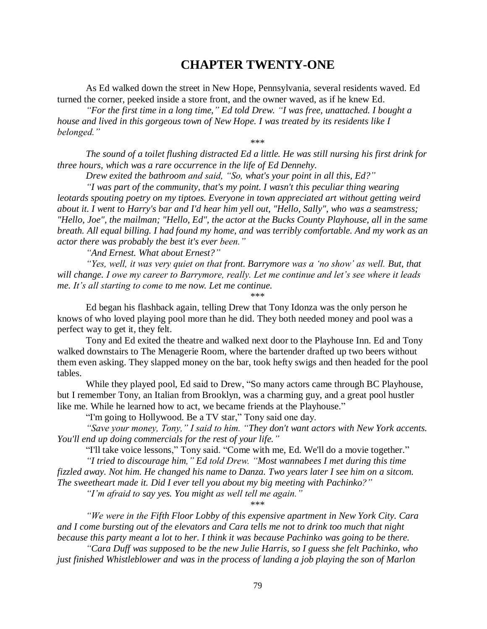## **CHAPTER TWENTY-ONE**

As Ed walked down the street in New Hope, Pennsylvania, several residents waved. Ed turned the corner, peeked inside a store front, and the owner waved, as if he knew Ed.

*"For the first time in a long time," Ed told Drew. "I was free, unattached. I bought a house and lived in this gorgeous town of New Hope. I was treated by its residents like I belonged."*

\*\*\*

*The sound of a toilet flushing distracted Ed a little. He was still nursing his first drink for three hours, which was a rare occurrence in the life of Ed Dennehy.* 

*Drew exited the bathroom and said, "So, what's your point in all this, Ed?"*

*"I was part of the community, that's my point. I wasn't this peculiar thing wearing leotards spouting poetry on my tiptoes. Everyone in town appreciated art without getting weird about it. I went to Harry's bar and I'd hear him yell out, "Hello, Sally", who was a seamstress; "Hello, Joe", the mailman; "Hello, Ed", the actor at the Bucks County Playhouse, all in the same breath. All equal billing. I had found my home, and was terribly comfortable. And my work as an actor there was probably the best it's ever been."*

*"And Ernest. What about Ernest?"*

*"Yes, well, it was very quiet on that front. Barrymore was a 'no show' as well. But, that will change. I owe my career to Barrymore, really. Let me continue and let's see where it leads me. It's all starting to come to me now. Let me continue.*

\*\*\*

Ed began his flashback again, telling Drew that Tony Idonza was the only person he knows of who loved playing pool more than he did. They both needed money and pool was a perfect way to get it, they felt.

Tony and Ed exited the theatre and walked next door to the Playhouse Inn. Ed and Tony walked downstairs to The Menagerie Room, where the bartender drafted up two beers without them even asking. They slapped money on the bar, took hefty swigs and then headed for the pool tables.

While they played pool, Ed said to Drew, "So many actors came through BC Playhouse, but I remember Tony, an Italian from Brooklyn, was a charming guy, and a great pool hustler like me. While he learned how to act, we became friends at the Playhouse."

"I'm going to Hollywood. Be a TV star," Tony said one day.

*"Save your money, Tony," I said to him. "They don't want actors with New York accents. You'll end up doing commercials for the rest of your life."*

"I'll take voice lessons," Tony said. "Come with me, Ed. We'll do a movie together."

*"I tried to discourage him," Ed told Drew. "Most wannabees I met during this time* 

*fizzled away. Not him. He changed his name to Danza. Two years later I see him on a sitcom.* 

*The sweetheart made it. Did I ever tell you about my big meeting with Pachinko?"*

*"I'm afraid to say yes. You might as well tell me again."* 

\*\*\*

*"We were in the Fifth Floor Lobby of this expensive apartment in New York City. Cara and I come bursting out of the elevators and Cara tells me not to drink too much that night because this party meant a lot to her. I think it was because Pachinko was going to be there.*

*"Cara Duff was supposed to be the new Julie Harris, so I guess she felt Pachinko, who just finished Whistleblower and was in the process of landing a job playing the son of Marlon*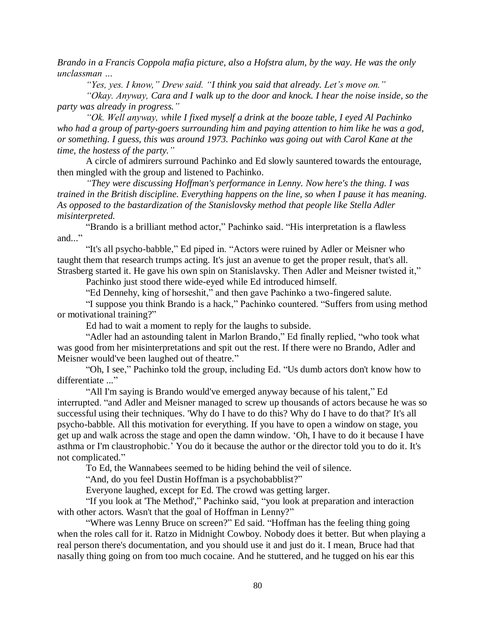*Brando in a Francis Coppola mafia picture, also a Hofstra alum, by the way. He was the only unclassman …*

*"Yes, yes. I know," Drew said. "I think you said that already. Let's move on."*

*"Okay. Anyway, Cara and I walk up to the door and knock. I hear the noise inside, so the party was already in progress."*

*"Ok. Well anyway, while I fixed myself a drink at the booze table, I eyed Al Pachinko who had a group of party-goers surrounding him and paying attention to him like he was a god, or something. I guess, this was around 1973. Pachinko was going out with Carol Kane at the time, the hostess of the party."*

A circle of admirers surround Pachinko and Ed slowly sauntered towards the entourage, then mingled with the group and listened to Pachinko.

*"They were discussing Hoffman's performance in Lenny. Now here's the thing. I was trained in the British discipline. Everything happens on the line, so when I pause it has meaning. As opposed to the bastardization of the Stanislovsky method that people like Stella Adler misinterpreted.*

"Brando is a brilliant method actor," Pachinko said. "His interpretation is a flawless and..."

"It's all psycho-babble," Ed piped in. "Actors were ruined by Adler or Meisner who taught them that research trumps acting. It's just an avenue to get the proper result, that's all. Strasberg started it. He gave his own spin on Stanislavsky. Then Adler and Meisner twisted it,"

Pachinko just stood there wide-eyed while Ed introduced himself.

"Ed Dennehy, king of horseshit," and then gave Pachinko a two-fingered salute.

"I suppose you think Brando is a hack," Pachinko countered. "Suffers from using method or motivational training?"

Ed had to wait a moment to reply for the laughs to subside.

"Adler had an astounding talent in Marlon Brando," Ed finally replied, "who took what was good from her misinterpretations and spit out the rest. If there were no Brando, Adler and Meisner would've been laughed out of theatre."

"Oh, I see," Pachinko told the group, including Ed. "Us dumb actors don't know how to differentiate ..."

"All I'm saying is Brando would've emerged anyway because of his talent," Ed interrupted. "and Adler and Meisner managed to screw up thousands of actors because he was so successful using their techniques. 'Why do I have to do this? Why do I have to do that?' It's all psycho-babble. All this motivation for everything. If you have to open a window on stage, you get up and walk across the stage and open the damn window. 'Oh, I have to do it because I have asthma or I'm claustrophobic.' You do it because the author or the director told you to do it. It's not complicated."

To Ed, the Wannabees seemed to be hiding behind the veil of silence.

"And, do you feel Dustin Hoffman is a psychobabblist?"

Everyone laughed, except for Ed. The crowd was getting larger.

"If you look at 'The Method'," Pachinko said, "you look at preparation and interaction with other actors. Wasn't that the goal of Hoffman in Lenny?"

"Where was Lenny Bruce on screen?" Ed said. "Hoffman has the feeling thing going when the roles call for it. Ratzo in Midnight Cowboy. Nobody does it better. But when playing a real person there's documentation, and you should use it and just do it. I mean, Bruce had that nasally thing going on from too much cocaine. And he stuttered, and he tugged on his ear this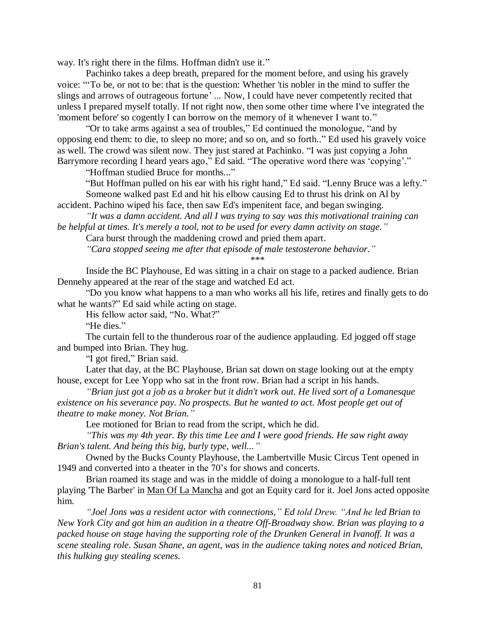way. It's right there in the films. Hoffman didn't use it."

Pachinko takes a deep breath, prepared for the moment before, and using his gravely voice: "'To be, or not to be: that is the question: Whether 'tis nobler in the mind to suffer the slings and arrows of outrageous fortune' *...* Now, I could have never competently recited that unless I prepared myself totally. If not right now, then some other time where I've integrated the 'moment before' so cogently I can borrow on the memory of it whenever I want to."

"Or to take arms against a sea of troubles," Ed continued the monologue, "and by opposing end them: to die, to sleep no more; and so on, and so forth.." Ed used his gravely voice as well. The crowd was silent now. They just stared at Pachinko. "I was just copying a John Barrymore recording I heard years ago," Ed said. "The operative word there was 'copying'."

"Hoffman studied Bruce for months..."

"But Hoffman pulled on his ear with his right hand," Ed said. "Lenny Bruce was a lefty." Someone walked past Ed and hit his elbow causing Ed to thrust his drink on Al by

accident. Pachino wiped his face, then saw Ed's impenitent face, and began swinging. *"It was a damn accident. And all I was trying to say was this motivational training can* 

*be helpful at times. It's merely a tool, not to be used for every damn activity on stage."*

Cara burst through the maddening crowd and pried them apart.

*"Cara stopped seeing me after that episode of male testosterone behavior."* \*\*\*

Inside the BC Playhouse, Ed was sitting in a chair on stage to a packed audience. Brian Dennehy appeared at the rear of the stage and watched Ed act.

"Do you know what happens to a man who works all his life, retires and finally gets to do what he wants?" Ed said while acting on stage.

His fellow actor said, "No. What?"

"He dies."

The curtain fell to the thunderous roar of the audience applauding. Ed jogged off stage and bumped into Brian. They hug.

"I got fired," Brian said.

Later that day, at the BC Playhouse, Brian sat down on stage looking out at the empty house, except for Lee Yopp who sat in the front row. Brian had a script in his hands.

*"Brian just got a job as a broker but it didn't work out. He lived sort of a Lomanesque existence on his severance pay. No prospects. But he wanted to act. Most people get out of theatre to make money. Not Brian."*

Lee motioned for Brian to read from the script, which he did.

*"This was my 4th year. By this time Lee and I were good friends. He saw right away Brian's talent. And being this big, burly type, well..."*

Owned by the Bucks County Playhouse, the Lambertville Music Circus Tent opened in 1949 and converted into a theater in the 70's for shows and concerts.

Brian roamed its stage and was in the middle of doing a monologue to a half-full tent playing 'The Barber' in Man Of La Mancha and got an Equity card for it. Joel Jons acted opposite him.

*"Joel Jons was a resident actor with connections," Ed told Drew. "And he led Brian to New York City and got him an audition in a theatre Off-Broadway show. Brian was playing to a packed house on stage having the supporting role of the Drunken General in Ivanoff. It was a scene stealing role. Susan Shane, an agent, was in the audience taking notes and noticed Brian, this hulking guy stealing scenes.*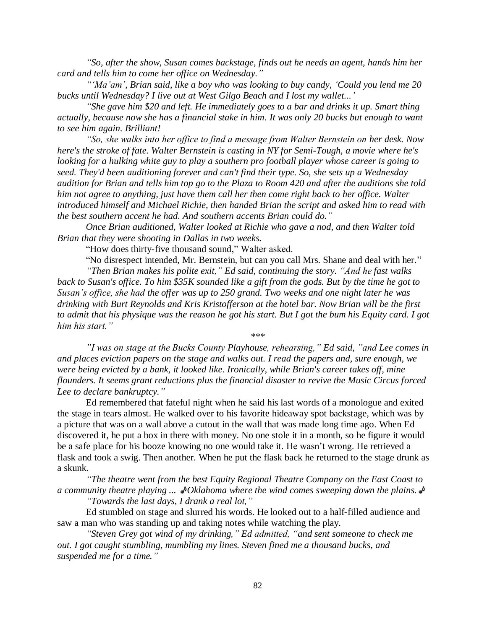*"So, after the show, Susan comes backstage, finds out he needs an agent, hands him her card and tells him to come her office on Wednesday."*

*"'Ma'am', Brian said, like a boy who was looking to buy candy, 'Could you lend me 20 bucks until Wednesday? I live out at West Gilgo Beach and I lost my wallet...'*

*"She gave him \$20 and left. He immediately goes to a bar and drinks it up. Smart thing actually, because now she has a financial stake in him. It was only 20 bucks but enough to want to see him again. Brilliant!*

*"So, she walks into her office to find a message from Walter Bernstein on her desk. Now here's the stroke of fate. Walter Bernstein is casting in NY for Semi-Tough, a movie where he's looking for a hulking white guy to play a southern pro football player whose career is going to seed. They'd been auditioning forever and can't find their type. So, she sets up a Wednesday audition for Brian and tells him top go to the Plaza to Room 420 and after the auditions she told him not agree to anything, just have them call her then come right back to her office. Walter introduced himself and Michael Richie, then handed Brian the script and asked him to read with the best southern accent he had. And southern accents Brian could do."*

*Once Brian auditioned, Walter looked at Richie who gave a nod, and then Walter told Brian that they were shooting in Dallas in two weeks.* 

"How does thirty-five thousand sound," Walter asked.

"No disrespect intended, Mr. Bernstein, but can you call Mrs. Shane and deal with her."

*"Then Brian makes his polite exit," Ed said, continuing the story. "And he fast walks back to Susan's office. To him \$35K sounded like a gift from the gods. But by the time he got to Susan's office, she had the offer was up to 250 grand. Two weeks and one night later he was drinking with Burt Reynolds and Kris Kristofferson at the hotel bar. Now Brian will be the first to admit that his physique was the reason he got his start. But I got the bum his Equity card. I got him his start." \*\*\**

*"I was on stage at the Bucks County Playhouse, rehearsing," Ed said, "and Lee comes in and places eviction papers on the stage and walks out. I read the papers and, sure enough, we were being evicted by a bank, it looked like. Ironically, while Brian's career takes off, mine flounders. It seems grant reductions plus the financial disaster to revive the Music Circus forced Lee to declare bankruptcy."*

Ed remembered that fateful night when he said his last words of a monologue and exited the stage in tears almost. He walked over to his favorite hideaway spot backstage, which was by a picture that was on a wall above a cutout in the wall that was made long time ago. When Ed discovered it, he put a box in there with money. No one stole it in a month, so he figure it would be a safe place for his booze knowing no one would take it. He wasn't wrong. He retrieved a flask and took a swig. Then another. When he put the flask back he returned to the stage drunk as a skunk.

*"The theatre went from the best Equity Regional Theatre Company on the East Coast to a community theatre playing ... Oklahoma where the wind comes sweeping down the plains.*

*"Towards the last days, I drank a real lot,"*

Ed stumbled on stage and slurred his words. He looked out to a half-filled audience and saw a man who was standing up and taking notes while watching the play.

*"Steven Grey got wind of my drinking," Ed admitted, "and sent someone to check me out. I got caught stumbling, mumbling my lines. Steven fined me a thousand bucks, and suspended me for a time."*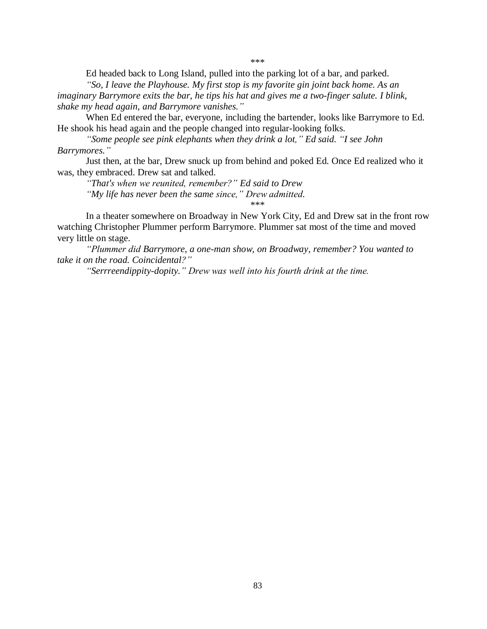\*\*\*

Ed headed back to Long Island, pulled into the parking lot of a bar, and parked.

*"So, I leave the Playhouse. My first stop is my favorite gin joint back home. As an imaginary Barrymore exits the bar, he tips his hat and gives me a two-finger salute. I blink, shake my head again, and Barrymore vanishes."*

When Ed entered the bar, everyone, including the bartender, looks like Barrymore to Ed. He shook his head again and the people changed into regular-looking folks.

*"Some people see pink elephants when they drink a lot," Ed said. "I see John Barrymores."*

Just then, at the bar, Drew snuck up from behind and poked Ed. Once Ed realized who it was, they embraced. Drew sat and talked.

*"That's when we reunited, remember?" Ed said to Drew "My life has never been the same since," Drew admitted.* \*\*\*

In a theater somewhere on Broadway in New York City, Ed and Drew sat in the front row watching Christopher Plummer perform Barrymore. Plummer sat most of the time and moved very little on stage.

*"Plummer did Barrymore, a one-man show, on Broadway, remember? You wanted to take it on the road. Coincidental?"*

*"Serrreendippity-dopity." Drew was well into his fourth drink at the time.*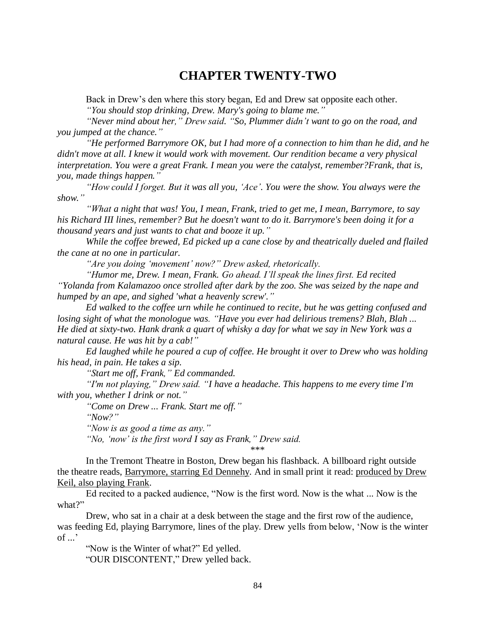## **CHAPTER TWENTY-TWO**

Back in Drew's den where this story began, Ed and Drew sat opposite each other. *"You should stop drinking, Drew. Mary's going to blame me."*

*"Never mind about her," Drew said. "So, Plummer didn't want to go on the road, and you jumped at the chance."*

*"He performed Barrymore OK, but I had more of a connection to him than he did, and he didn't move at all. I knew it would work with movement. Our rendition became a very physical interpretation. You were a great Frank. I mean you were the catalyst, remember?Frank, that is, you, made things happen."*

*"How could I forget. But it was all you, 'Ace'. You were the show. You always were the show."*

*"What a night that was! You, I mean, Frank, tried to get me, I mean, Barrymore, to say his Richard III lines, remember? But he doesn't want to do it. Barrymore's been doing it for a thousand years and just wants to chat and booze it up."*

*While the coffee brewed, Ed picked up a cane close by and theatrically dueled and flailed the cane at no one in particular.*

*"Are you doing 'movement' now?" Drew asked, rhetorically.*

*"Humor me, Drew. I mean, Frank. Go ahead. I'll speak the lines first. Ed recited "Yolanda from Kalamazoo once strolled after dark by the zoo. She was seized by the nape and humped by an ape, and sighed 'what a heavenly screw'."*

*Ed walked to the coffee urn while he continued to recite, but he was getting confused and losing sight of what the monologue was. "Have you ever had delirious tremens? Blah, Blah ... He died at sixty-two. Hank drank a quart of whisky a day for what we say in New York was a natural cause. He was hit by a cab!"*

*Ed laughed while he poured a cup of coffee. He brought it over to Drew who was holding his head, in pain. He takes a sip.*

*"Start me off, Frank," Ed commanded.*

*"I'm not playing," Drew said. "I have a headache. This happens to me every time I'm with you, whether I drink or not."*

*"Come on Drew ... Frank. Start me off."*

*"Now?"*

*"Now is as good a time as any."*

*"No, 'now' is the first word I say as Frank," Drew said.*

\*\*\*

In the Tremont Theatre in Boston, Drew began his flashback. A billboard right outside the theatre reads, Barrymore, starring Ed Dennehy. And in small print it read: produced by Drew Keil, also playing Frank.

Ed recited to a packed audience, "Now is the first word. Now is the what ... Now is the what?"

Drew, who sat in a chair at a desk between the stage and the first row of the audience, was feeding Ed, playing Barrymore, lines of the play. Drew yells from below, 'Now is the winter of ...'

"Now is the Winter of what?" Ed yelled.

"OUR DISCONTENT," Drew yelled back.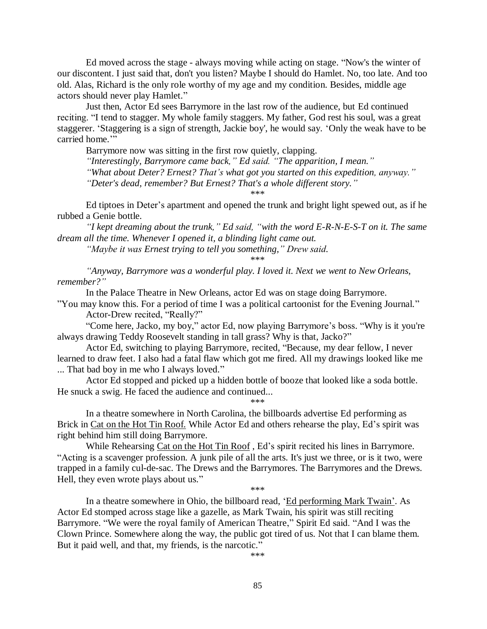Ed moved across the stage - always moving while acting on stage. "Now's the winter of our discontent. I just said that, don't you listen? Maybe I should do Hamlet. No, too late. And too old. Alas, Richard is the only role worthy of my age and my condition. Besides, middle age actors should never play Hamlet."

Just then, Actor Ed sees Barrymore in the last row of the audience, but Ed continued reciting. "I tend to stagger. My whole family staggers. My father, God rest his soul, was a great staggerer. 'Staggering is a sign of strength, Jackie boy', he would say. 'Only the weak have to be carried home."

Barrymore now was sitting in the first row quietly, clapping.

*"Interestingly, Barrymore came back," Ed said. "The apparition, I mean."*

*"What about Deter? Ernest? That's what got you started on this expedition, anyway."*

*"Deter's dead, remember? But Ernest? That's a whole different story."*

\*\*\*

Ed tiptoes in Deter's apartment and opened the trunk and bright light spewed out, as if he rubbed a Genie bottle.

*"I kept dreaming about the trunk," Ed said, "with the word E-R-N-E-S-T on it. The same dream all the time. Whenever I opened it, a blinding light came out.*

*"Maybe it was Ernest trying to tell you something," Drew said.*

\*\*\*

*"Anyway, Barrymore was a wonderful play. I loved it. Next we went to New Orleans, remember?"*

In the Palace Theatre in New Orleans, actor Ed was on stage doing Barrymore. "You may know this. For a period of time I was a political cartoonist for the Evening Journal."

Actor-Drew recited, "Really?"

"Come here, Jacko, my boy," actor Ed, now playing Barrymore's boss. "Why is it you're always drawing Teddy Roosevelt standing in tall grass? Why is that, Jacko?"

Actor Ed, switching to playing Barrymore, recited, "Because, my dear fellow, I never learned to draw feet. I also had a fatal flaw which got me fired. All my drawings looked like me ... That bad boy in me who I always loved."

Actor Ed stopped and picked up a hidden bottle of booze that looked like a soda bottle. He snuck a swig. He faced the audience and continued...

\*\*\*

In a theatre somewhere in North Carolina, the billboards advertise Ed performing as Brick in Cat on the Hot Tin Roof. While Actor Ed and others rehearse the play, Ed's spirit was right behind him still doing Barrymore.

While Rehearsing Cat on the Hot Tin Roof , Ed's spirit recited his lines in Barrymore. "Acting is a scavenger profession. A junk pile of all the arts. It's just we three, or is it two, were trapped in a family cul-de-sac. The Drews and the Barrymores. The Barrymores and the Drews. Hell, they even wrote plays about us."

In a theatre somewhere in Ohio, the billboard read, 'Ed performing Mark Twain'. As Actor Ed stomped across stage like a gazelle, as Mark Twain, his spirit was still reciting Barrymore. "We were the royal family of American Theatre," Spirit Ed said. "And I was the Clown Prince. Somewhere along the way, the public got tired of us. Not that I can blame them. But it paid well, and that, my friends, is the narcotic."

\*\*\*

\*\*\*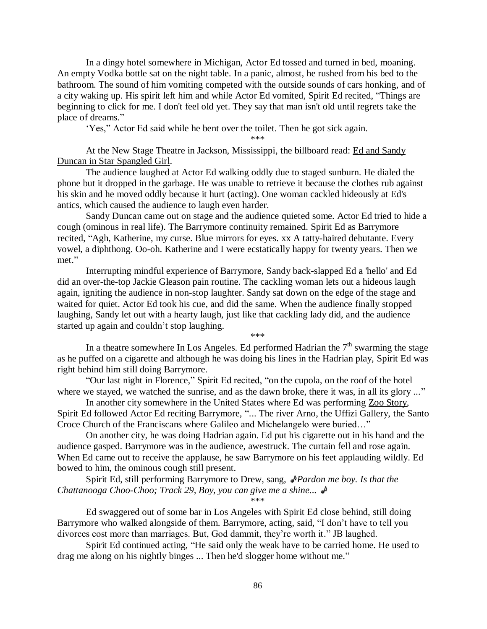In a dingy hotel somewhere in Michigan, Actor Ed tossed and turned in bed, moaning. An empty Vodka bottle sat on the night table. In a panic, almost, he rushed from his bed to the bathroom. The sound of him vomiting competed with the outside sounds of cars honking, and of a city waking up. His spirit left him and while Actor Ed vomited, Spirit Ed recited, "Things are beginning to click for me. I don't feel old yet. They say that man isn't old until regrets take the place of dreams."

'Yes," Actor Ed said while he bent over the toilet. Then he got sick again.

\*\*\*

At the New Stage Theatre in Jackson, Mississippi, the billboard read: Ed and Sandy Duncan in Star Spangled Girl.

The audience laughed at Actor Ed walking oddly due to staged sunburn. He dialed the phone but it dropped in the garbage. He was unable to retrieve it because the clothes rub against his skin and he moved oddly because it hurt (acting). One woman cackled hideously at Ed's antics, which caused the audience to laugh even harder.

Sandy Duncan came out on stage and the audience quieted some. Actor Ed tried to hide a cough (ominous in real life). The Barrymore continuity remained. Spirit Ed as Barrymore recited, "Agh, Katherine, my curse. Blue mirrors for eyes. xx A tatty-haired debutante. Every vowel, a diphthong. Oo-oh. Katherine and I were ecstatically happy for twenty years. Then we met."

Interrupting mindful experience of Barrymore, Sandy back-slapped Ed a 'hello' and Ed did an over-the-top Jackie Gleason pain routine. The cackling woman lets out a hideous laugh again, igniting the audience in non-stop laughter. Sandy sat down on the edge of the stage and waited for quiet. Actor Ed took his cue, and did the same. When the audience finally stopped laughing, Sandy let out with a hearty laugh, just like that cackling lady did, and the audience started up again and couldn't stop laughing.

\*\*\*

In a theatre somewhere In Los Angeles. Ed performed Hadrian the  $7<sup>th</sup>$  swarming the stage as he puffed on a cigarette and although he was doing his lines in the Hadrian play, Spirit Ed was right behind him still doing Barrymore.

"Our last night in Florence," Spirit Ed recited, "on the cupola, on the roof of the hotel where we stayed, we watched the sunrise, and as the dawn broke, there it was, in all its glory ..."

In another city somewhere in the United States where Ed was performing Zoo Story, Spirit Ed followed Actor Ed reciting Barrymore, "... The river Arno, the Uffizi Gallery, the Santo Croce Church of the Franciscans where Galileo and Michelangelo were buried…"

On another city, he was doing Hadrian again. Ed put his cigarette out in his hand and the audience gasped. Barrymore was in the audience, awestruck. The curtain fell and rose again. When Ed came out to receive the applause, he saw Barrymore on his feet applauding wildly. Ed bowed to him, the ominous cough still present.

Spirit Ed, still performing Barrymore to Drew, sang, *Pardon me boy. Is that the Chattanooga Choo-Choo; Track 29, Boy, you can give me a shine...*

\*\*\*

Ed swaggered out of some bar in Los Angeles with Spirit Ed close behind, still doing Barrymore who walked alongside of them. Barrymore, acting, said, "I don't have to tell you divorces cost more than marriages. But, God dammit, they're worth it." JB laughed.

Spirit Ed continued acting, "He said only the weak have to be carried home. He used to drag me along on his nightly binges ... Then he'd slogger home without me."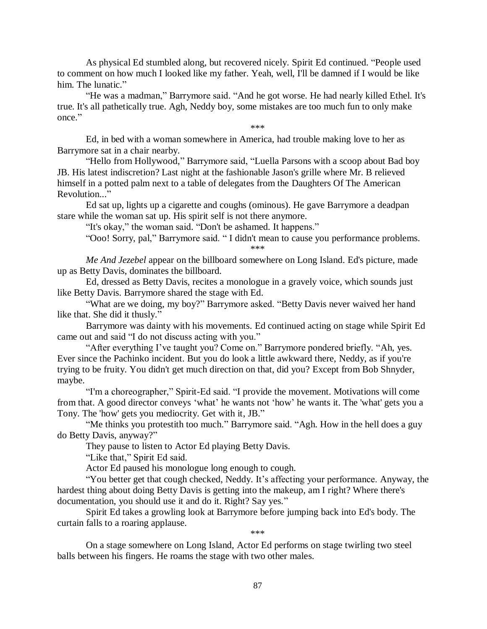As physical Ed stumbled along, but recovered nicely. Spirit Ed continued. "People used to comment on how much I looked like my father. Yeah, well, I'll be damned if I would be like him. The lunatic."

"He was a madman," Barrymore said. "And he got worse. He had nearly killed Ethel. It's true. It's all pathetically true. Agh, Neddy boy, some mistakes are too much fun to only make once."

\*\*\*

Ed, in bed with a woman somewhere in America, had trouble making love to her as Barrymore sat in a chair nearby.

"Hello from Hollywood," Barrymore said, "Luella Parsons with a scoop about Bad boy JB. His latest indiscretion? Last night at the fashionable Jason's grille where Mr. B relieved himself in a potted palm next to a table of delegates from the Daughters Of The American Revolution..."

Ed sat up, lights up a cigarette and coughs (ominous). He gave Barrymore a deadpan stare while the woman sat up. His spirit self is not there anymore.

"It's okay," the woman said. "Don't be ashamed. It happens."

"Ooo! Sorry, pal," Barrymore said. " I didn't mean to cause you performance problems. \*\*\*

*Me And Jezebel* appear on the billboard somewhere on Long Island. Ed's picture, made up as Betty Davis, dominates the billboard.

Ed, dressed as Betty Davis, recites a monologue in a gravely voice, which sounds just like Betty Davis. Barrymore shared the stage with Ed.

"What are we doing, my boy?" Barrymore asked. "Betty Davis never waived her hand like that. She did it thusly."

Barrymore was dainty with his movements. Ed continued acting on stage while Spirit Ed came out and said "I do not discuss acting with you."

"After everything I've taught you? Come on." Barrymore pondered briefly. "Ah, yes. Ever since the Pachinko incident. But you do look a little awkward there, Neddy, as if you're trying to be fruity. You didn't get much direction on that, did you? Except from Bob Shnyder, maybe.

"I'm a choreographer," Spirit-Ed said. "I provide the movement. Motivations will come from that. A good director conveys 'what' he wants not 'how' he wants it. The 'what' gets you a Tony. The 'how' gets you mediocrity. Get with it, JB."

"Me thinks you protestith too much." Barrymore said. "Agh. How in the hell does a guy do Betty Davis, anyway?"

They pause to listen to Actor Ed playing Betty Davis.

"Like that," Spirit Ed said.

Actor Ed paused his monologue long enough to cough.

"You better get that cough checked, Neddy. It's affecting your performance. Anyway, the hardest thing about doing Betty Davis is getting into the makeup, am I right? Where there's documentation, you should use it and do it. Right? Say yes."

Spirit Ed takes a growling look at Barrymore before jumping back into Ed's body. The curtain falls to a roaring applause.

\*\*\*

On a stage somewhere on Long Island, Actor Ed performs on stage twirling two steel balls between his fingers. He roams the stage with two other males.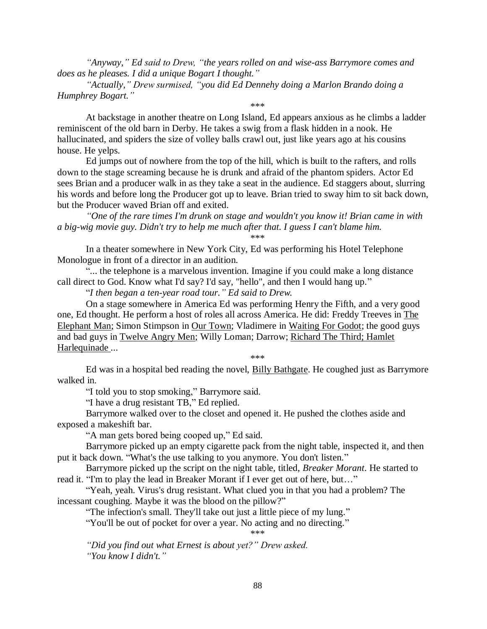*"Anyway," Ed said to Drew, "the years rolled on and wise-ass Barrymore comes and does as he pleases. I did a unique Bogart I thought."*

*"Actually," Drew surmised, "you did Ed Dennehy doing a Marlon Brando doing a Humphrey Bogart."*

\*\*\*

At backstage in another theatre on Long Island, Ed appears anxious as he climbs a ladder reminiscent of the old barn in Derby. He takes a swig from a flask hidden in a nook. He hallucinated, and spiders the size of volley balls crawl out, just like years ago at his cousins house. He yelps.

Ed jumps out of nowhere from the top of the hill, which is built to the rafters, and rolls down to the stage screaming because he is drunk and afraid of the phantom spiders. Actor Ed sees Brian and a producer walk in as they take a seat in the audience. Ed staggers about, slurring his words and before long the Producer got up to leave. Brian tried to sway him to sit back down, but the Producer waved Brian off and exited.

*"One of the rare times I'm drunk on stage and wouldn't you know it! Brian came in with a big-wig movie guy. Didn't try to help me much after that. I guess I can't blame him.*

\*\*\*

In a theater somewhere in New York City, Ed was performing his Hotel Telephone Monologue in front of a director in an audition.

"... the telephone is a marvelous invention. Imagine if you could make a long distance call direct to God. Know what I'd say? I'd say, "hello", and then I would hang up."

"*I then began a ten-year road tour." Ed said to Drew.*

On a stage somewhere in America Ed was performing Henry the Fifth, and a very good one, Ed thought. He perform a host of roles all across America. He did: Freddy Treeves in The Elephant Man; Simon Stimpson in Our Town; Vladimere in Waiting For Godot; the good guys and bad guys in Twelve Angry Men; Willy Loman; Darrow; Richard The Third; Hamlet Harlequinade *...* 

\*\*\*

Ed was in a hospital bed reading the novel, Billy Bathgate. He coughed just as Barrymore walked in.

"I told you to stop smoking," Barrymore said.

"I have a drug resistant TB," Ed replied.

Barrymore walked over to the closet and opened it. He pushed the clothes aside and exposed a makeshift bar.

"A man gets bored being cooped up," Ed said.

Barrymore picked up an empty cigarette pack from the night table, inspected it, and then put it back down. "What's the use talking to you anymore. You don't listen."

Barrymore picked up the script on the night table, titled, *Breaker Morant*. He started to read it. "I'm to play the lead in Breaker Morant if I ever get out of here, but…"

"Yeah, yeah. Virus's drug resistant. What clued you in that you had a problem? The incessant coughing. Maybe it was the blood on the pillow?"

"The infection's small. They'll take out just a little piece of my lung."

"You'll be out of pocket for over a year. No acting and no directing."

\*\*\*

*"Did you find out what Ernest is about yet?" Drew asked. "You know I didn't."*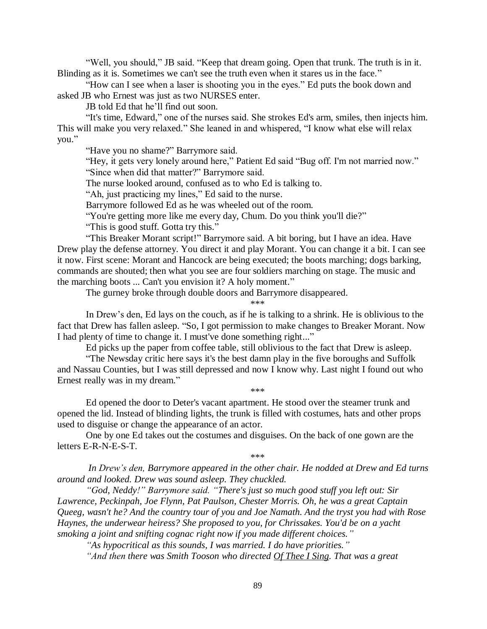"Well, you should," JB said. "Keep that dream going. Open that trunk. The truth is in it. Blinding as it is. Sometimes we can't see the truth even when it stares us in the face."

"How can I see when a laser is shooting you in the eyes." Ed puts the book down and asked JB who Ernest was just as two NURSES enter.

JB told Ed that he'll find out soon.

"It's time, Edward," one of the nurses said. She strokes Ed's arm, smiles, then injects him. This will make you very relaxed." She leaned in and whispered, "I know what else will relax you."

"Have you no shame?" Barrymore said.

"Hey, it gets very lonely around here," Patient Ed said "Bug off. I'm not married now." "Since when did that matter?" Barrymore said.

The nurse looked around, confused as to who Ed is talking to.

"Ah, just practicing my lines," Ed said to the nurse.

Barrymore followed Ed as he was wheeled out of the room.

"You're getting more like me every day, Chum. Do you think you'll die?"

"This is good stuff. Gotta try this."

"This Breaker Morant script!" Barrymore said. A bit boring, but I have an idea. Have Drew play the defense attorney. You direct it and play Morant. You can change it a bit. I can see it now. First scene: Morant and Hancock are being executed; the boots marching; dogs barking, commands are shouted; then what you see are four soldiers marching on stage. The music and the marching boots ... Can't you envision it? A holy moment."

The gurney broke through double doors and Barrymore disappeared.

\*\*\*

In Drew's den, Ed lays on the couch, as if he is talking to a shrink. He is oblivious to the fact that Drew has fallen asleep. "So, I got permission to make changes to Breaker Morant. Now I had plenty of time to change it. I must've done something right..."

Ed picks up the paper from coffee table, still oblivious to the fact that Drew is asleep.

"The Newsday critic here says it's the best damn play in the five boroughs and Suffolk and Nassau Counties, but I was still depressed and now I know why. Last night I found out who Ernest really was in my dream." \*\*\*

Ed opened the door to Deter's vacant apartment. He stood over the steamer trunk and opened the lid. Instead of blinding lights, the trunk is filled with costumes, hats and other props used to disguise or change the appearance of an actor.

One by one Ed takes out the costumes and disguises. On the back of one gown are the letters E-R-N-E-S-T.

\*\*\*

*In Drew's den, Barrymore appeared in the other chair. He nodded at Drew and Ed turns around and looked. Drew was sound asleep. They chuckled.*

*"God, Neddy!" Barrymore said. "There's just so much good stuff you left out: Sir Lawrence, Peckinpah, Joe Flynn, Pat Paulson, Chester Morris. Oh, he was a great Captain Queeg, wasn't he? And the country tour of you and Joe Namath. And the tryst you had with Rose Haynes, the underwear heiress? She proposed to you, for Chrissakes. You'd be on a yacht smoking a joint and snifting cognac right now if you made different choices."*

*"As hypocritical as this sounds, I was married. I do have priorities."*

*"And then there was Smith Tooson who directed Of Thee I Sing. That was a great*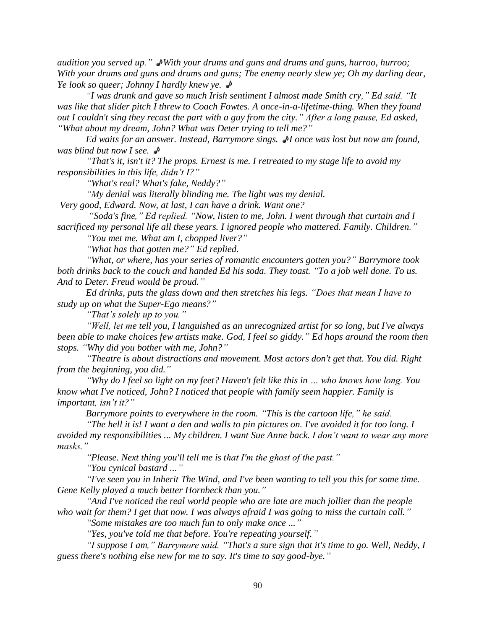*audition you served up." With your drums and guns and drums and guns, hurroo, hurroo; With your drums and guns and drums and guns; The enemy nearly slew ye; Oh my darling dear, Ye look so queer; Johnny I hardly knew ye.*

*"I was drunk and gave so much Irish sentiment I almost made Smith cry," Ed said. "It was like that slider pitch I threw to Coach Fowtes. A once-in-a-lifetime-thing. When they found out I couldn't sing they recast the part with a guy from the city." After a long pause, Ed asked, "What about my dream, John? What was Deter trying to tell me?"*

*Ed waits for an answer. Instead, Barrymore sings.*  $\mathcal{M}$  *once was lost but now am found, was blind but now I see.*

*"That's it, isn't it? The props. Ernest is me. I retreated to my stage life to avoid my responsibilities in this life, didn't I?"*

*"What's real? What's fake, Neddy?"*

*"My denial was literally blinding me. The light was my denial.* 

*Very good, Edward. Now, at last, I can have a drink. Want one?*

*"Soda's fine," Ed replied. "Now, listen to me, John. I went through that curtain and I sacrificed my personal life all these years. I ignored people who mattered. Family. Children."* 

*"You met me. What am I, chopped liver?"*

*"What has that gotten me?" Ed replied.*

*"What, or where, has your series of romantic encounters gotten you?" Barrymore took both drinks back to the couch and handed Ed his soda. They toast. "To a job well done. To us. And to Deter. Freud would be proud."*

*Ed drinks, puts the glass down and then stretches his legs. "Does that mean I have to study up on what the Super-Ego means?"*

*"That's solely up to you."*

*"Well, let me tell you, I languished as an unrecognized artist for so long, but I've always been able to make choices few artists make. God, I feel so giddy." Ed hops around the room then stops. "Why did you bother with me, John?"*

*"Theatre is about distractions and movement. Most actors don't get that. You did. Right from the beginning, you did."* 

*"Why do I feel so light on my feet? Haven't felt like this in … who knows how long. You know what I've noticed, John? I noticed that people with family seem happier. Family is important, isn't it?"*

*Barrymore points to everywhere in the room. "This is the cartoon life," he said.*

*"The hell it is! I want a den and walls to pin pictures on. I've avoided it for too long. I avoided my responsibilities ... My children. I want Sue Anne back. I don't want to wear any more masks."*

*"Please. Next thing you'll tell me is that I'm the ghost of the past."*

*"You cynical bastard ..."*

*"I've seen you in Inherit The Wind, and I've been wanting to tell you this for some time. Gene Kelly played a much better Hornbeck than you."*

*"And I've noticed the real world people who are late are much jollier than the people who wait for them? I get that now. I was always afraid I was going to miss the curtain call."*

*"Some mistakes are too much fun to only make once ..."*

*"Yes, you've told me that before. You're repeating yourself."*

*"I suppose I am," Barrymore said. "That's a sure sign that it's time to go. Well, Neddy, I guess there's nothing else new for me to say. It's time to say good-bye."*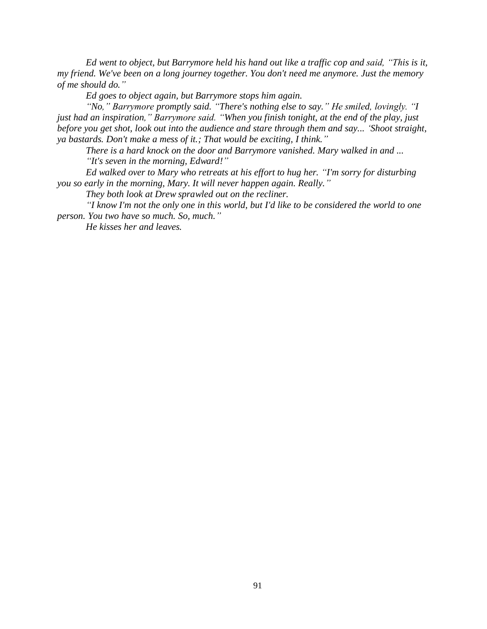*Ed went to object, but Barrymore held his hand out like a traffic cop and said, "This is it, my friend. We've been on a long journey together. You don't need me anymore. Just the memory of me should do."*

*Ed goes to object again, but Barrymore stops him again.*

*"No," Barrymore promptly said. "There's nothing else to say." He smiled, lovingly. "I just had an inspiration," Barrymore said. "When you finish tonight, at the end of the play, just before you get shot, look out into the audience and stare through them and say... 'Shoot straight, ya bastards. Don't make a mess of it.; That would be exciting, I think."*

*There is a hard knock on the door and Barrymore vanished. Mary walked in and ... "It's seven in the morning, Edward!"*

*Ed walked over to Mary who retreats at his effort to hug her. "I'm sorry for disturbing you so early in the morning, Mary. It will never happen again. Really."*

*They both look at Drew sprawled out on the recliner.*

*"I know I'm not the only one in this world, but I'd like to be considered the world to one person. You two have so much. So, much."*

*He kisses her and leaves.*